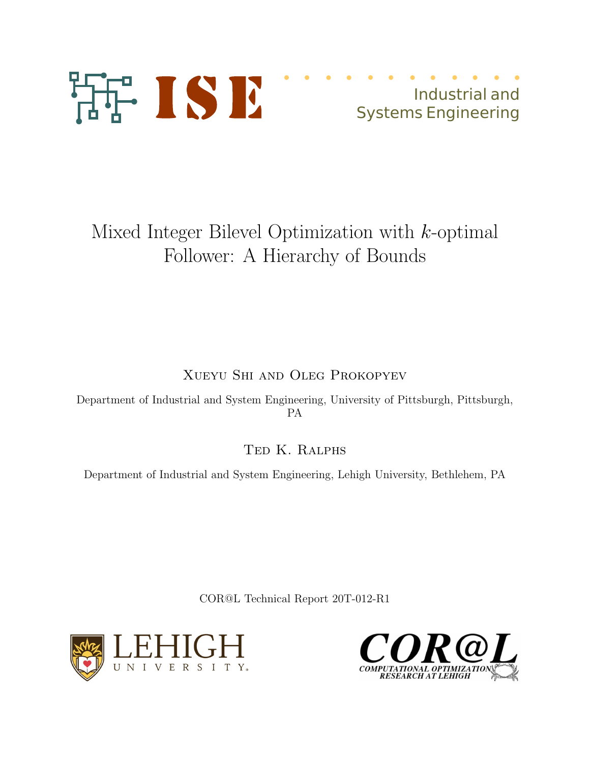

Industrial and Systems Engineering

# Mixed Integer Bilevel Optimization with k-optimal Follower: A Hierarchy of Bounds

Xueyu Shi and Oleg Prokopyev

Department of Industrial and System Engineering, University of Pittsburgh, Pittsburgh, PA

Ted K. Ralphs

Department of Industrial and System Engineering, Lehigh University, Bethlehem, PA

COR@L Technical Report 20T-012-R1



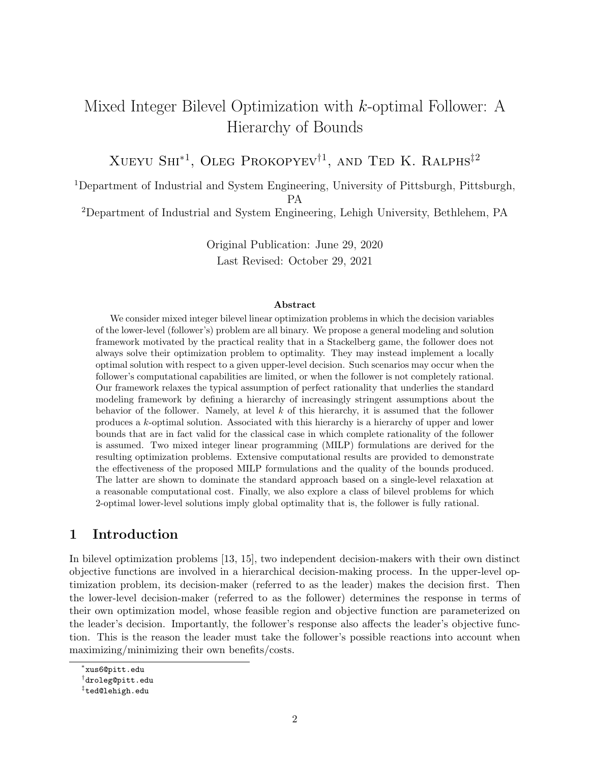# Mixed Integer Bilevel Optimization with k-optimal Follower: A Hierarchy of Bounds

Xueyu Shi<sup>∗</sup><sup>1</sup> , Oleg Prokopyev†<sup>1</sup> , and Ted K. Ralphs‡<sup>2</sup>

<sup>1</sup>Department of Industrial and System Engineering, University of Pittsburgh, Pittsburgh,

PA

<sup>2</sup>Department of Industrial and System Engineering, Lehigh University, Bethlehem, PA

Original Publication: June 29, 2020 Last Revised: October 29, 2021

#### Abstract

We consider mixed integer bilevel linear optimization problems in which the decision variables of the lower-level (follower's) problem are all binary. We propose a general modeling and solution framework motivated by the practical reality that in a Stackelberg game, the follower does not always solve their optimization problem to optimality. They may instead implement a locally optimal solution with respect to a given upper-level decision. Such scenarios may occur when the follower's computational capabilities are limited, or when the follower is not completely rational. Our framework relaxes the typical assumption of perfect rationality that underlies the standard modeling framework by defining a hierarchy of increasingly stringent assumptions about the behavior of the follower. Namely, at level  $k$  of this hierarchy, it is assumed that the follower produces a k-optimal solution. Associated with this hierarchy is a hierarchy of upper and lower bounds that are in fact valid for the classical case in which complete rationality of the follower is assumed. Two mixed integer linear programming (MILP) formulations are derived for the resulting optimization problems. Extensive computational results are provided to demonstrate the effectiveness of the proposed MILP formulations and the quality of the bounds produced. The latter are shown to dominate the standard approach based on a single-level relaxation at a reasonable computational cost. Finally, we also explore a class of bilevel problems for which 2-optimal lower-level solutions imply global optimality that is, the follower is fully rational.

# 1 Introduction

In bilevel optimization problems [13, 15], two independent decision-makers with their own distinct objective functions are involved in a hierarchical decision-making process. In the upper-level optimization problem, its decision-maker (referred to as the leader) makes the decision first. Then the lower-level decision-maker (referred to as the follower) determines the response in terms of their own optimization model, whose feasible region and objective function are parameterized on the leader's decision. Importantly, the follower's response also affects the leader's objective function. This is the reason the leader must take the follower's possible reactions into account when maximizing/minimizing their own benefits/costs.

<sup>∗</sup> xus6@pitt.edu

<sup>†</sup> droleg@pitt.edu

<sup>‡</sup> ted@lehigh.edu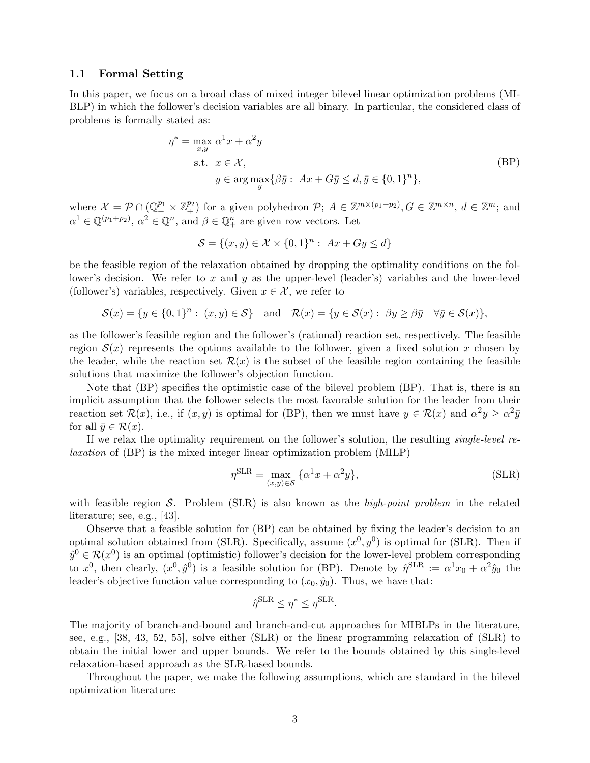### 1.1 Formal Setting

In this paper, we focus on a broad class of mixed integer bilevel linear optimization problems (MI-BLP) in which the follower's decision variables are all binary. In particular, the considered class of problems is formally stated as:

$$
\eta^* = \max_{x,y} \alpha^1 x + \alpha^2 y
$$
  
s.t.  $x \in \mathcal{X}$ ,  
 $y \in \arg \max_{\overline{y}} \{ \beta \overline{y} : Ax + G\overline{y} \le d, \overline{y} \in \{0,1\}^n \},$  (BP)

where  $\mathcal{X} = \mathcal{P} \cap (\mathbb{Q}_+^{p_1} \times \mathbb{Z}_+^{p_2})$  for a given polyhedron  $\mathcal{P}; A \in \mathbb{Z}^{m \times (p_1+p_2)}, G \in \mathbb{Z}^{m \times n}, d \in \mathbb{Z}^m$ ; and  $\alpha^1 \in \mathbb{Q}^{(p_1+p_2)}$ ,  $\alpha^2 \in \mathbb{Q}^n$ , and  $\beta \in \mathbb{Q}_+^n$  are given row vectors. Let

$$
\mathcal{S} = \{(x, y) \in \mathcal{X} \times \{0, 1\}^n : Ax + Gy \le d\}
$$

be the feasible region of the relaxation obtained by dropping the optimality conditions on the follower's decision. We refer to x and y as the upper-level (leader's) variables and the lower-level (follower's) variables, respectively. Given  $x \in \mathcal{X}$ , we refer to

$$
\mathcal{S}(x) = \{ y \in \{0,1\}^n : (x,y) \in \mathcal{S} \} \quad \text{and} \quad \mathcal{R}(x) = \{ y \in \mathcal{S}(x) : \beta y \ge \beta \bar{y} \quad \forall \bar{y} \in \mathcal{S}(x) \},
$$

as the follower's feasible region and the follower's (rational) reaction set, respectively. The feasible region  $S(x)$  represents the options available to the follower, given a fixed solution x chosen by the leader, while the reaction set  $\mathcal{R}(x)$  is the subset of the feasible region containing the feasible solutions that maximize the follower's objection function.

Note that (BP) specifies the optimistic case of the bilevel problem (BP). That is, there is an implicit assumption that the follower selects the most favorable solution for the leader from their reaction set  $\mathcal{R}(x)$ , i.e., if  $(x, y)$  is optimal for (BP), then we must have  $y \in \mathcal{R}(x)$  and  $\alpha^2 y \ge \alpha^2 \bar{y}$ for all  $\bar{y} \in \mathcal{R}(x)$ .

If we relax the optimality requirement on the follower's solution, the resulting single-level relaxation of (BP) is the mixed integer linear optimization problem (MILP)

$$
\eta^{\text{SLR}} = \max_{(x,y)\in\mathcal{S}} \{ \alpha^1 x + \alpha^2 y \},\tag{SLR}
$$

with feasible region S. Problem (SLR) is also known as the *high-point problem* in the related literature; see, e.g., [43].

Observe that a feasible solution for (BP) can be obtained by fixing the leader's decision to an optimal solution obtained from (SLR). Specifically, assume  $(x^0, y^0)$  is optimal for (SLR). Then if  $\hat{y}^0 \in \mathcal{R}(x^0)$  is an optimal (optimistic) follower's decision for the lower-level problem corresponding to  $x^0$ , then clearly,  $(x^0, \hat{y}^0)$  is a feasible solution for (BP). Denote by  $\hat{\eta}^{\text{SLR}} := \alpha^1 x_0 + \alpha^2 \hat{y}_0$  the leader's objective function value corresponding to  $(x_0, \hat{y}_0)$ . Thus, we have that:

$$
\hat{\eta}^{\text{SLR}} \leq \eta^* \leq \eta^{\text{SLR}}.
$$

The majority of branch-and-bound and branch-and-cut approaches for MIBLPs in the literature, see, e.g., [38, 43, 52, 55], solve either (SLR) or the linear programming relaxation of (SLR) to obtain the initial lower and upper bounds. We refer to the bounds obtained by this single-level relaxation-based approach as the SLR-based bounds.

Throughout the paper, we make the following assumptions, which are standard in the bilevel optimization literature: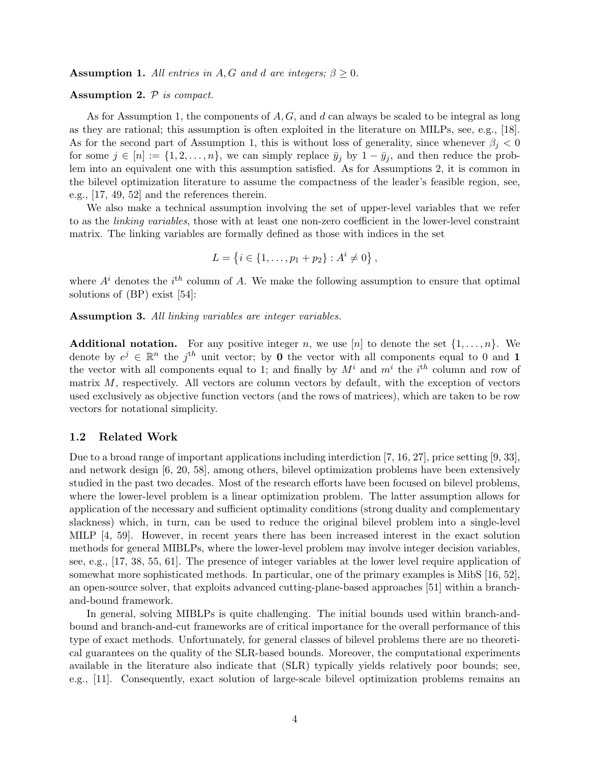**Assumption 1.** All entries in A, G and d are integers;  $\beta \geq 0$ .

#### Assumption 2.  $P$  is compact.

As for Assumption 1, the components of  $A, G$ , and d can always be scaled to be integral as long as they are rational; this assumption is often exploited in the literature on MILPs, see, e.g., [18]. As for the second part of Assumption 1, this is without loss of generality, since whenever  $\beta_i < 0$ for some  $j \in [n] := \{1, 2, \ldots, n\}$ , we can simply replace  $\bar{y}_j$  by  $1 - \bar{y}_j$ , and then reduce the problem into an equivalent one with this assumption satisfied. As for Assumptions 2, it is common in the bilevel optimization literature to assume the compactness of the leader's feasible region, see, e.g., [17, 49, 52] and the references therein.

We also make a technical assumption involving the set of upper-level variables that we refer to as the linking variables, those with at least one non-zero coefficient in the lower-level constraint matrix. The linking variables are formally defined as those with indices in the set

$$
L = \{i \in \{1, \ldots, p_1 + p_2\} : A^i \neq 0\},\,
$$

where  $A^i$  denotes the  $i^{th}$  column of A. We make the following assumption to ensure that optimal solutions of (BP) exist [54]:

Assumption 3. All linking variables are integer variables.

**Additional notation.** For any positive integer n, we use [n] to denote the set  $\{1, \ldots, n\}$ . We denote by  $e^j \in \mathbb{R}^n$  the j<sup>th</sup> unit vector; by **0** the vector with all components equal to 0 and 1 the vector with all components equal to 1; and finally by  $M^i$  and  $m^i$  the  $i^{th}$  column and row of matrix  $M$ , respectively. All vectors are column vectors by default, with the exception of vectors used exclusively as objective function vectors (and the rows of matrices), which are taken to be row vectors for notational simplicity.

#### 1.2 Related Work

Due to a broad range of important applications including interdiction [7, 16, 27], price setting [9, 33], and network design [6, 20, 58], among others, bilevel optimization problems have been extensively studied in the past two decades. Most of the research efforts have been focused on bilevel problems, where the lower-level problem is a linear optimization problem. The latter assumption allows for application of the necessary and sufficient optimality conditions (strong duality and complementary slackness) which, in turn, can be used to reduce the original bilevel problem into a single-level MILP [4, 59]. However, in recent years there has been increased interest in the exact solution methods for general MIBLPs, where the lower-level problem may involve integer decision variables, see, e.g., [17, 38, 55, 61]. The presence of integer variables at the lower level require application of somewhat more sophisticated methods. In particular, one of the primary examples is MibS [16, 52], an open-source solver, that exploits advanced cutting-plane-based approaches [51] within a branchand-bound framework.

In general, solving MIBLPs is quite challenging. The initial bounds used within branch-andbound and branch-and-cut frameworks are of critical importance for the overall performance of this type of exact methods. Unfortunately, for general classes of bilevel problems there are no theoretical guarantees on the quality of the SLR-based bounds. Moreover, the computational experiments available in the literature also indicate that (SLR) typically yields relatively poor bounds; see, e.g., [11]. Consequently, exact solution of large-scale bilevel optimization problems remains an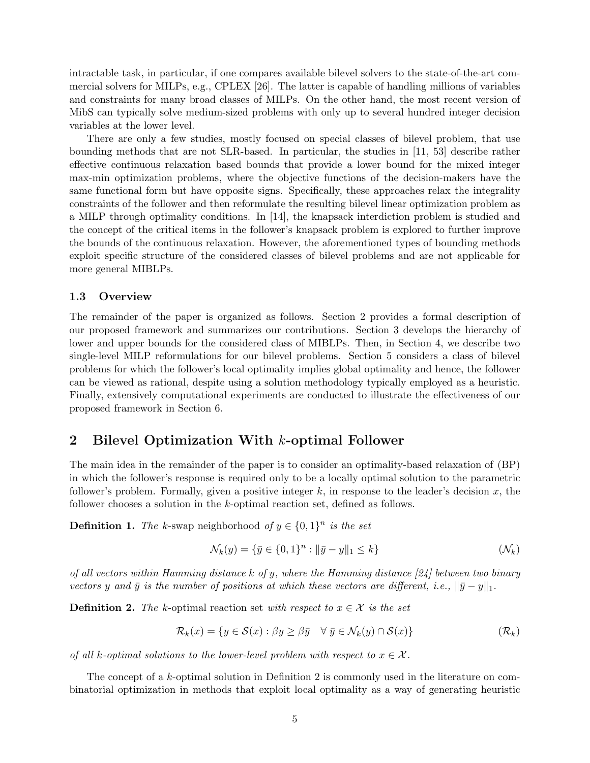intractable task, in particular, if one compares available bilevel solvers to the state-of-the-art commercial solvers for MILPs, e.g., CPLEX [26]. The latter is capable of handling millions of variables and constraints for many broad classes of MILPs. On the other hand, the most recent version of MibS can typically solve medium-sized problems with only up to several hundred integer decision variables at the lower level.

There are only a few studies, mostly focused on special classes of bilevel problem, that use bounding methods that are not SLR-based. In particular, the studies in [11, 53] describe rather effective continuous relaxation based bounds that provide a lower bound for the mixed integer max-min optimization problems, where the objective functions of the decision-makers have the same functional form but have opposite signs. Specifically, these approaches relax the integrality constraints of the follower and then reformulate the resulting bilevel linear optimization problem as a MILP through optimality conditions. In [14], the knapsack interdiction problem is studied and the concept of the critical items in the follower's knapsack problem is explored to further improve the bounds of the continuous relaxation. However, the aforementioned types of bounding methods exploit specific structure of the considered classes of bilevel problems and are not applicable for more general MIBLPs.

## 1.3 Overview

The remainder of the paper is organized as follows. Section 2 provides a formal description of our proposed framework and summarizes our contributions. Section 3 develops the hierarchy of lower and upper bounds for the considered class of MIBLPs. Then, in Section 4, we describe two single-level MILP reformulations for our bilevel problems. Section 5 considers a class of bilevel problems for which the follower's local optimality implies global optimality and hence, the follower can be viewed as rational, despite using a solution methodology typically employed as a heuristic. Finally, extensively computational experiments are conducted to illustrate the effectiveness of our proposed framework in Section 6.

# 2 Bilevel Optimization With k-optimal Follower

The main idea in the remainder of the paper is to consider an optimality-based relaxation of (BP) in which the follower's response is required only to be a locally optimal solution to the parametric follower's problem. Formally, given a positive integer  $k$ , in response to the leader's decision  $x$ , the follower chooses a solution in the k-optimal reaction set, defined as follows.

**Definition 1.** The k-swap neighborhood of  $y \in \{0,1\}^n$  is the set

$$
\mathcal{N}_k(y) = \{ \bar{y} \in \{0, 1\}^n : ||\bar{y} - y||_1 \le k \}
$$
\n
$$
(\mathcal{N}_k)
$$

of all vectors within Hamming distance k of y, where the Hamming distance  $[24]$  between two binary vectors y and  $\bar{y}$  is the number of positions at which these vectors are different, i.e.,  $\|\bar{y}-y\|_1$ .

**Definition 2.** The k-optimal reaction set with respect to  $x \in \mathcal{X}$  is the set

$$
\mathcal{R}_k(x) = \{ y \in \mathcal{S}(x) : \beta y \ge \beta \bar{y} \quad \forall \ \bar{y} \in \mathcal{N}_k(y) \cap \mathcal{S}(x) \} \tag{R_k}
$$

of all k-optimal solutions to the lower-level problem with respect to  $x \in \mathcal{X}$ .

The concept of a k-optimal solution in Definition 2 is commonly used in the literature on combinatorial optimization in methods that exploit local optimality as a way of generating heuristic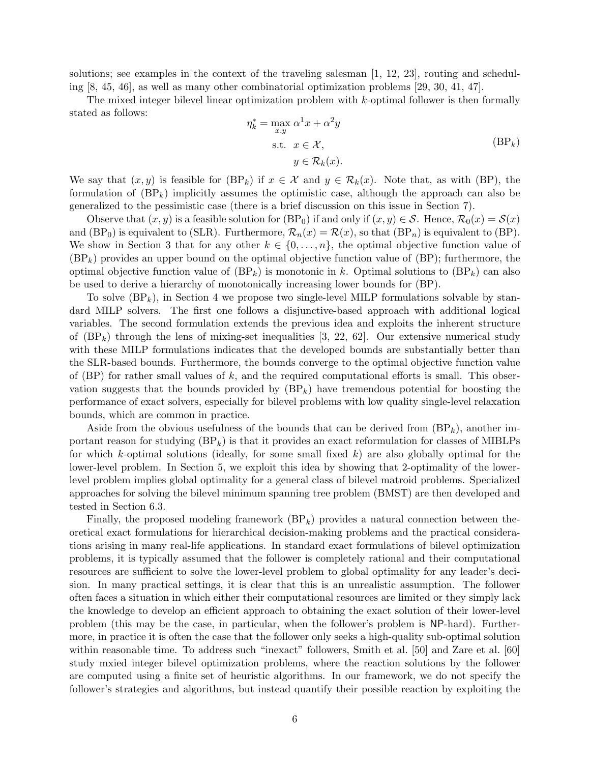solutions; see examples in the context of the traveling salesman [1, 12, 23], routing and scheduling [8, 45, 46], as well as many other combinatorial optimization problems [29, 30, 41, 47].

The mixed integer bilevel linear optimization problem with  $k$ -optimal follower is then formally stated as follows:

$$
\eta_k^* = \max_{x,y} \alpha^1 x + \alpha^2 y
$$
  
s.t.  $x \in \mathcal{X}$ ,  
 $y \in \mathcal{R}_k(x)$ . (BP<sub>k</sub>)

We say that  $(x, y)$  is feasible for  $(BP_k)$  if  $x \in \mathcal{X}$  and  $y \in \mathcal{R}_k(x)$ . Note that, as with  $(BP)$ , the formulation of  $(BP_k)$  implicitly assumes the optimistic case, although the approach can also be generalized to the pessimistic case (there is a brief discussion on this issue in Section 7).

Observe that  $(x, y)$  is a feasible solution for  $(BP_0)$  if and only if  $(x, y) \in S$ . Hence,  $\mathcal{R}_0(x) = \mathcal{S}(x)$ and  $(BP_0)$  is equivalent to (SLR). Furthermore,  $\mathcal{R}_n(x) = \mathcal{R}(x)$ , so that  $(BP_n)$  is equivalent to  $(BP)$ . We show in Section 3 that for any other  $k \in \{0, \ldots, n\}$ , the optimal objective function value of  $(BP_k)$  provides an upper bound on the optimal objective function value of  $(BP)$ ; furthermore, the optimal objective function value of  $(BP_k)$  is monotonic in k. Optimal solutions to  $(BP_k)$  can also be used to derive a hierarchy of monotonically increasing lower bounds for (BP).

To solve  $(BP_k)$ , in Section 4 we propose two single-level MILP formulations solvable by standard MILP solvers. The first one follows a disjunctive-based approach with additional logical variables. The second formulation extends the previous idea and exploits the inherent structure of  $(BP_k)$  through the lens of mixing-set inequalities [3, 22, 62]. Our extensive numerical study with these MILP formulations indicates that the developed bounds are substantially better than the SLR-based bounds. Furthermore, the bounds converge to the optimal objective function value of  $(BP)$  for rather small values of k, and the required computational efforts is small. This observation suggests that the bounds provided by  $(BP_k)$  have tremendous potential for boosting the performance of exact solvers, especially for bilevel problems with low quality single-level relaxation bounds, which are common in practice.

Aside from the obvious usefulness of the bounds that can be derived from  $(BP_k)$ , another important reason for studying  $(BP_k)$  is that it provides an exact reformulation for classes of MIBLPs for which k-optimal solutions (ideally, for some small fixed  $k$ ) are also globally optimal for the lower-level problem. In Section 5, we exploit this idea by showing that 2-optimality of the lowerlevel problem implies global optimality for a general class of bilevel matroid problems. Specialized approaches for solving the bilevel minimum spanning tree problem (BMST) are then developed and tested in Section 6.3.

Finally, the proposed modeling framework  $(BP_k)$  provides a natural connection between theoretical exact formulations for hierarchical decision-making problems and the practical considerations arising in many real-life applications. In standard exact formulations of bilevel optimization problems, it is typically assumed that the follower is completely rational and their computational resources are sufficient to solve the lower-level problem to global optimality for any leader's decision. In many practical settings, it is clear that this is an unrealistic assumption. The follower often faces a situation in which either their computational resources are limited or they simply lack the knowledge to develop an efficient approach to obtaining the exact solution of their lower-level problem (this may be the case, in particular, when the follower's problem is NP-hard). Furthermore, in practice it is often the case that the follower only seeks a high-quality sub-optimal solution within reasonable time. To address such "inexact" followers, Smith et al. [50] and Zare et al. [60] study mxied integer bilevel optimization problems, where the reaction solutions by the follower are computed using a finite set of heuristic algorithms. In our framework, we do not specify the follower's strategies and algorithms, but instead quantify their possible reaction by exploiting the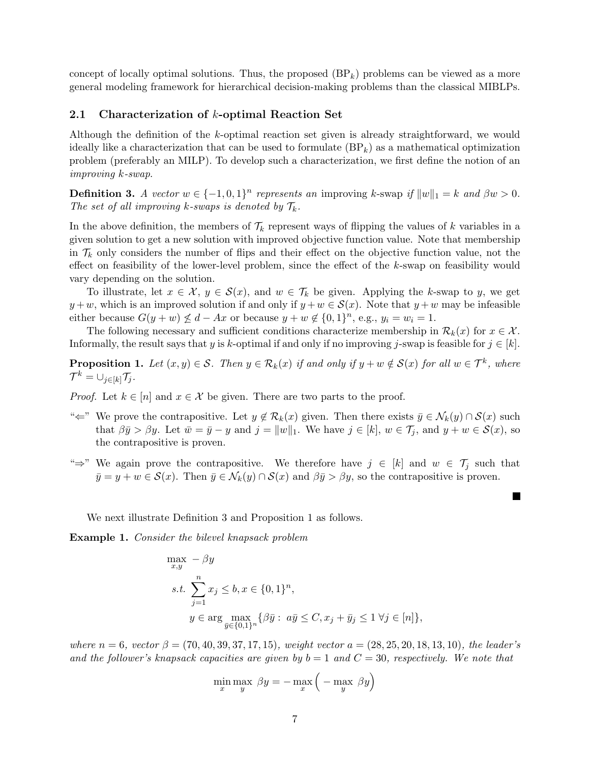concept of locally optimal solutions. Thus, the proposed  $(BP_k)$  problems can be viewed as a more general modeling framework for hierarchical decision-making problems than the classical MIBLPs.

# 2.1 Characterization of k-optimal Reaction Set

Although the definition of the k-optimal reaction set given is already straightforward, we would ideally like a characterization that can be used to formulate  $(BP_k)$  as a mathematical optimization problem (preferably an MILP). To develop such a characterization, we first define the notion of an improving k-swap.

**Definition 3.** A vector  $w \in \{-1, 0, 1\}^n$  represents an improving k-swap if  $||w||_1 = k$  and  $\beta w > 0$ . The set of all improving k-swaps is denoted by  $\mathcal{T}_k$ .

In the above definition, the members of  $\mathcal{T}_k$  represent ways of flipping the values of k variables in a given solution to get a new solution with improved objective function value. Note that membership in  $\mathcal{T}_k$  only considers the number of flips and their effect on the objective function value, not the effect on feasibility of the lower-level problem, since the effect of the  $k$ -swap on feasibility would vary depending on the solution.

To illustrate, let  $x \in \mathcal{X}, y \in \mathcal{S}(x)$ , and  $w \in \mathcal{T}_k$  be given. Applying the k-swap to y, we get  $y + w$ , which is an improved solution if and only if  $y + w \in S(x)$ . Note that  $y + w$  may be infeasible either because  $G(y + w) \nleq d - Ax$  or because  $y + w \notin \{0, 1\}^n$ , e.g.,  $y_i = w_i = 1$ .

The following necessary and sufficient conditions characterize membership in  $\mathcal{R}_k(x)$  for  $x \in \mathcal{X}$ . Informally, the result says that y is k-optimal if and only if no improving j-swap is feasible for  $j \in [k]$ .

**Proposition 1.** Let  $(x, y) \in S$ . Then  $y \in \mathcal{R}_k(x)$  if and only if  $y + w \notin S(x)$  for all  $w \in \mathcal{T}^k$ , where  $\mathcal{T}^k = \cup_{j \in [k]} \mathcal{T}_j$ .

*Proof.* Let  $k \in [n]$  and  $x \in \mathcal{X}$  be given. There are two parts to the proof.

- " $\Leftarrow$ " We prove the contrapositive. Let  $y \notin \mathcal{R}_k(x)$  given. Then there exists  $\bar{y} \in \mathcal{N}_k(y) \cap \mathcal{S}(x)$  such that  $\beta \bar{y} > \beta y$ . Let  $\bar{w} = \bar{y} - y$  and  $j = ||w||_1$ . We have  $j \in [k], w \in \mathcal{T}_i$ , and  $y + w \in \mathcal{S}(x)$ , so the contrapositive is proven.
- " $\Rightarrow$ " We again prove the contrapositive. We therefore have  $j \in [k]$  and  $w \in \mathcal{T}_j$  such that  $\bar{y} = y + w \in \mathcal{S}(x)$ . Then  $\bar{y} \in \mathcal{N}_k(y) \cap \mathcal{S}(x)$  and  $\beta \bar{y} > \beta y$ , so the contrapositive is proven.

 $\blacksquare$ 

We next illustrate Definition 3 and Proposition 1 as follows.

Example 1. Consider the bilevel knapsack problem

$$
\max_{x,y} - \beta y
$$
  
s.t. 
$$
\sum_{j=1}^{n} x_j \le b, x \in \{0,1\}^n
$$
  

$$
y \in \arg \max_{\bar{y} \in \{0,1\}^n} {\beta \bar{y} : a\bar{y} \le C, x_j + \bar{y}_j \le 1 \,\forall j \in [n] }
$$

where  $n = 6$ , vector  $\beta = (70, 40, 39, 37, 17, 15)$ , weight vector  $a = (28, 25, 20, 18, 13, 10)$ , the leader's and the follower's knapsack capacities are given by  $b = 1$  and  $C = 30$ , respectively. We note that

$$
\min_{x} \max_{y} \; \beta y = -\max_{x} \left( -\max_{y} \; \beta y \right)
$$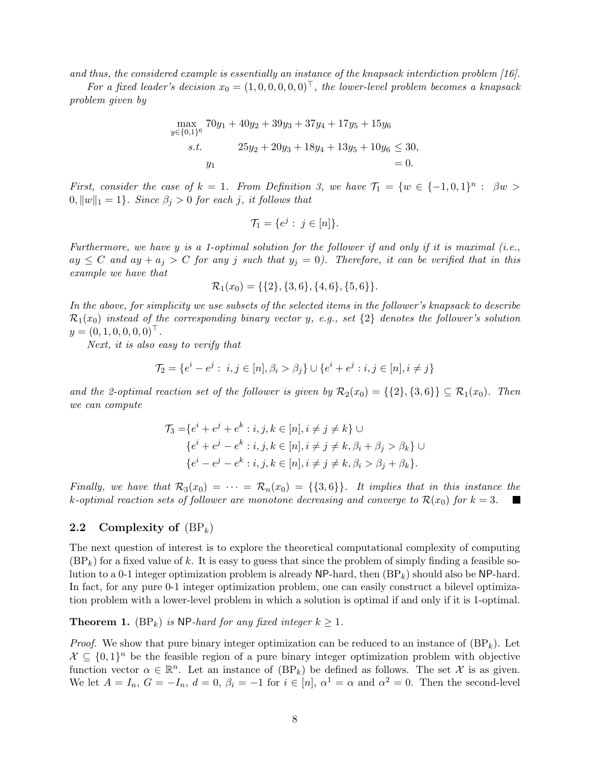and thus, the considered example is essentially an instance of the knapsack interdiction problem [16].

For a fixed leader's decision  $x_0 = (1, 0, 0, 0, 0, 0)^T$ , the lower-level problem becomes a knapsack problem given by

$$
\max_{y \in \{0,1\}^6} 70y_1 + 40y_2 + 39y_3 + 37y_4 + 17y_5 + 15y_6
$$
  
s.t. 
$$
25y_2 + 20y_3 + 18y_4 + 13y_5 + 10y_6 \le 30,
$$
  

$$
y_1 = 0.
$$

First, consider the case of  $k = 1$ . From Definition 3, we have  $\mathcal{T}_1 = \{w \in \{-1,0,1\}^n : \beta w >$  $0, ||w||_1 = 1$ . Since  $\beta_i > 0$  for each j, it follows that

$$
\mathcal{T}_1 = \{e^j : j \in [n]\}.
$$

Furthermore, we have y is a 1-optimal solution for the follower if and only if it is maximal (i.e.,  $ay \leq C$  and  $ay + a_j > C$  for any j such that  $y_j = 0$ . Therefore, it can be verified that in this example we have that

$$
\mathcal{R}_1(x_0) = \{\{2\}, \{3,6\}, \{4,6\}, \{5,6\}\}.
$$

In the above, for simplicity we use subsets of the selected items in the follower's knapsack to describe  $\mathcal{R}_1(x_0)$  instead of the corresponding binary vector y, e.g., set  $\{2\}$  denotes the follower's solution  $y = (0, 1, 0, 0, 0, 0)^\top.$ 

Next, it is also easy to verify that

$$
\mathcal{T}_2 = \{e^i - e^j: \ i,j \in [n], \beta_i > \beta_j\} \cup \{e^i + e^j: i,j \in [n], i \neq j\}
$$

and the 2-optimal reaction set of the follower is given by  $\mathcal{R}_2(x_0) = \{\{2\},\{3,6\}\}\subseteq \mathcal{R}_1(x_0)$ . Then we can compute

$$
\mathcal{T}_3 = \{ e^i + e^j + e^k : i, j, k \in [n], i \neq j \neq k \} \cup
$$
  

$$
\{ e^i + e^j - e^k : i, j, k \in [n], i \neq j \neq k, \beta_i + \beta_j > \beta_k \} \cup
$$
  

$$
\{ e^i - e^j - e^k : i, j, k \in [n], i \neq j \neq k, \beta_i > \beta_j + \beta_k \}.
$$

Finally, we have that  $\mathcal{R}_3(x_0) = \cdots = \mathcal{R}_n(x_0) = \{\{3,6\}\}\$ . It implies that in this instance the k-optimal reaction sets of follower are monotone decreasing and converge to  $\mathcal{R}(x_0)$  for  $k=3$ . **The Second Service** 

# 2.2 Complexity of  $(BP_k)$

The next question of interest is to explore the theoretical computational complexity of computing  $(BP_k)$  for a fixed value of k. It is easy to guess that since the problem of simply finding a feasible solution to a 0-1 integer optimization problem is already  $\mathsf{NP}\text{-}\mathrm{hard}$ , then  $(\mathsf{BP}_k)$  should also be  $\mathsf{NP}\text{-}\mathrm{hard}$ . In fact, for any pure 0-1 integer optimization problem, one can easily construct a bilevel optimization problem with a lower-level problem in which a solution is optimal if and only if it is 1-optimal.

**Theorem 1.** (BP<sub>k</sub>) is NP-hard for any fixed integer  $k \geq 1$ .

*Proof.* We show that pure binary integer optimization can be reduced to an instance of  $(BP_k)$ . Let  $\mathcal{X} \subseteq \{0,1\}^n$  be the feasible region of a pure binary integer optimization problem with objective function vector  $\alpha \in \mathbb{R}^n$ . Let an instance of  $(BP_k)$  be defined as follows. The set X is as given. We let  $A = I_n$ ,  $G = -I_n$ ,  $d = 0$ ,  $\beta_i = -1$  for  $i \in [n]$ ,  $\alpha^1 = \alpha$  and  $\alpha^2 = 0$ . Then the second-level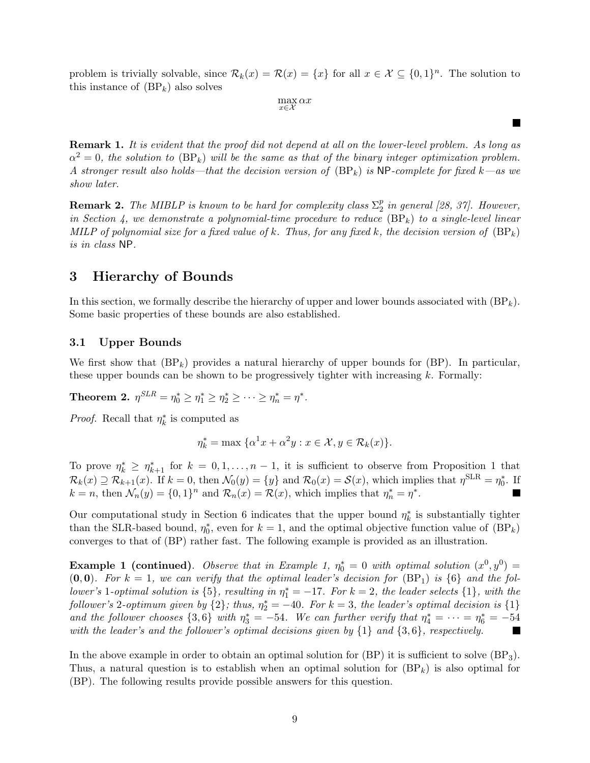problem is trivially solvable, since  $\mathcal{R}_k(x) = \mathcal{R}(x) = \{x\}$  for all  $x \in \mathcal{X} \subseteq \{0,1\}^n$ . The solution to this instance of  $(BP_k)$  also solves

 $\max_{x \in \mathcal{X}} \alpha x$ 

 $\blacksquare$ 

**Remark 1.** It is evident that the proof did not depend at all on the lower-level problem. As long as  $\alpha^2 = 0$ , the solution to  $(BP_k)$  will be the same as that of the binary integer optimization problem. A stronger result also holds—that the decision version of  $(BP_k)$  is NP-complete for fixed k—as we show later.

**Remark 2.** The MIBLP is known to be hard for complexity class  $\Sigma_2^p$  $\frac{p}{2}$  in general [28, 37]. However, in Section 4, we demonstrate a polynomial-time procedure to reduce  $(BP_k)$  to a single-level linear MILP of polynomial size for a fixed value of k. Thus, for any fixed k, the decision version of  $(BP_k)$ is in class NP.

# 3 Hierarchy of Bounds

In this section, we formally describe the hierarchy of upper and lower bounds associated with  $(BP_k)$ . Some basic properties of these bounds are also established.

# 3.1 Upper Bounds

We first show that  $(BP_k)$  provides a natural hierarchy of upper bounds for  $(BP)$ . In particular, these upper bounds can be shown to be progressively tighter with increasing  $k$ . Formally:

Theorem 2.  $\eta^{SLR}=\eta_0^*\geq\eta_1^*\geq\eta_2^*\geq\cdots\geq\eta_n^*=\eta^*.$ 

*Proof.* Recall that  $\eta_k^*$  is computed as

$$
\eta_k^* = \max \{ \alpha^1 x + \alpha^2 y : x \in \mathcal{X}, y \in \mathcal{R}_k(x) \}.
$$

To prove  $\eta_k^* \geq \eta_{k+1}^*$  for  $k = 0, 1, ..., n-1$ , it is sufficient to observe from Proposition 1 that  $\mathcal{R}_k(x) \supseteq \mathcal{R}_{k+1}(x)$ . If  $k=0$ , then  $\mathcal{N}_0(y) = \{y\}$  and  $\mathcal{R}_0(x) = \mathcal{S}(x)$ , which implies that  $\eta^{\text{SLR}} = \eta_0^*$ . If  $k = n$ , then  $\mathcal{N}_n(y) = \{0, 1\}^n$  and  $\mathcal{R}_n(x) = \mathcal{R}(x)$ , which implies that  $\eta_n^* = \eta^*$ .

Our computational study in Section 6 indicates that the upper bound  $\eta_k^*$  is substantially tighter than the SLR-based bound,  $\eta_0^*$ , even for  $k = 1$ , and the optimal objective function value of  $(BP_k)$ converges to that of (BP) rather fast. The following example is provided as an illustration.

**Example 1 (continued).** Observe that in Example 1,  $\eta_0^* = 0$  with optimal solution  $(x^0, y^0) =$  $(0, 0)$ . For  $k = 1$ , we can verify that the optimal leader's decision for  $(BP_1)$  is  $\{6\}$  and the follower's 1-optimal solution is  $\{5\}$ , resulting in  $\eta_1^* = -17$ . For  $k = 2$ , the leader selects  $\{1\}$ , with the follower's 2-optimum given by  $\{2\}$ ; thus,  $\eta_2^* = -40$ . For  $k = 3$ , the leader's optimal decision is  $\{1\}$ and the follower chooses  $\{3,6\}$  with  $\eta_3^* = -54$ . We can further verify that  $\eta_4^* = \cdots = \eta_6^* = -54$ with the leader's and the follower's optimal decisions given by  $\{1\}$  and  $\{3,6\}$ , respectively. **The Second Service** 

In the above example in order to obtain an optimal solution for  $(BP)$  it is sufficient to solve  $(BP_3)$ . Thus, a natural question is to establish when an optimal solution for  $(BP_k)$  is also optimal for (BP). The following results provide possible answers for this question.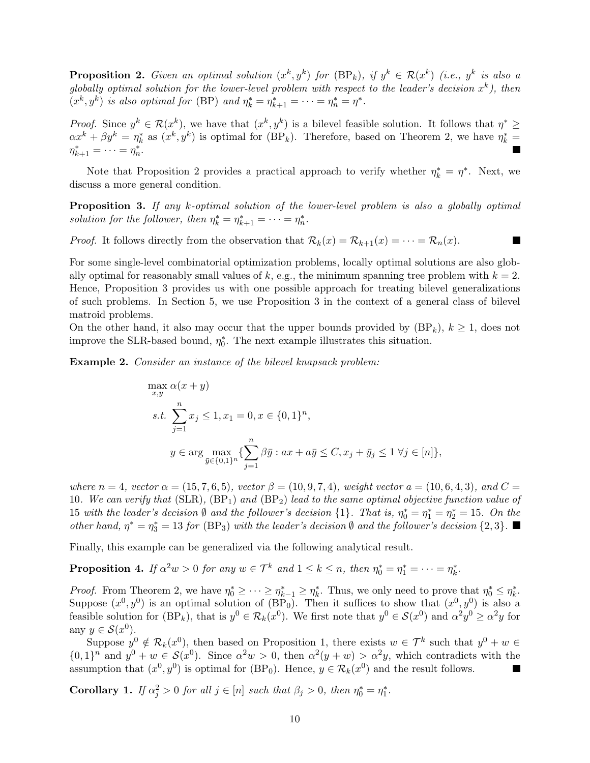**Proposition 2.** Given an optimal solution  $(x^k, y^k)$  for  $(BP_k)$ , if  $y^k \in \mathcal{R}(x^k)$  (i.e.,  $y^k$  is also a globally optimal solution for the lower-level problem with respect to the leader's decision  $x^k$ ), then  $(x^k, y^k)$  is also optimal for (BP) and  $\eta_k^* = \eta_{k+1}^* = \cdots = \eta_n^* = \eta^*$ .

*Proof.* Since  $y^k \in \mathcal{R}(x^k)$ , we have that  $(x^k, y^k)$  is a bilevel feasible solution. It follows that  $\eta^* \geq$  $\alpha x^k + \beta y^k = \eta_k^*$  as  $(x^k, y^k)$  is optimal for  $(BP_k)$ . Therefore, based on Theorem 2, we have  $\eta_k^* =$  $\eta_{k+1}^* = \cdots = \eta_n^*.$ 

Note that Proposition 2 provides a practical approach to verify whether  $\eta_k^* = \eta^*$ . Next, we discuss a more general condition.

**Proposition 3.** If any k-optimal solution of the lower-level problem is also a globally optimal solution for the follower, then  $\eta_k^* = \eta_{k+1}^* = \cdots = \eta_n^*$ .

**The Second Service** 

*Proof.* It follows directly from the observation that  $\mathcal{R}_k(x) = \mathcal{R}_{k+1}(x) = \cdots = \mathcal{R}_n(x)$ .

For some single-level combinatorial optimization problems, locally optimal solutions are also globally optimal for reasonably small values of k, e.g., the minimum spanning tree problem with  $k = 2$ . Hence, Proposition 3 provides us with one possible approach for treating bilevel generalizations of such problems. In Section 5, we use Proposition 3 in the context of a general class of bilevel matroid problems.

On the other hand, it also may occur that the upper bounds provided by  $(BP_k)$ ,  $k \geq 1$ , does not improve the SLR-based bound,  $\eta_0^*$ . The next example illustrates this situation.

Example 2. Consider an instance of the bilevel knapsack problem:

$$
\max_{x,y} \alpha(x+y)
$$
\n
$$
s.t. \sum_{j=1}^{n} x_j \le 1, x_1 = 0, x \in \{0,1\}^n,
$$
\n
$$
y \in \arg \max_{\bar{y} \in \{0,1\}^n} \left\{ \sum_{j=1}^n \beta \bar{y} : ax + a\bar{y} \le C, x_j + \bar{y}_j \le 1 \,\forall j \in [n] \right\},\
$$

where  $n = 4$ , vector  $\alpha = (15, 7, 6, 5)$ , vector  $\beta = (10, 9, 7, 4)$ , weight vector  $a = (10, 6, 4, 3)$ , and  $C =$ 10. We can verify that  $(SLR)$ ,  $(BP_1)$  and  $(BP_2)$  lead to the same optimal objective function value of 15 with the leader's decision  $\emptyset$  and the follower's decision  $\{1\}$ . That is,  $\eta_0^* = \eta_1^* = \eta_2^* = 15$ . On the other hand,  $\eta^* = \eta_3^* = 13$  for (BP<sub>3</sub>) with the leader's decision  $\emptyset$  and the follower's decision  $\{2,3\}$ .

Finally, this example can be generalized via the following analytical result.

**Proposition 4.** If  $\alpha^2 w > 0$  for any  $w \in \mathcal{T}^k$  and  $1 \leq k \leq n$ , then  $\eta_0^* = \eta_1^* = \cdots = \eta_k^*$ .

*Proof.* From Theorem 2, we have  $\eta_0^* \geq \cdots \geq \eta_{k-1}^* \geq \eta_k^*$ . Thus, we only need to prove that  $\eta_0^* \leq \eta_k^*$ . Suppose  $(x^0, y^0)$  is an optimal solution of  $(BP_0)$ . Then it suffices to show that  $(x^0, y^0)$  is also a feasible solution for  $(BP_k)$ , that is  $y^0 \in \mathcal{R}_k(x^0)$ . We first note that  $y^0 \in \mathcal{S}(x^0)$  and  $\alpha^2 y^0 \ge \alpha^2 y$  for any  $y \in \mathcal{S}(x^0)$ .

Suppose  $y^0 \notin \mathcal{R}_k(x^0)$ , then based on Proposition 1, there exists  $w \in \mathcal{T}^k$  such that  $y^0 + w \in$  $\{0,1\}^n$  and  $y^0 + w \in \mathcal{S}(x^0)$ . Since  $\alpha^2 w > 0$ , then  $\alpha^2(y + w) > \alpha^2 y$ , which contradicts with the assumption that  $(x^0, y^0)$  is optimal for (BP<sub>0</sub>). Hence,  $y \in \mathcal{R}_k(x^0)$  and the result follows. 

**Corollary 1.** If  $\alpha_j^2 > 0$  for all  $j \in [n]$  such that  $\beta_j > 0$ , then  $\eta_0^* = \eta_1^*$ .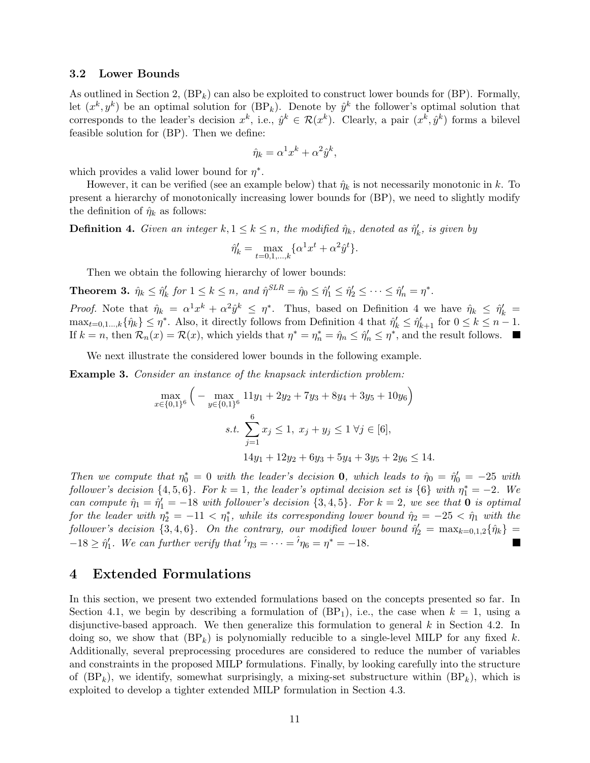#### 3.2 Lower Bounds

As outlined in Section 2,  $(BP_k)$  can also be exploited to construct lower bounds for  $(BP)$ . Formally, let  $(x^k, y^k)$  be an optimal solution for  $(BP_k)$ . Denote by  $\hat{y}^k$  the follower's optimal solution that corresponds to the leader's decision  $x^k$ , i.e.,  $\hat{y}^k \in \mathcal{R}(x^k)$ . Clearly, a pair  $(x^k, \hat{y}^k)$  forms a bilevel feasible solution for (BP). Then we define:

$$
\hat{\eta}_k = \alpha^1 x^k + \alpha^2 \hat{y}^k,
$$

which provides a valid lower bound for  $\eta^*$ .

However, it can be verified (see an example below) that  $\hat{\eta}_k$  is not necessarily monotonic in k. To present a hierarchy of monotonically increasing lower bounds for (BP), we need to slightly modify the definition of  $\hat{\eta}_k$  as follows:

**Definition 4.** Given an integer  $k, 1 \leq k \leq n$ , the modified  $\hat{\eta}_k$ , denoted as  $\hat{\eta}'_k$ , is given by

$$
\hat{\eta}'_k = \max_{t=0,1,\dots,k} \{ \alpha^1 x^t + \alpha^2 \hat{y}^t \}.
$$

Then we obtain the following hierarchy of lower bounds:

**Theorem 3.**  $\hat{\eta}_k \leq \hat{\eta}'_k$  for  $1 \leq k \leq n$ , and  $\hat{\eta}^{SLR} = \hat{\eta}_0 \leq \hat{\eta}'_1 \leq \hat{\eta}'_2 \leq \cdots \leq \hat{\eta}'_n = \eta^*$ .

*Proof.* Note that  $\hat{\eta}_k = \alpha^1 x^k + \alpha^2 \hat{y}^k \leq \eta^*$ . Thus, based on Definition 4 we have  $\hat{\eta}_k \leq \hat{\eta}'_k =$  $\max_{t=0,1,\dots,k} {\hat{\eta}}_k \leq \eta^*$ . Also, it directly follows from Definition 4 that  $\hat{\eta}'_k \leq \hat{\eta}'_{k+1}$  for  $0 \leq k \leq n-1$ . If  $k = n$ , then  $\mathcal{R}_n(x) = \mathcal{R}(x)$ , which yields that  $\eta^* = \eta_n^* = \hat{\eta}_n \leq \hat{\eta}'_n \leq \eta^*$ , and the result follows.

We next illustrate the considered lower bounds in the following example.

Example 3. Consider an instance of the knapsack interdiction problem:

$$
\max_{x \in \{0,1\}^6} \left( -\max_{y \in \{0,1\}^6} 11y_1 + 2y_2 + 7y_3 + 8y_4 + 3y_5 + 10y_6 \right)
$$
  
s.t. 
$$
\sum_{j=1}^6 x_j \le 1, \ x_j + y_j \le 1 \ \forall j \in [6],
$$

$$
14y_1 + 12y_2 + 6y_3 + 5y_4 + 3y_5 + 2y_6 \le 14.
$$

Then we compute that  $\eta_0^* = 0$  with the leader's decision **0**, which leads to  $\hat{\eta}_0 = \hat{\eta}'_0 = -25$  with follower's decision  $\{4, 5, 6\}$ . For  $k = 1$ , the leader's optimal decision set is  $\{6\}$  with  $\eta_1^* = -2$ . We can compute  $\hat{\eta}_1 = \hat{\eta}'_1 = -18$  with follower's decision  $\{3, 4, 5\}$ . For  $k = 2$ , we see that **0** is optimal for the leader with  $\eta_2^* = -11 < \eta_1^*$ , while its corresponding lower bound  $\hat{\eta}_2 = -25 < \hat{\eta}_1$  with the follower's decision  $\{3, 4, 6\}$ . On the contrary, our modified lower bound  $\hat{\eta}'_2 = \max_{k=0,1,2} {\{\hat{\eta}_k\}} =$  $-18 \geq \hat{\eta}'_1$ . We can further verify that  $\hat{\theta}_{\eta_3} = \cdots = \hat{\theta}_{\eta_6} = \eta^* = -18$ .

# 4 Extended Formulations

In this section, we present two extended formulations based on the concepts presented so far. In Section 4.1, we begin by describing a formulation of  $(BP_1)$ , i.e., the case when  $k = 1$ , using a disjunctive-based approach. We then generalize this formulation to general k in Section 4.2. In doing so, we show that  $(BP_k)$  is polynomially reducible to a single-level MILP for any fixed k. Additionally, several preprocessing procedures are considered to reduce the number of variables and constraints in the proposed MILP formulations. Finally, by looking carefully into the structure of  $(BP_k)$ , we identify, somewhat surprisingly, a mixing-set substructure within  $(BP_k)$ , which is exploited to develop a tighter extended MILP formulation in Section 4.3.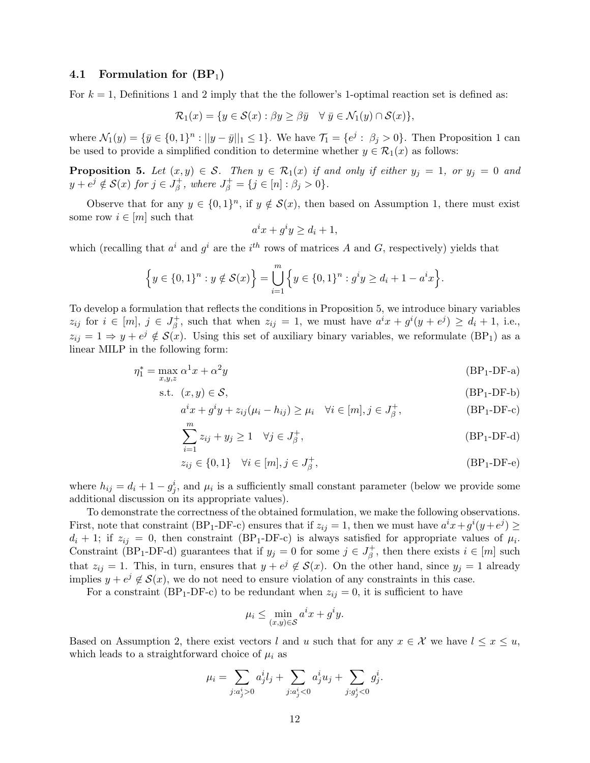## 4.1 Formulation for  $(BP_1)$

For  $k = 1$ , Definitions 1 and 2 imply that the the follower's 1-optimal reaction set is defined as:

$$
\mathcal{R}_1(x) = \{ y \in \mathcal{S}(x) : \beta y \ge \beta \bar{y} \quad \forall \ \bar{y} \in \mathcal{N}_1(y) \cap \mathcal{S}(x) \},
$$

where  $\mathcal{N}_1(y) = \{ \bar{y} \in \{0,1\}^n : ||y - \bar{y}||_1 \leq 1 \}.$  We have  $\mathcal{T}_1 = \{ e^j : \beta_j > 0 \}.$  Then Proposition 1 can be used to provide a simplified condition to determine whether  $y \in \mathcal{R}_1(x)$  as follows:

**Proposition 5.** Let  $(x, y) \in S$ . Then  $y \in \mathcal{R}_1(x)$  if and only if either  $y_j = 1$ , or  $y_j = 0$  and  $y + e^j \notin \mathcal{S}(x)$  for  $j \in J^+_\beta$  $J_{\beta}^{+}$ , where  $J_{\beta}^{+} = \{j \in [n] : \beta_{j} > 0\}.$ 

Observe that for any  $y \in \{0,1\}^n$ , if  $y \notin \mathcal{S}(x)$ , then based on Assumption 1, there must exist some row  $i \in [m]$  such that

$$
a^ix + g^iy \ge d_i + 1,
$$

which (recalling that  $a^i$  and  $g^i$  are the i<sup>th</sup> rows of matrices A and G, respectively) yields that

$$
\left\{y \in \{0,1\}^n : y \notin \mathcal{S}(x)\right\} = \bigcup_{i=1}^m \left\{y \in \{0,1\}^n : g^i y \ge d_i + 1 - a^i x\right\}.
$$

To develop a formulation that reflects the conditions in Proposition 5, we introduce binary variables  $z_{ij}$  for  $i \in [m], j \in J^+_{\beta}$  $\beta^+$ , such that when  $z_{ij} = 1$ , we must have  $a^i x + g^i (y + e^j) \ge d_i + 1$ , i.e.,  $z_{ij} = 1 \Rightarrow y + e^j \notin \mathcal{S}(x)$ . Using this set of auxiliary binary variables, we reformulate (BP<sub>1</sub>) as a linear MILP in the following form:

$$
\eta_1^* = \max_{x,y,z} \alpha^1 x + \alpha^2 y \tag{BP_1-DF-a}
$$

$$
\text{s.t. } (x, y) \in \mathcal{S}, \tag{BP_1-DF-b}
$$

$$
a^ix + g^iy + z_{ij}(\mu_i - h_{ij}) \ge \mu_i \quad \forall i \in [m], j \in J_\beta^+,
$$
 (BP<sub>1</sub>-DF-c)  

$$
m
$$

$$
\sum_{i=1}^{m} z_{ij} + y_j \ge 1 \quad \forall j \in J_{\beta}^{+}, \tag{BP1-DF-d}
$$

$$
z_{ij} \in \{0, 1\} \quad \forall i \in [m], j \in J_{\beta}^+, \tag{BP_1-DF-e}
$$

where  $h_{ij} = d_i + 1 - g_j^i$ , and  $\mu_i$  is a sufficiently small constant parameter (below we provide some additional discussion on its appropriate values).

To demonstrate the correctness of the obtained formulation, we make the following observations. First, note that constraint (BP<sub>1</sub>-DF-c) ensures that if  $z_{ij} = 1$ , then we must have  $a^i x + g^i (y + e^j) \ge$  $d_i + 1$ ; if  $z_{ij} = 0$ , then constraint (BP<sub>1</sub>-DF-c) is always satisfied for appropriate values of  $\mu_i$ . Constraint (BP<sub>1</sub>-DF-d) guarantees that if  $y_j = 0$  for some  $j \in J_\beta^+$  $\phi_{\beta}^{+}$ , then there exists  $i \in [m]$  such that  $z_{ij} = 1$ . This, in turn, ensures that  $y + e^j \notin S(x)$ . On the other hand, since  $y_j = 1$  already implies  $y + e^j \notin S(x)$ , we do not need to ensure violation of any constraints in this case.

For a constraint (BP<sub>1</sub>-DF-c) to be redundant when  $z_{ij} = 0$ , it is sufficient to have

$$
\mu_i \le \min_{(x,y)\in \mathcal{S}} a^i x + g^i y.
$$

Based on Assumption 2, there exist vectors l and u such that for any  $x \in \mathcal{X}$  we have  $l \leq x \leq u$ , which leads to a straightforward choice of  $\mu_i$  as

$$
\mu_i = \sum_{j:a_j^i > 0} a_j^i l_j + \sum_{j:a_j^i < 0} a_j^i u_j + \sum_{j: g_j^i < 0} g_j^i.
$$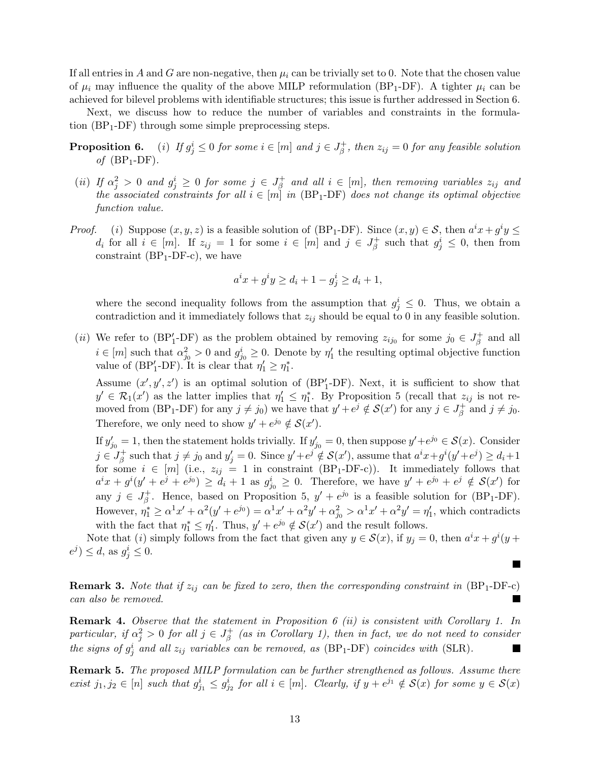If all entries in A and G are non-negative, then  $\mu_i$  can be trivially set to 0. Note that the chosen value of  $\mu_i$  may influence the quality of the above MILP reformulation (BP<sub>1</sub>-DF). A tighter  $\mu_i$  can be achieved for bilevel problems with identifiable structures; this issue is further addressed in Section 6.

Next, we discuss how to reduce the number of variables and constraints in the formulation  $(BP_1-DF)$  through some simple preprocessing steps.

- **Proposition 6.** (i) If  $g_j^i \leq 0$  for some  $i \in [m]$  and  $j \in J_\beta^+$  $z_{ij}^+$ , then  $z_{ij} = 0$  for any feasible solution of  $(BP_1-DF)$ .
- (*ii*) If  $\alpha_j^2 > 0$  and  $g_j^i \geq 0$  for some  $j \in J_\beta^+$  $\mathcal{E}_{\beta}^{+}$  and all  $i \in [m],$  then removing variables  $z_{ij}$  and the associated constraints for all  $i \in [m]$  in (BP<sub>1</sub>-DF) does not change its optimal objective function value.
- *Proof.* (i) Suppose  $(x, y, z)$  is a feasible solution of (BP<sub>1</sub>-DF). Since  $(x, y) \in S$ , then  $a^ix + g^iy \leq$  $d_i$  for all  $i \in [m]$ . If  $z_{ij} = 1$  for some  $i \in [m]$  and  $j \in J_\beta^+$  $g^{\dagger}_{\beta}$  such that  $g^i_j \leq 0$ , then from constraint  $(BP_1-DF-c)$ , we have

$$
a^{i}x + g^{i}y \ge d_{i} + 1 - g^{i}_{j} \ge d_{i} + 1,
$$

where the second inequality follows from the assumption that  $g_j^i \leq 0$ . Thus, we obtain a contradiction and it immediately follows that  $z_{ij}$  should be equal to 0 in any feasible solution.

(*ii*) We refer to (BP<sup>'</sup><sub>1</sub>-DF) as the problem obtained by removing  $z_{ij_0}$  for some  $j_0 \in J^+_{\beta}$  $\beta^+$  and all  $i \in [m]$  such that  $\alpha_{j_0}^2 > 0$  and  $g_{j_0}^i \geq 0$ . Denote by  $\eta'_1$  the resulting optimal objective function value of  $(BP'_1 - DF)$ . It is clear that  $\eta'_1 \geq \eta_1^*$ .

Assume  $(x', y', z')$  is an optimal solution of  $(BP'_1-DF)$ . Next, it is sufficient to show that  $y' \in \mathcal{R}_1(x')$  as the latter implies that  $\eta'_1 \leq \eta_1^*$ . By Proposition 5 (recall that  $z_{ij}$  is not removed from (BP<sub>1</sub>-DF) for any  $j \neq j_0$ ) we have that  $y' + e^j \notin S(x')$  for any  $j \in J_\beta^+$  $j_{\beta}^+$  and  $j \neq j_0$ . Therefore, we only need to show  $y' + e^{j_0} \notin \mathcal{S}(x')$ .

If  $y'_{j0} = 1$ , then the statement holds trivially. If  $y'_{j0} = 0$ , then suppose  $y' + e^{j0} \in \mathcal{S}(x)$ . Consider  $j \in J^+_\beta$  $s^{\pm}_{\beta}$  such that  $j \neq j_0$  and  $y'_j = 0$ . Since  $y' + e^{j} \notin S(x')$ , assume that  $a^i x + g^i(y' + e^{j}) \geq d_i + 1$ for some  $i \in [m]$  (i.e.,  $z_{ij} = 1$  in constraint (BP<sub>1</sub>-DF-c)). It immediately follows that  $a^ix + g^i(y' + e^j + e^{j_0}) \ge d_i + 1$  as  $g^i_{j_0} \ge 0$ . Therefore, we have  $y' + e^{j_0} + e^j \notin S(x')$  for any  $j \in J^+_A$ <sup>+</sup><sub>β</sub>. Hence, based on Proposition 5,  $y' + e^{j_0}$  is a feasible solution for (BP<sub>1</sub>-DF). However,  $\eta_1^* \ge \alpha^1 x' + \alpha^2 (y' + e^{j_0}) = \alpha^1 x' + \alpha^2 y' + \alpha_{j_0}^2 > \alpha^1 x' + \alpha^2 y' = \eta_1'$ , which contradicts with the fact that  $\eta_1^* \leq \eta_1'$ . Thus,  $y' + e^{j_0} \notin \mathcal{S}(x')$  and the result follows.

Note that (i) simply follows from the fact that given any  $y \in \mathcal{S}(x)$ , if  $y_j = 0$ , then  $a^i x + g^i (y +$  $e^j$ )  $\leq d$ , as  $g^i_j \leq 0$ .

**Remark 3.** Note that if  $z_{ij}$  can be fixed to zero, then the corresponding constraint in (BP<sub>1</sub>-DF-c) can also be removed.

**Remark 4.** Observe that the statement in Proposition 6 (ii) is consistent with Corollary 1. In particular, if  $\alpha_j^2 > 0$  for all  $j \in J_\beta^+$  $\frac{1}{\beta}$  (as in Corollary 1), then in fact, we do not need to consider the signs of  $g_j^i$  and all  $z_{ij}$  variables can be removed, as  $(BP_1-DF)$  coincides with  $(SLR)$ . Ш

Remark 5. The proposed MILP formulation can be further strengthened as follows. Assume there exist  $j_1, j_2 \in [n]$  such that  $g_{j_1}^i \leq g_{j_2}^i$  for all  $i \in [m]$ . Clearly, if  $y + e^{j_1} \notin \mathcal{S}(x)$  for some  $y \in \mathcal{S}(x)$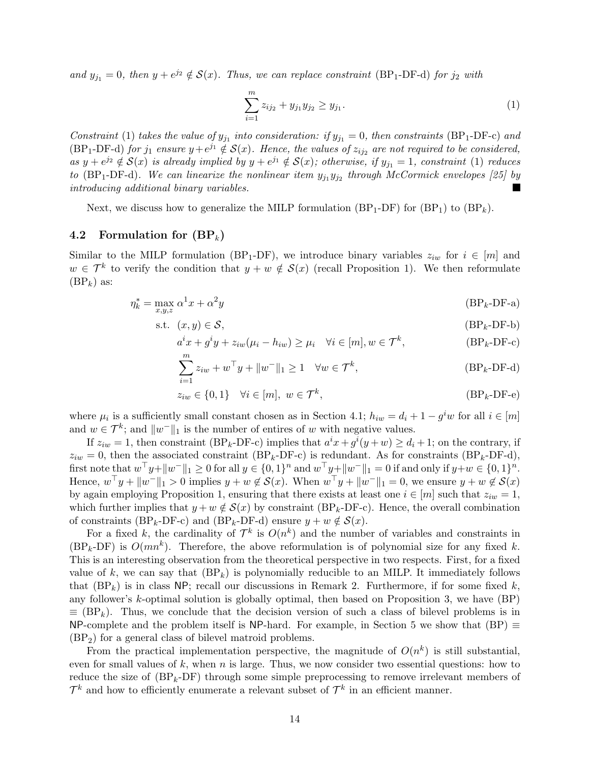and  $y_{j_1} = 0$ , then  $y + e^{j_2} \notin \mathcal{S}(x)$ . Thus, we can replace constraint (BP<sub>1</sub>-DF-d) for  $j_2$  with

$$
\sum_{i=1}^{m} z_{ij_2} + y_{j_1} y_{j_2} \ge y_{j_1}.
$$
 (1)

Constraint (1) takes the value of  $y_{j_1}$  into consideration: if  $y_{j_1} = 0$ , then constraints (BP<sub>1</sub>-DF-c) and (BP<sub>1</sub>-DF-d) for  $j_1$  ensure  $y + e^{j_1} \notin S(x)$ . Hence, the values of  $z_{ij_2}$  are not required to be considered, as  $y + e^{j_2} \notin S(x)$  is already implied by  $y + e^{j_1} \notin S(x)$ ; otherwise, if  $y_{j_1} = 1$ , constraint (1) reduces to (BP<sub>1</sub>-DF-d). We can linearize the nonlinear item  $y_{j_1}y_{j_2}$  through McCormick envelopes [25] by introducing additional binary variables.

Next, we discuss how to generalize the MILP formulation  $(BP_1-DF)$  for  $(BP_1)$  to  $(BP_k)$ .

# 4.2 Formulation for  $(BP_k)$

Similar to the MILP formulation (BP<sub>1</sub>-DF), we introduce binary variables  $z_{iw}$  for  $i \in [m]$  and  $w \in \mathcal{T}^k$  to verify the condition that  $y + w \notin \mathcal{S}(x)$  (recall Proposition 1). We then reformulate  $(BP_k)$  as:

$$
\eta_k^* = \max_{x,y,z} \alpha^1 x + \alpha^2 y \tag{BP_k-DF-a}
$$

$$
\text{s.t. } (x, y) \in \mathcal{S}, \tag{BP_k-DF-b}
$$

$$
a^ix + g^iy + z_{iw}(\mu_i - h_{iw}) \ge \mu_i \quad \forall i \in [m], w \in \mathcal{T}^k,
$$
 (BP<sub>k</sub>-DF-c)

$$
\sum_{i=1}^{m} z_{iw} + w^{\top} y + ||w^{\top}||_1 \ge 1 \quad \forall w \in \mathcal{T}^k,
$$
 (BP<sub>k</sub>-DF-d)

$$
z_{iw} \in \{0, 1\} \quad \forall i \in [m], \ w \in \mathcal{T}^k,
$$
\n(BP<sub>k</sub>-DF-e)

where  $\mu_i$  is a sufficiently small constant chosen as in Section 4.1;  $h_{iw} = d_i + 1 - g^i w$  for all  $i \in [m]$ and  $w \in \mathcal{T}^k$ ; and  $||w||_1$  is the number of entires of w with negative values.

If  $z_{iw} = 1$ , then constraint (BP<sub>k</sub>-DF-c) implies that  $a^ix + g^i(y + w) \ge d_i + 1$ ; on the contrary, if  $z_{iw} = 0$ , then the associated constraint (BP<sub>k</sub>-DF-c) is redundant. As for constraints (BP<sub>k</sub>-DF-d),  $\text{first note that } w^\top y + \|w^-\|_1 \geq 0 \text{ for all } y \in \{0,1\}^n \text{ and } w^\top y + \|w^-\|_1 = 0 \text{ if and only if } y + w \in \{0,1\}^n.$ Hence,  $w^{\top}y + \|w^-\|_1 > 0$  implies  $y + w \notin \mathcal{S}(x)$ . When  $w^{\top}y + \|w^-\|_1 = 0$ , we ensure  $y + w \notin \mathcal{S}(x)$ by again employing Proposition 1, ensuring that there exists at least one  $i \in [m]$  such that  $z_{iw} = 1$ , which further implies that  $y + w \notin S(x)$  by constraint (BP<sub>k</sub>-DF-c). Hence, the overall combination of constraints (BP<sub>k</sub>-DF-c) and (BP<sub>k</sub>-DF-d) ensure  $y + w \notin S(x)$ .

For a fixed k, the cardinality of  $\mathcal{T}^k$  is  $O(n^k)$  and the number of variables and constraints in  $(BP_k-DF)$  is  $O(mn^k)$ . Therefore, the above reformulation is of polynomial size for any fixed k. This is an interesting observation from the theoretical perspective in two respects. First, for a fixed value of k, we can say that  $(BP_k)$  is polynomially reducible to an MILP. It immediately follows that  $(BP_k)$  is in class NP; recall our discussions in Remark 2. Furthermore, if for some fixed k, any follower's k-optimal solution is globally optimal, then based on Proposition 3, we have (BP)  $\equiv$  (BP<sub>k</sub>). Thus, we conclude that the decision version of such a class of bilevel problems is in NP-complete and the problem itself is NP-hard. For example, in Section 5 we show that  $(BP) \equiv$ (BP2) for a general class of bilevel matroid problems.

From the practical implementation perspective, the magnitude of  $O(n^k)$  is still substantial, even for small values of  $k$ , when  $n$  is large. Thus, we now consider two essential questions: how to reduce the size of  $(BP_k-DF)$  through some simple preprocessing to remove irrelevant members of  $\mathcal{T}^k$  and how to efficiently enumerate a relevant subset of  $\mathcal{T}^k$  in an efficient manner.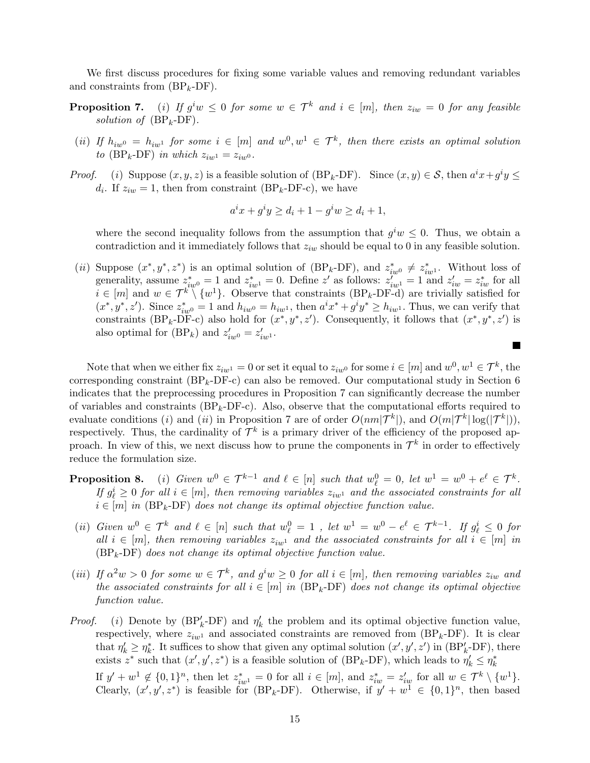We first discuss procedures for fixing some variable values and removing redundant variables and constraints from  $(BP_k-DF)$ .

- **Proposition 7.** (i) If  $g^iw \leq 0$  for some  $w \in \mathcal{T}^k$  and  $i \in [m]$ , then  $z_{iw} = 0$  for any feasible solution of  $(BP_k-DF)$ .
- (ii) If  $h_{iw0} = h_{iw1}$  for some  $i \in [m]$  and  $w^0, w^1 \in \mathcal{T}^k$ , then there exists an optimal solution to (BP<sub>k</sub>-DF) in which  $z_{iw1} = z_{iw0}$ .
- *Proof.* (i) Suppose  $(x, y, z)$  is a feasible solution of  $(BP_k-DF)$ . Since  $(x, y) \in S$ , then  $a^ix + g^iy \leq$  $d_i$ . If  $z_{iw} = 1$ , then from constraint (BP<sub>k</sub>-DF-c), we have

$$
a^ix + g^iy \ge d_i + 1 - g^iw \ge d_i + 1,
$$

where the second inequality follows from the assumption that  $g^iw \leq 0$ . Thus, we obtain a contradiction and it immediately follows that  $z_{iw}$  should be equal to 0 in any feasible solution.

(*ii*) Suppose  $(x^*, y^*, z^*)$  is an optimal solution of (BP<sub>k</sub>-DF), and  $z^*_{iw0} \neq z^*_{iw1}$ . Without loss of generality, assume  $z_{iw0}^* = 1$  and  $z_{iw1}^* = 0$ . Define z' as follows:  $z_{iw1} = 1$  and  $z_{iw} = z_{iw}^*$  for all  $i \in [m]$  and  $w \in \mathcal{T}^k \setminus \{w^1\}$ . Observe that constraints  $(BP_k-DF-d)$  are trivially satisfied for  $(x^*, y^*, z')$ . Since  $z_{iw0}^* = 1$  and  $h_{iw0} = h_{iw1}$ , then  $a^ix^* + g^iy^* \geq h_{iw1}$ . Thus, we can verify that constraints (BP<sub>k</sub>-DF-c) also hold for  $(x^*, y^*, z')$ . Consequently, it follows that  $(x^*, y^*, z')$  is also optimal for  $(BP_k)$  and  $z'_{iw0} = z'_{iw1}$ .

 $\blacksquare$ 

Note that when we either fix  $z_{iw1} = 0$  or set it equal to  $z_{iw0}$  for some  $i \in [m]$  and  $w^0, w^1 \in \mathcal{T}^k$ , the corresponding constraint  $(BP_k-DF-c)$  can also be removed. Our computational study in Section 6 indicates that the preprocessing procedures in Proposition 7 can significantly decrease the number of variables and constraints  $(BP_k-DF-c)$ . Also, observe that the computational efforts required to evaluate conditions (*i*) and (*ii*) in Proposition 7 are of order  $O(nm|\mathcal{T}^k|)$ , and  $O(m|\mathcal{T}^k|\log(|\mathcal{T}^k|))$ , respectively. Thus, the cardinality of  $\mathcal{T}^k$  is a primary driver of the efficiency of the proposed approach. In view of this, we next discuss how to prune the components in  $\mathcal{T}^k$  in order to effectively reduce the formulation size.

- **Proposition 8.** (i) Given  $w^0 \in \mathcal{T}^{k-1}$  and  $\ell \in [n]$  such that  $w^0_{\ell} = 0$ , let  $w^1 = w^0 + e^{\ell} \in \mathcal{T}^k$ . If  $g_{\ell}^i \geq 0$  for all  $i \in [m]$ , then removing variables  $z_{iw1}$  and the associated constraints for all  $i \in [m]$  in (BP<sub>k</sub>-DF) does not change its optimal objective function value.
- (ii) Given  $w^0 \in \mathcal{T}^k$  and  $\ell \in [n]$  such that  $w^0_\ell = 1$ , let  $w^1 = w^0 e^\ell \in \mathcal{T}^{k-1}$ . If  $g^i_\ell \leq 0$  for all  $i \in [m]$ , then removing variables  $z_{iw1}$  and the associated constraints for all  $i \in [m]$  in  $(BP_k-DF)$  does not change its optimal objective function value.
- (iii) If  $\alpha^2 w > 0$  for some  $w \in \mathcal{T}^k$ , and  $g^i w \geq 0$  for all  $i \in [m]$ , then removing variables  $z_{iw}$  and the associated constraints for all  $i \in [m]$  in (BP<sub>k</sub>-DF) does not change its optimal objective function value.
- *Proof.* (i) Denote by  $(BP'_k DF)$  and  $\eta'_k$  the problem and its optimal objective function value, respectively, where  $z_{iw1}$  and associated constraints are removed from  $(BP_k-DF)$ . It is clear that  $\eta'_k \geq \eta^*_k$ . It suffices to show that given any optimal solution  $(x', y', z')$  in  $(BP'_k-DF)$ , there exists  $z^*$  such that  $(x', y', z^*)$  is a feasible solution of  $(BP_k-DF)$ , which leads to  $\eta'_k \leq \eta^*_k$ If  $y' + w^1 \notin \{0,1\}^n$ , then let  $z_{iw}^* = 0$  for all  $i \in [m]$ , and  $z_{iw}^* = z_{iw}'$  for all  $w \in \mathcal{T}^k \setminus \{w^1\}$ . Clearly,  $(x', y', z^*)$  is feasible for (BP<sub>k</sub>-DF). Otherwise, if  $y' + w^1 \in \{0, 1\}^n$ , then based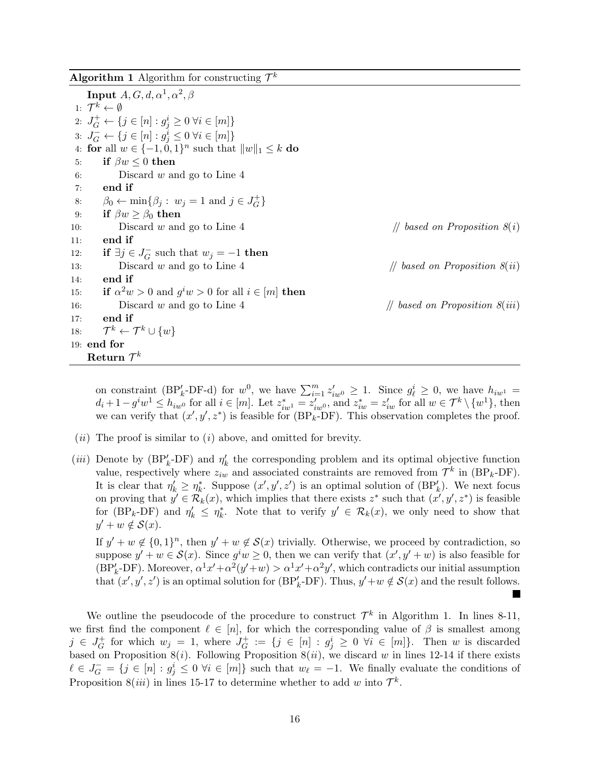|  | <b>Algorithm 1</b> Algorithm for constructing $\mathcal{T}^k$ |  |  |  |  |
|--|---------------------------------------------------------------|--|--|--|--|
|--|---------------------------------------------------------------|--|--|--|--|

 $\textbf{Input}~A, G, d, \alpha^1, \alpha^2, \beta$ 1:  $\mathcal{T}^k \leftarrow \emptyset$ 2:  $J_G^+ \leftarrow \{ j \in [n] : g_j^i \ge 0 \; \forall i \in [m] \}$ 3:  $J_G^- \leftarrow \{ j \in [n] : g_j^i \leq 0 \; \forall i \in [m] \}$ 4: for all  $w \in \{-1, 0, 1\}^n$  such that  $||w||_1 \leq k$  do 5: if  $\beta w \leq 0$  then 6: Discard w and go to Line 4 7: end if 8:  $\beta_0 \leftarrow \min\{\beta_j : w_j = 1 \text{ and } j \in J_G^+$  $G^+\}$ 9: if  $\beta w \ge \beta_0$  then 10: Discard w and go to Line 4 // based on Proposition  $\mathcal{S}(i)$ 11: end if 12: if  $\exists j \in J_G^ G$  such that  $w_j = -1$  then 13: Discard w and go to Line 4 // based on Proposition  $S(ii)$ 14: end if 15: if  $\alpha^2 w > 0$  and  $g^i w > 0$  for all  $i \in [m]$  then 16: Discard w and go to Line 4 // based on Proposition  $8(iii)$ 17: end if 18:  $\mathcal{T}^k \leftarrow \mathcal{T}^k \cup \{w\}$ 19: end for  $\mathrm{Return }\; \mathcal{T}^k$ 

on constraint (BP<sub>k</sub>-DF-d) for  $w^0$ , we have  $\sum_{i=1}^m z'_{iw^0} \ge 1$ . Since  $g^i_{\ell} \ge 0$ , we have  $h_{iw^1} =$  $d_i + 1 - g^i w^1 \le h_{iw0}$  for all  $i \in [m]$ . Let  $z_{iw1}^* = z_{iw0}$ , and  $z_{iw}^* = z_{iw}$  for all  $w \in \mathcal{T}^k \setminus \{w^1\}$ , then we can verify that  $(x', y', z^*)$  is feasible for  $(BP_k$ -DF). This observation completes the proof.

- $(ii)$  The proof is similar to  $(i)$  above, and omitted for brevity.
- (*iii*) Denote by ( $BP'_k$ -DF) and  $\eta'_k$  the corresponding problem and its optimal objective function value, respectively where  $z_{iw}$  and associated constraints are removed from  $\mathcal{T}^k$  in (BP<sub>k</sub>-DF). It is clear that  $\eta'_k \geq \eta^*_k$ . Suppose  $(x', y', z')$  is an optimal solution of  $(BP'_k)$ . We next focus on proving that  $y' \in \mathcal{R}_k(x)$ , which implies that there exists  $z^*$  such that  $(x', y', z^*)$  is feasible for (BP<sub>k</sub>-DF) and  $\eta'_k \leq \eta^*_k$ . Note that to verify  $y' \in \mathcal{R}_k(x)$ , we only need to show that  $y' + w \notin \mathcal{S}(x)$ .

If  $y' + w \notin \{0,1\}^n$ , then  $y' + w \notin \mathcal{S}(x)$  trivially. Otherwise, we proceed by contradiction, so suppose  $y' + w \in \mathcal{S}(x)$ . Since  $g^i w \geq 0$ , then we can verify that  $(x', y' + w)$  is also feasible for  $(BP'_k-DF)$ . Moreover,  $\alpha^1 x' + \alpha^2(y'+w) > \alpha^1 x' + \alpha^2 y'$ , which contradicts our initial assumption that  $(x', y', z')$  is an optimal solution for  $(BP'_k-DF)$ . Thus,  $y'+w \notin S(x)$  and the result follows.

We outline the pseudocode of the procedure to construct  $\mathcal{T}^k$  in Algorithm 1. In lines 8-11, we first find the component  $\ell \in [n]$ , for which the corresponding value of  $\beta$  is smallest among  $j \in J_G^+$  $G$ <sup>+</sup> for which  $w_j = 1$ , where  $J_G^+$  $G^+_G := \{ j \in [n] : g_j^i \geq 0 \ \forall i \in [m] \}.$  Then w is discarded based on Proposition 8(*i*). Following Proposition 8(*ii*), we discard w in lines 12-14 if there exists  $\ell \in J_G^- = \{j \in [n] : g_j^i \leq 0 \; \forall i \in [m]\}\$  such that  $w_{\ell} = -1$ . We finally evaluate the conditions of Proposition 8(*iii*) in lines 15-17 to determine whether to add w into  $\mathcal{T}^k$ .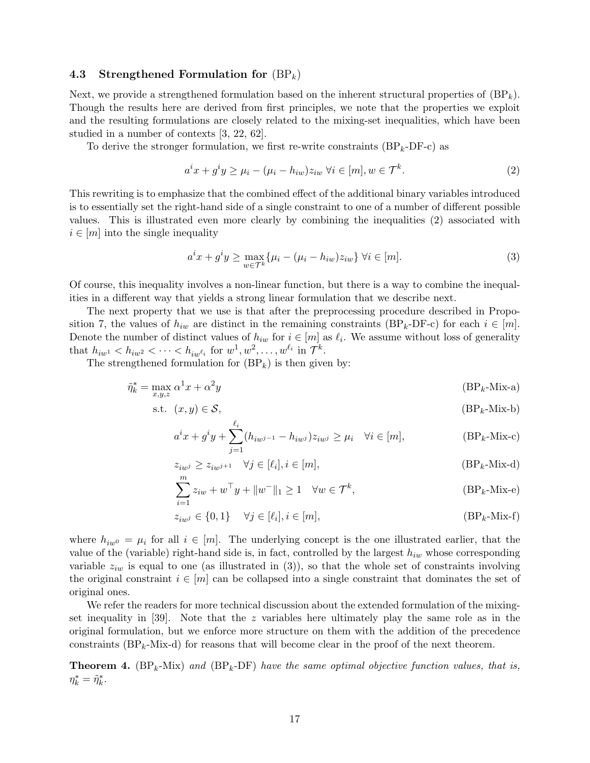## 4.3 Strengthened Formulation for  $(BP_k)$

Next, we provide a strengthened formulation based on the inherent structural properties of  $(BP_k)$ . Though the results here are derived from first principles, we note that the properties we exploit and the resulting formulations are closely related to the mixing-set inequalities, which have been studied in a number of contexts [3, 22, 62].

To derive the stronger formulation, we first re-write constraints  $(BP_k-DF-c)$  as

$$
a^ix + g^iy \ge \mu_i - (\mu_i - h_{iw})z_{iw} \,\forall i \in [m], w \in \mathcal{T}^k. \tag{2}
$$

This rewriting is to emphasize that the combined effect of the additional binary variables introduced is to essentially set the right-hand side of a single constraint to one of a number of different possible values. This is illustrated even more clearly by combining the inequalities (2) associated with  $i \in [m]$  into the single inequality

$$
a^ix + g^iy \ge \max_{w \in \mathcal{T}^k} \{\mu_i - (\mu_i - h_{iw})z_{iw}\} \,\forall i \in [m].\tag{3}
$$

Of course, this inequality involves a non-linear function, but there is a way to combine the inequalities in a different way that yields a strong linear formulation that we describe next.

The next property that we use is that after the preprocessing procedure described in Proposition 7, the values of  $h_{iw}$  are distinct in the remaining constraints (BP<sub>k</sub>-DF-c) for each  $i \in [m]$ . Denote the number of distinct values of  $h_{iw}$  for  $i \in [m]$  as  $\ell_i$ . We assume without loss of generality that  $h_{iw1} < h_{iw2} < \cdots < h_{iw^{\ell_i}}$  for  $w^1, w^2, \ldots, w^{\ell_i}$  in  $\mathcal{T}^k$ .

The strengthened formulation for  $(BP_k)$  is then given by:

$$
\tilde{\eta}_k^* = \max_{x, y, z} \alpha^1 x + \alpha^2 y \tag{BPk-Mix-a}
$$

$$
\text{s.t. } (x, y) \in \mathcal{S}, \tag{BP_k-Mix-b}
$$

$$
a^ix + g^iy + \sum_{j=1}^{\ell_i} (h_{iw^{j-1}} - h_{iw^j})z_{iw^j} \ge \mu_i \quad \forall i \in [m],
$$
 (BP<sub>k</sub>-Mix-c)

$$
z_{iw^j} \ge z_{iw^{j+1}} \quad \forall j \in [\ell_i], i \in [m], \tag{BP_k-Mix-d}
$$

$$
\sum_{i=1}^{m} z_{iw} + w^{\top} y + ||w^{\top}||_1 \ge 1 \quad \forall w \in \mathcal{T}^k,
$$
 (BP<sub>k</sub>-Mix-e)

$$
z_{iw^j} \in \{0, 1\} \quad \forall j \in [\ell_i], i \in [m], \tag{BP_k-Mix-f}
$$

where  $h_{iw0} = \mu_i$  for all  $i \in [m]$ . The underlying concept is the one illustrated earlier, that the value of the (variable) right-hand side is, in fact, controlled by the largest  $h_{iw}$  whose corresponding variable  $z_{iw}$  is equal to one (as illustrated in (3)), so that the whole set of constraints involving the original constraint  $i \in [m]$  can be collapsed into a single constraint that dominates the set of original ones.

We refer the readers for more technical discussion about the extended formulation of the mixingset inequality in [39]. Note that the z variables here ultimately play the same role as in the original formulation, but we enforce more structure on them with the addition of the precedence constraints  $(BP_k-Mix-d)$  for reasons that will become clear in the proof of the next theorem.

**Theorem 4.** ( $BP_k-Mix$ ) and ( $BP_k-DF$ ) have the same optimal objective function values, that is,  $\eta_k^* = \tilde{\eta}_k^*.$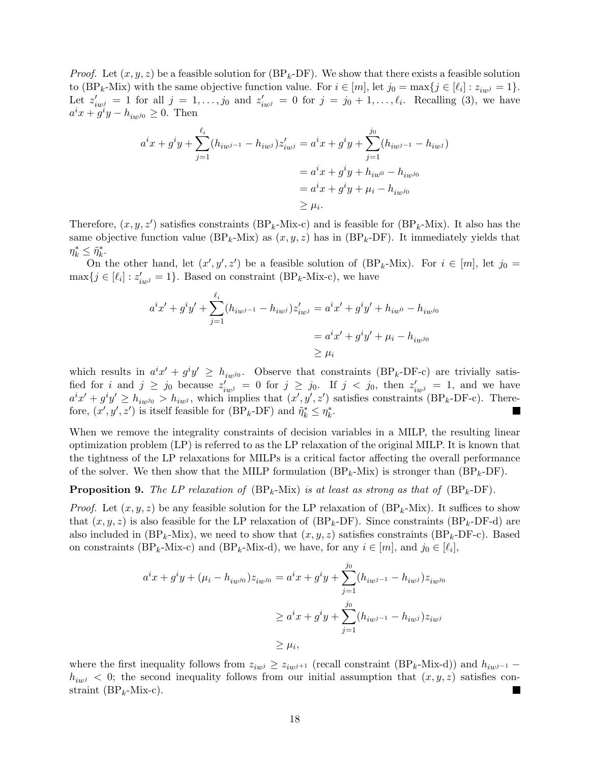*Proof.* Let  $(x, y, z)$  be a feasible solution for  $(BP_k-DF)$ . We show that there exists a feasible solution to  $(BP_k-Mix)$  with the same objective function value. For  $i \in [m]$ , let  $j_0 = \max\{j \in [\ell_i] : z_{iw^j} = 1\}$ . Let  $z'_{iwj} = 1$  for all  $j = 1, \ldots, j_0$  and  $z'_{iwj} = 0$  for  $j = j_0 + 1, \ldots, \ell_i$ . Recalling (3), we have  $a^ix + \tilde{g}^iy - h_{iwj_0} \geq 0$ . Then

$$
a^{i}x + g^{i}y + \sum_{j=1}^{\ell_{i}} (h_{iw^{j-1}} - h_{iw^{j}})z'_{iw^{j}} = a^{i}x + g^{i}y + \sum_{j=1}^{j_{0}} (h_{iw^{j-1}} - h_{iw^{j}})
$$
  
=  $a^{i}x + g^{i}y + h_{iw^{0}} - h_{iw^{j_{0}}}$   
=  $a^{i}x + g^{i}y + \mu_{i} - h_{iw^{j_{0}}}$   
 $\geq \mu_{i}.$ 

Therefore,  $(x, y, z')$  satisfies constraints (BP<sub>k</sub>-Mix-c) and is feasible for (BP<sub>k</sub>-Mix). It also has the same objective function value (BP<sub>k</sub>-Mix) as  $(x, y, z)$  has in (BP<sub>k</sub>-DF). It immediately yields that  $\eta_k^* \leq \tilde{\eta}_k^*.$ 

On the other hand, let  $(x', y', z')$  be a feasible solution of (BP<sub>k</sub>-Mix). For  $i \in [m]$ , let  $j_0 =$  $\max\{j \in [\ell_i] : z'_{iw^j} = 1\}$ . Based on constraint (BP<sub>k</sub>-Mix-c), we have

$$
a^{i}x' + g^{i}y' + \sum_{j=1}^{\ell_{i}} (h_{iw^{j-1}} - h_{iw^{j}})z'_{iw^{j}} = a^{i}x' + g^{i}y' + h_{iw^{0}} - h_{iw^{j_{0}}}
$$

$$
= a^{i}x' + g^{i}y' + \mu_{i} - h_{iw^{j_{0}}}
$$

$$
\geq \mu_{i}
$$

which results in  $a^ix' + g^iy' \ge h_{iw^{j_0}}$ . Observe that constraints (BP<sub>k</sub>-DF-c) are trivially satisfied for i and  $j \geq j_0$  because  $z'_{iw^j} = 0$  for  $j \geq j_0$ . If  $j < j_0$ , then  $z'_{iw^j} = 1$ , and we have  $a^ix' + g^iy' \ge h_{iw^{j_0}} > h_{iw^{j}}$ , which implies that  $(x', y', z')$  satisfies constraints (BP<sub>k</sub>-DF-c). Therefore,  $(x', y', z')$  is itself feasible for  $(BP_k-DF)$  and  $\tilde{\eta}_k^* \leq \eta_k^*$ .

When we remove the integrality constraints of decision variables in a MILP, the resulting linear optimization problem (LP) is referred to as the LP relaxation of the original MILP. It is known that the tightness of the LP relaxations for MILPs is a critical factor affecting the overall performance of the solver. We then show that the MILP formulation  $(BP_k-Mix)$  is stronger than  $(BP_k-DF)$ .

**Proposition 9.** The LP relaxation of  $(BP_k-Mix)$  is at least as strong as that of  $(BP_k-DF)$ .

*Proof.* Let  $(x, y, z)$  be any feasible solution for the LP relaxation of  $(BP_k-Mix)$ . It suffices to show that  $(x, y, z)$  is also feasible for the LP relaxation of  $(BP_k-DF)$ . Since constraints  $(BP_k-DF-d)$  are also included in  $(BP_k-Mix)$ , we need to show that  $(x, y, z)$  satisfies constraints  $(BP_k-DF-c)$ . Based on constraints (BP<sub>k</sub>-Mix-c) and (BP<sub>k</sub>-Mix-d), we have, for any  $i \in [m]$ , and  $j_0 \in [\ell_i]$ ,

$$
a^{i}x + g^{i}y + (\mu_{i} - h_{iw^{j_{0}}})z_{iw^{j_{0}}} = a^{i}x + g^{i}y + \sum_{j=1}^{j_{0}} (h_{iw^{j-1}} - h_{iw^{j}})z_{iw^{j_{0}}}
$$

$$
\geq a^{i}x + g^{i}y + \sum_{j=1}^{j_{0}} (h_{iw^{j-1}} - h_{iw^{j}})z_{iw^{j}}
$$

$$
\geq \mu_{i},
$$

where the first inequality follows from  $z_{iwj} \geq z_{iwj+1}$  (recall constraint (BP<sub>k</sub>-Mix-d)) and  $h_{iwj-1}$  –  $h_{iwj} < 0$ ; the second inequality follows from our initial assumption that  $(x, y, z)$  satisfies constraint ( $BP_k$ -Mix-c).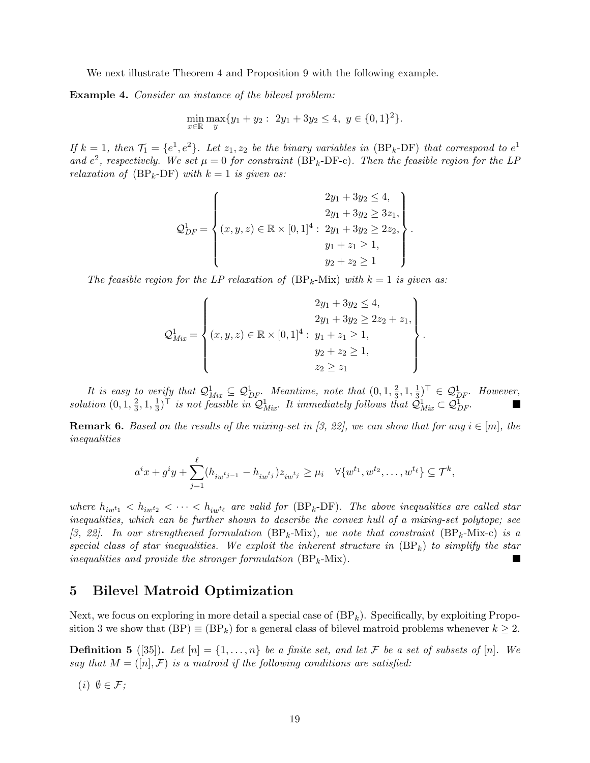We next illustrate Theorem 4 and Proposition 9 with the following example.

Example 4. Consider an instance of the bilevel problem:

$$
\min_{x \in \mathbb{R}} \max_{y} \{ y_1 + y_2 : 2y_1 + 3y_2 \le 4, y \in \{0, 1\}^2 \}.
$$

If  $k = 1$ , then  $\mathcal{T}_1 = \{e^1, e^2\}$ . Let  $z_1, z_2$  be the binary variables in  $(BP_k-DF)$  that correspond to  $e^1$ and  $e^2$ , respectively. We set  $\mu = 0$  for constraint (BP<sub>k</sub>-DF-c). Then the feasible region for the LP relaxation of  $(BP_k-DF)$  with  $k=1$  is given as:

$$
Q_{DF}^{1} = \begin{cases} 2y_{1} + 3y_{2} \le 4, \\ 2y_{1} + 3y_{2} \ge 3z_{1}, \\ (x, y, z) \in \mathbb{R} \times [0, 1]^{4} : 2y_{1} + 3y_{2} \ge 2z_{2}, \\ y_{1} + z_{1} \ge 1, \\ y_{2} + z_{2} \ge 1 \end{cases}.
$$

The feasible region for the LP relaxation of  $(BP_k-Mix)$  with  $k=1$  is given as:

$$
Q_{Mix}^{1} = \begin{cases} 2y_{1} + 3y_{2} \le 4, \\ 2y_{1} + 3y_{2} \ge 2z_{2} + z_{1}, \\ (x, y, z) \in \mathbb{R} \times [0, 1]^{4}: y_{1} + z_{1} \ge 1, \\ y_{2} + z_{2} \ge 1, \\ z_{2} \ge z_{1} \end{cases}.
$$

It is easy to verify that  $\mathcal{Q}_{Mix}^1 \subseteq \mathcal{Q}_{DF}^1$ . Meantime, note that  $(0, 1, \frac{2}{3})$  $\frac{2}{3}$ , 1,  $\frac{1}{3}$  $(\frac{1}{3})^{\top} \in \mathcal{Q}_{DF}^1$ . However, solution  $(0, 1, \frac{2}{3})$  $\frac{2}{3}$ , 1,  $\frac{1}{3}$  $\frac{1}{3}$ )<sup>T</sup> is not feasible in  $\mathcal{Q}_{Mix}^1$ . It immediately follows that  $\mathcal{Q}_{Mix}^1 \subset \mathcal{Q}_{DF}^1$ .

**Remark 6.** Based on the results of the mixing-set in [3, 22], we can show that for any  $i \in [m]$ , the inequalities

$$
a^ix + g^iy + \sum_{j=1}^{\ell} (h_{iw^{t_{j-1}}} - h_{iw^{t_j}})z_{iw^{t_j}} \ge \mu_i \quad \forall \{w^{t_1}, w^{t_2}, \dots, w^{t_{\ell}}\} \subseteq \mathcal{T}^k,
$$

where  $h_{iw^{t_1}} < h_{iw^{t_2}} < \cdots < h_{iw^{t_\ell}}$  are valid for (BP<sub>k</sub>-DF). The above inequalities are called star inequalities, which can be further shown to describe the convex hull of a mixing-set polytope; see [3, 22]. In our strengthened formulation  $(BP_k-Mix)$ , we note that constraint  $(BP_k-Mix-c)$  is a special class of star inequalities. We exploit the inherent structure in  $(BP_k)$  to simplify the star inequalities and provide the stronger formulation  $(BP_k-Mix)$ .

# 5 Bilevel Matroid Optimization

Next, we focus on exploring in more detail a special case of  $(BP_k)$ . Specifically, by exploiting Proposition 3 we show that  $(BP) \equiv (BP_k)$  for a general class of bilevel matroid problems whenever  $k \geq 2$ .

**Definition 5** ([35]). Let  $[n] = \{1, \ldots, n\}$  be a finite set, and let F be a set of subsets of  $[n]$ . We say that  $M = ([n], \mathcal{F})$  is a matroid if the following conditions are satisfied:

 $(i)$   $\emptyset \in \mathcal{F}$ ;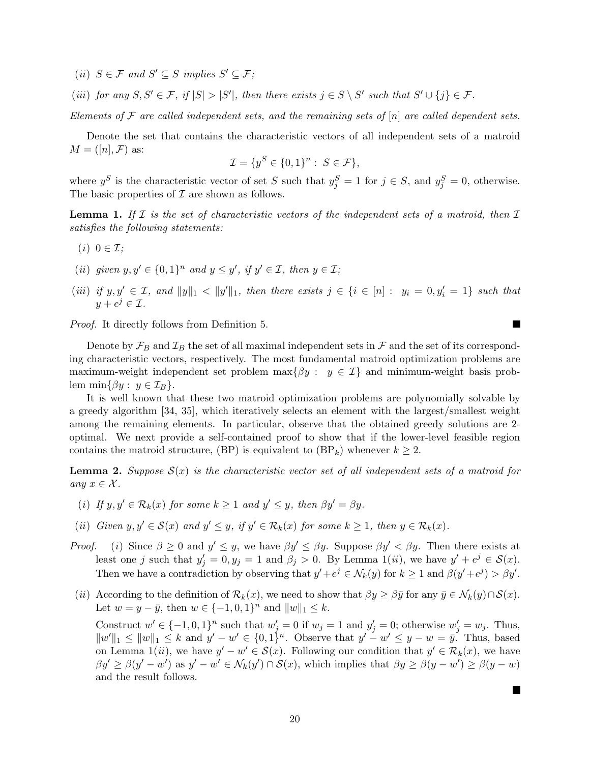(ii)  $S \in \mathcal{F}$  and  $S' \subseteq S$  implies  $S' \subseteq \mathcal{F}$ ;

(iii) for any  $S, S' \in \mathcal{F}$ , if  $|S| > |S'|$ , then there exists  $j \in S \setminus S'$  such that  $S' \cup \{j\} \in \mathcal{F}$ .

Elements of  $\mathcal F$  are called independent sets, and the remaining sets of  $[n]$  are called dependent sets.

Denote the set that contains the characteristic vectors of all independent sets of a matroid  $M = ([n], \mathcal{F})$  as:

$$
\mathcal{I} = \{y^S \in \{0,1\}^n : S \in \mathcal{F}\},\
$$

where  $y^S$  is the characteristic vector of set S such that  $y_j^S = 1$  for  $j \in S$ , and  $y_j^S = 0$ , otherwise. The basic properties of  $\mathcal I$  are shown as follows.

**Lemma 1.** If  $\mathcal I$  is the set of characteristic vectors of the independent sets of a matroid, then  $\mathcal I$ satisfies the following statements:

- $(i)$   $0 \in \mathcal{I}$ ;
- (ii) given  $y, y' \in \{0, 1\}^n$  and  $y \leq y'$ , if  $y' \in \mathcal{I}$ , then  $y \in \mathcal{I}$ ;
- (iii) if  $y, y' \in \mathcal{I}$ , and  $||y||_1 < ||y'||_1$ , then there exists  $j \in \{i \in [n]: y_i = 0, y'_i = 1\}$  such that  $y + e^j \in \mathcal{I}.$

 $\blacksquare$ 

 $\blacksquare$ 

Proof. It directly follows from Definition 5.

Denote by  $\mathcal{F}_B$  and  $\mathcal{I}_B$  the set of all maximal independent sets in  $\mathcal F$  and the set of its corresponding characteristic vectors, respectively. The most fundamental matroid optimization problems are maximum-weight independent set problem  $\max\{\beta y : y \in \mathcal{I}\}\$  and minimum-weight basis problem min $\{\beta y : y \in \mathcal{I}_B\}.$ 

It is well known that these two matroid optimization problems are polynomially solvable by a greedy algorithm [34, 35], which iteratively selects an element with the largest/smallest weight among the remaining elements. In particular, observe that the obtained greedy solutions are 2 optimal. We next provide a self-contained proof to show that if the lower-level feasible region contains the matroid structure, (BP) is equivalent to  $(BP_k)$  whenever  $k \geq 2$ .

**Lemma 2.** Suppose  $S(x)$  is the characteristic vector set of all independent sets of a matroid for any  $x \in \mathcal{X}$ .

- (i) If  $y, y' \in \mathcal{R}_k(x)$  for some  $k \ge 1$  and  $y' \le y$ , then  $\beta y' = \beta y$ .
- (ii) Given  $y, y' \in \mathcal{S}(x)$  and  $y' \leq y$ , if  $y' \in \mathcal{R}_k(x)$  for some  $k \geq 1$ , then  $y \in \mathcal{R}_k(x)$ .
- *Proof.* (i) Since  $\beta \geq 0$  and  $y' \leq y$ , we have  $\beta y' \leq \beta y$ . Suppose  $\beta y' < \beta y$ . Then there exists at least one j such that  $y'_j = 0, y_j = 1$  and  $\beta_j > 0$ . By Lemma  $1(ii)$ , we have  $y' + e^j \in S(x)$ . Then we have a contradiction by observing that  $y' + e^j \in \mathcal{N}_k(y)$  for  $k \geq 1$  and  $\beta(y' + e^j) > \beta y'$ .
- (ii) According to the definition of  $\mathcal{R}_k(x)$ , we need to show that  $\beta y \geq \beta \bar{y}$  for any  $\bar{y} \in \mathcal{N}_k(y) \cap \mathcal{S}(x)$ . Let  $w = y - \bar{y}$ , then  $w \in \{-1, 0, 1\}^n$  and  $||w||_1 \leq k$ .

Construct  $w' \in \{-1,0,1\}^n$  such that  $w'_j = 0$  if  $w_j = 1$  and  $y'_j = 0$ ; otherwise  $w'_j = w_j$ . Thus,  $||w'||_1 \leq ||w||_1 \leq k$  and  $y' - w' \in \{0, 1\}^n$ . Observe that  $y' - w' \leq y - w = \overline{y}$ . Thus, based on Lemma 1(*ii*), we have  $y' - w' \in \mathcal{S}(x)$ . Following our condition that  $y' \in \mathcal{R}_k(x)$ , we have  $\beta y' \ge \beta(y'-w')$  as  $y'-w' \in \mathcal{N}_k(y') \cap \mathcal{S}(x)$ , which implies that  $\beta y \ge \beta(y-w') \ge \beta(y-w)$ and the result follows.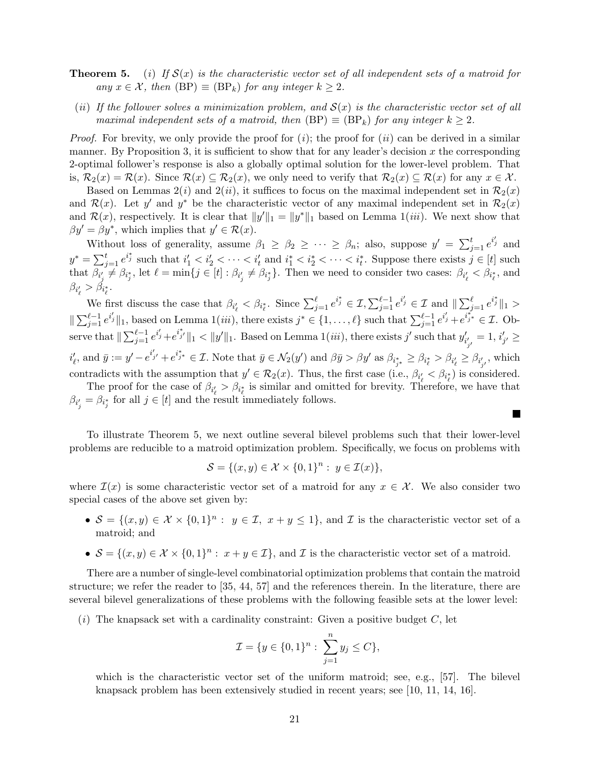- **Theorem 5.** (i) If  $S(x)$  is the characteristic vector set of all independent sets of a matroid for any  $x \in \mathcal{X}$ , then  $(BP) \equiv (BP_k)$  for any integer  $k \geq 2$ .
- (ii) If the follower solves a minimization problem, and  $S(x)$  is the characteristic vector set of all maximal independent sets of a matroid, then  $(BP) \equiv (BP_k)$  for any integer  $k \geq 2$ .

*Proof.* For brevity, we only provide the proof for  $(i)$ ; the proof for  $(ii)$  can be derived in a similar manner. By Proposition 3, it is sufficient to show that for any leader's decision  $x$  the corresponding 2-optimal follower's response is also a globally optimal solution for the lower-level problem. That is,  $\mathcal{R}_2(x) = \mathcal{R}(x)$ . Since  $\mathcal{R}(x) \subseteq \mathcal{R}_2(x)$ , we only need to verify that  $\mathcal{R}_2(x) \subseteq \mathcal{R}(x)$  for any  $x \in \mathcal{X}$ .

Based on Lemmas  $2(i)$  and  $2(ii)$ , it suffices to focus on the maximal independent set in  $\mathcal{R}_2(x)$ and  $\mathcal{R}(x)$ . Let y' and y<sup>\*</sup> be the characteristic vector of any maximal independent set in  $\mathcal{R}_2(x)$ and  $\mathcal{R}(x)$ , respectively. It is clear that  $||y'||_1 = ||y^*||_1$  based on Lemma 1(*iii*). We next show that  $\beta y' = \beta y^*$ , which implies that  $y' \in \mathcal{R}(x)$ .

Without loss of generality, assume  $\beta_1 \geq \beta_2 \geq \cdots \geq \beta_n$ ; also, suppose  $y' = \sum_{j=1}^t e^{i_j'}$  and  $y^* = \sum_{j=1}^t e^{i_j^*}$  such that  $i'_1 < i'_2 < \cdots < i'_t$  and  $i_1^* < i_2^* < \cdots < i_t^*$ . Suppose there exists  $j \in [t]$  such that  $\beta_{i'_j} \neq \beta_{i^*_j}$ , let  $\ell = \min\{j \in [t] : \beta_{i'_j} \neq \beta_{i^*_j}\}\$ . Then we need to consider two cases:  $\beta_{i'_\ell} < \beta_{i^*_\ell}$ , and  $\beta_{i'_\ell} > \beta_{i^*_\ell}.$ 

We first discuss the case that  $\beta_{i'_\ell} < \beta_{i^*_{\ell}}$ . Since  $\sum_{j=1}^{\ell} e^{i^*_{j}} \in \mathcal{I}, \sum_{j=1}^{\ell-1} e^{i'_j} \in \mathcal{I}$  and  $\|\sum_{j=1}^{\ell} e^{i^*_{j}}\|_1 >$  $\|\sum_{j=1}^{\ell-1} e^{i_j'}\|_1$ , based on Lemma  $1(iii)$ , there exists  $j^* \in \{1,\ldots,\ell\}$  such that  $\sum_{j=1}^{\ell-1} e^{i_j'}+e^{i_j*\}\epsilon \mathcal{I}$ . Observe that  $\|\sum_{j=1}^{\ell-1} e^{i'_j}+e^{i''_{j'}}\|_1 < \|y'\|_1$ . Based on Lemma 1(*iii*), there exists j' such that  $y'_{i'_{j'}} = 1$ ,  $i'_{j'} \ge$  $i'_{\ell}$ , and  $\bar{y} := y' - e^{i'_{j'}} + e^{i^{*}_{j*}} \in \mathcal{I}$ . Note that  $\bar{y} \in \mathcal{N}_2(y')$  and  $\beta \bar{y} > \beta y'$  as  $\beta_{i^{*}_{j*}} \geq \beta_{i^{*}_{\ell}} > \beta_{i'_{\ell}} \geq \beta_{i'_{j'}}$ , which contradicts with the assumption that  $y' \in \mathcal{R}_2(x)$ . Thus, the first case (i.e.,  $\beta_{i'_\ell} < \beta_{i^*_\ell}$ ) is considered.

The proof for the case of  $\beta_{i'_\ell} > \beta_{i^*_{\ell}}$  is similar and omitted for brevity. Therefore, we have that  $\beta_{i'_j} = \beta_{i^*_j}$  for all  $j \in [t]$  and the result immediately follows.

**The Second Service** 

To illustrate Theorem 5, we next outline several bilevel problems such that their lower-level problems are reducible to a matroid optimization problem. Specifically, we focus on problems with

$$
\mathcal{S} = \{(x, y) \in \mathcal{X} \times \{0, 1\}^n : y \in \mathcal{I}(x)\},
$$

where  $\mathcal{I}(x)$  is some characteristic vector set of a matroid for any  $x \in \mathcal{X}$ . We also consider two special cases of the above set given by:

- $S = \{(x, y) \in \mathcal{X} \times \{0, 1\}^n : y \in \mathcal{I}, x + y \leq 1\}$ , and  $\mathcal{I}$  is the characteristic vector set of a matroid; and
- $S = \{(x, y) \in \mathcal{X} \times \{0, 1\}^n : x + y \in \mathcal{I}\}\)$ , and  $\mathcal{I}$  is the characteristic vector set of a matroid.

There are a number of single-level combinatorial optimization problems that contain the matroid structure; we refer the reader to [35, 44, 57] and the references therein. In the literature, there are several bilevel generalizations of these problems with the following feasible sets at the lower level:

 $(i)$  The knapsack set with a cardinality constraint: Given a positive budget C, let

$$
\mathcal{I} = \{ y \in \{0, 1\}^n : \sum_{j=1}^n y_j \le C \},\
$$

which is the characteristic vector set of the uniform matroid; see, e.g., [57]. The bilevel knapsack problem has been extensively studied in recent years; see [10, 11, 14, 16].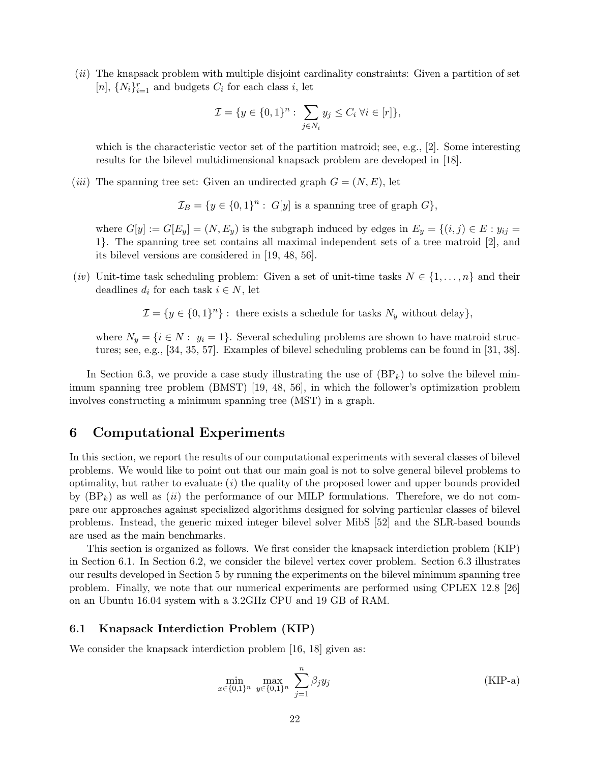(ii) The knapsack problem with multiple disjoint cardinality constraints: Given a partition of set [n],  $\{N_i\}_{i=1}^r$  and budgets  $C_i$  for each class *i*, let

$$
\mathcal{I} = \{ y \in \{0, 1\}^n : \sum_{j \in N_i} y_j \le C_i \ \forall i \in [r] \},\
$$

which is the characteristic vector set of the partition matroid; see, e.g., [2]. Some interesting results for the bilevel multidimensional knapsack problem are developed in [18].

(*iii*) The spanning tree set: Given an undirected graph  $G = (N, E)$ , let

 $\mathcal{I}_B = \{y \in \{0,1\}^n : G[y] \text{ is a spanning tree of graph } G\},\$ 

where  $G[y] := G[E_y] = (N, E_y)$  is the subgraph induced by edges in  $E_y = \{(i, j) \in E : y_{ij} =$ 1}. The spanning tree set contains all maximal independent sets of a tree matroid [2], and its bilevel versions are considered in [19, 48, 56].

(iv) Unit-time task scheduling problem: Given a set of unit-time tasks  $N \in \{1, \ldots, n\}$  and their deadlines  $d_i$  for each task  $i \in N$ , let

 $\mathcal{I} = \{y \in \{0,1\}^n\}$ : there exists a schedule for tasks  $N_y$  without delay},

where  $N_y = \{i \in N : y_i = 1\}$ . Several scheduling problems are shown to have matroid structures; see, e.g., [34, 35, 57]. Examples of bilevel scheduling problems can be found in [31, 38].

In Section 6.3, we provide a case study illustrating the use of  $(BP_k)$  to solve the bilevel minimum spanning tree problem (BMST) [19, 48, 56], in which the follower's optimization problem involves constructing a minimum spanning tree (MST) in a graph.

# 6 Computational Experiments

In this section, we report the results of our computational experiments with several classes of bilevel problems. We would like to point out that our main goal is not to solve general bilevel problems to optimality, but rather to evaluate  $(i)$  the quality of the proposed lower and upper bounds provided by  $(BP_k)$  as well as (ii) the performance of our MILP formulations. Therefore, we do not compare our approaches against specialized algorithms designed for solving particular classes of bilevel problems. Instead, the generic mixed integer bilevel solver MibS [52] and the SLR-based bounds are used as the main benchmarks.

This section is organized as follows. We first consider the knapsack interdiction problem (KIP) in Section 6.1. In Section 6.2, we consider the bilevel vertex cover problem. Section 6.3 illustrates our results developed in Section 5 by running the experiments on the bilevel minimum spanning tree problem. Finally, we note that our numerical experiments are performed using CPLEX 12.8 [26] on an Ubuntu 16.04 system with a 3.2GHz CPU and 19 GB of RAM.

#### 6.1 Knapsack Interdiction Problem (KIP)

We consider the knapsack interdiction problem [16, 18] given as:

$$
\min_{x \in \{0,1\}^n} \max_{y \in \{0,1\}^n} \sum_{j=1}^n \beta_j y_j \tag{KIP-a}
$$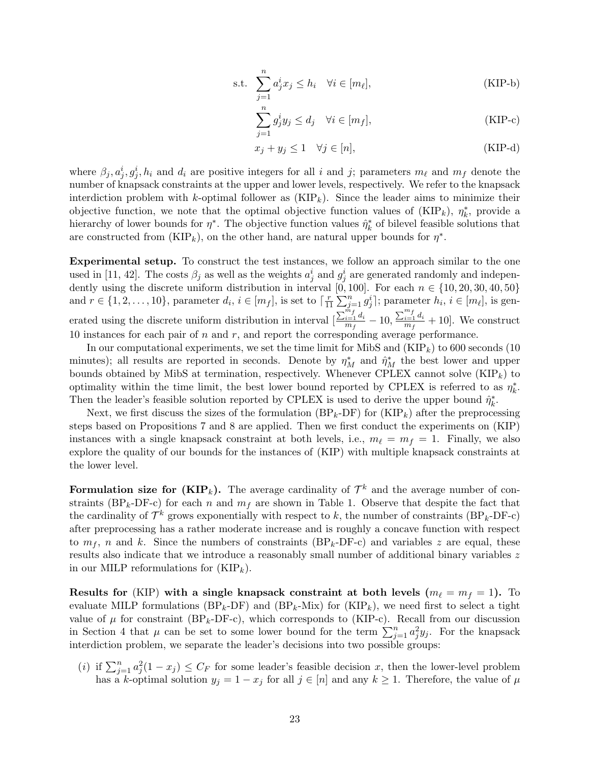s.t. 
$$
\sum_{j=1}^{n} a_j^i x_j \le h_i \quad \forall i \in [m_\ell],
$$
 (KIP-b)

$$
\sum_{j=1}^{n} g_j^i y_j \le d_j \quad \forall i \in [m_f],
$$
\n(KIP-c)

$$
x_j + y_j \le 1 \quad \forall j \in [n], \tag{KIP-d}
$$

where  $\beta_j, a_j^i, g_j^i, h_i$  and  $d_i$  are positive integers for all i and j; parameters  $m_\ell$  and  $m_f$  denote the number of knapsack constraints at the upper and lower levels, respectively. We refer to the knapsack interdiction problem with k-optimal follower as  $(KIP_k)$ . Since the leader aims to minimize their objective function, we note that the optimal objective function values of  $(KIP_k)$ ,  $\eta_k^*$ , provide a hierarchy of lower bounds for  $\eta^*$ . The objective function values  $\hat{\eta}_k^*$  of bilevel feasible solutions that are constructed from  $(KIP_k)$ , on the other hand, are natural upper bounds for  $\eta^*$ .

Experimental setup. To construct the test instances, we follow an approach similar to the one used in [11, 42]. The costs  $\beta_j$  as well as the weights  $a_j^i$  and  $g_j^i$  are generated randomly and independently using the discrete uniform distribution in interval [0, 100]. For each  $n \in \{10, 20, 30, 40, 50\}$ and  $r \in \{1, 2, \ldots, 10\}$ , parameter  $d_i, i \in [m_f]$ , is set to  $\lceil \frac{r}{1} \rceil$  $\frac{r}{11}\sum_{j=1}^{n}g_j^i$ ; parameter  $h_i, i \in [m_\ell]$ , is generated using the discrete uniform distribution in interval  $\left[\frac{\sum_{i=1}^{m_f} d_i}{m_f}\right]$  $\frac{\sum\limits_{i=1}^{m_f}d_i}{m_f}-10, \frac{\sum\limits_{i=1}^{m_f}d_i}{m_f}$  $\frac{i=1}{m_f}^{u_i}+10$ . We construct 10 instances for each pair of  $n$  and  $r$ , and report the corresponding average performance.

In our computational experiments, we set the time limit for MibS and  $(KIP_k)$  to 600 seconds (10) minutes); all results are reported in seconds. Denote by  $\eta_M^*$  and  $\hat{\eta}_M^*$  the best lower and upper bounds obtained by MibS at termination, respectively. Whenever CPLEX cannot solve  $(KIP_k)$  to optimality within the time limit, the best lower bound reported by CPLEX is referred to as  $\eta_k^*$ . Then the leader's feasible solution reported by CPLEX is used to derive the upper bound  $\hat{\eta}_k^*$ .

Next, we first discuss the sizes of the formulation  $(BP_k-DF)$  for  $(KIP_k)$  after the preprocessing steps based on Propositions 7 and 8 are applied. Then we first conduct the experiments on (KIP) instances with a single knapsack constraint at both levels, i.e.,  $m_{\ell} = m_f = 1$ . Finally, we also explore the quality of our bounds for the instances of (KIP) with multiple knapsack constraints at the lower level.

Formulation size for  $(KIP_k)$ . The average cardinality of  $\mathcal{T}^k$  and the average number of constraints (BP<sub>k</sub>-DF-c) for each n and  $m_f$  are shown in Table 1. Observe that despite the fact that the cardinality of  $\mathcal{T}^k$  grows exponentially with respect to k, the number of constraints (BP<sub>k</sub>-DF-c) after preprocessing has a rather moderate increase and is roughly a concave function with respect to  $m_f$ , n and k. Since the numbers of constraints  $(BP_k-DF-c)$  and variables z are equal, these results also indicate that we introduce a reasonably small number of additional binary variables z in our MILP reformulations for  $(KIP_k)$ .

Results for (KIP) with a single knapsack constraint at both levels ( $m_{\ell} = m_f = 1$ ). To evaluate MILP formulations ( $BP_k$ -DF) and ( $BP_k$ -Mix) for (KIP<sub>k</sub>), we need first to select a tight value of  $\mu$  for constraint (BP<sub>k</sub>-DF-c), which corresponds to (KIP-c). Recall from our discussion in Section 4 that  $\mu$  can be set to some lower bound for the term  $\sum_{j=1}^{n} a_j^2 y_j$ . For the knapsack interdiction problem, we separate the leader's decisions into two possible groups:

(i) if  $\sum_{j=1}^n a_j^2(1-x_j) \leq C_F$  for some leader's feasible decision x, then the lower-level problem has a k-optimal solution  $y_j = 1 - x_j$  for all  $j \in [n]$  and any  $k \ge 1$ . Therefore, the value of  $\mu$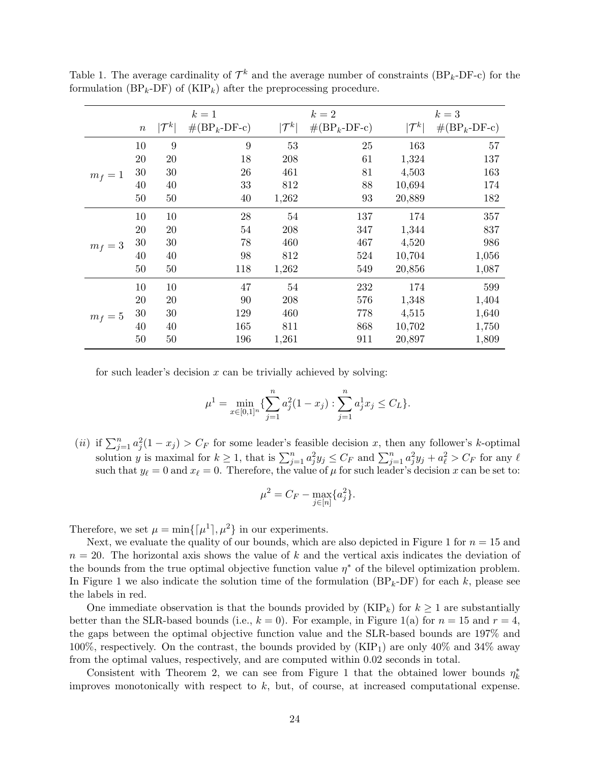|         |                  |                   | $k=1$                         |                   | $k=2$                         |                   | $k=3$                         |
|---------|------------------|-------------------|-------------------------------|-------------------|-------------------------------|-------------------|-------------------------------|
|         | $\boldsymbol{n}$ | $ \mathcal{T}^k $ | $\#(\text{BP}_k\text{-DF-c})$ | $ \mathcal{T}^k $ | $\#(\text{BP}_k\text{-DF-c})$ | $ \mathcal{T}^k $ | $\#(\text{BP}_k\text{-DF-c})$ |
|         | 10               | $\boldsymbol{9}$  | 9                             | 53                | 25                            | 163               | 57                            |
|         | 20               | 20                | 18                            | 208               | 61                            | 1,324             | 137                           |
| $m_f=1$ | $30\,$           | 30                | 26                            | 461               | 81                            | 4,503             | 163                           |
|         | 40               | 40                | 33                            | 812               | 88                            | 10,694            | 174                           |
|         | 50               | 50                | 40                            | 1,262             | 93                            | 20,889            | 182                           |
|         | 10               | 10                | 28                            | 54                | 137                           | 174               | 357                           |
|         | 20               | 20                | 54                            | 208               | 347                           | 1,344             | 837                           |
| $m_f=3$ | $30\,$           | 30                | 78                            | 460               | 467                           | 4,520             | 986                           |
|         | 40               | 40                | 98                            | 812               | 524                           | 10,704            | 1,056                         |
|         | $50\,$           | 50                | 118                           | 1,262             | 549                           | 20,856            | 1,087                         |
|         | 10               | 10                | 47                            | 54                | 232                           | 174               | 599                           |
|         | 20               | 20                | 90                            | 208               | 576                           | 1,348             | 1,404                         |
| $m_f=5$ | $30\,$           | 30                | 129                           | 460               | 778                           | 4,515             | 1,640                         |
|         | 40               | 40                | 165                           | 811               | 868                           | 10,702            | 1,750                         |
|         | 50               | 50                | 196                           | 1,261             | 911                           | 20,897            | 1,809                         |

Table 1. The average cardinality of  $\mathcal{T}^k$  and the average number of constraints (BP<sub>k</sub>-DF-c) for the formulation  $(BP_k-DF)$  of  $(KIP_k)$  after the preprocessing procedure.

for such leader's decision  $x$  can be trivially achieved by solving:

$$
\mu^{1} = \min_{x \in [0,1]^{n}} \{ \sum_{j=1}^{n} a_{j}^{2} (1 - x_{j}) : \sum_{j=1}^{n} a_{j}^{1} x_{j} \le C_{L} \}.
$$

(*ii*) if  $\sum_{j=1}^{n} a_j^2 (1-x_j) > C_F$  for some leader's feasible decision x, then any follower's k-optimal solution y is maximal for  $k \geq 1$ , that is  $\sum_{j=1}^{n} a_j^2 y_j \leq C_F$  and  $\sum_{j=1}^{n} a_j^2 y_j + a_\ell^2 > C_F$  for any  $\ell$ such that  $y_\ell = 0$  and  $x_\ell = 0$ . Therefore, the value of  $\mu$  for such leader's decision x can be set to:

$$
\mu^2 = C_F - \max_{j \in [n]} \{a_j^2\}.
$$

Therefore, we set  $\mu = \min\{[\mu^1], \mu^2\}$  in our experiments.

Next, we evaluate the quality of our bounds, which are also depicted in Figure 1 for  $n = 15$  and  $n = 20$ . The horizontal axis shows the value of k and the vertical axis indicates the deviation of the bounds from the true optimal objective function value  $\eta^*$  of the bilevel optimization problem. In Figure 1 we also indicate the solution time of the formulation  $(BP_k-DF)$  for each k, please see the labels in red.

One immediate observation is that the bounds provided by  $(KIP_k)$  for  $k \geq 1$  are substantially better than the SLR-based bounds (i.e.,  $k = 0$ ). For example, in Figure 1(a) for  $n = 15$  and  $r = 4$ , the gaps between the optimal objective function value and the SLR-based bounds are 197% and 100%, respectively. On the contrast, the bounds provided by  $(KIP_1)$  are only 40% and 34% away from the optimal values, respectively, and are computed within 0.02 seconds in total.

Consistent with Theorem 2, we can see from Figure 1 that the obtained lower bounds  $\eta_k^*$ improves monotonically with respect to  $k$ , but, of course, at increased computational expense.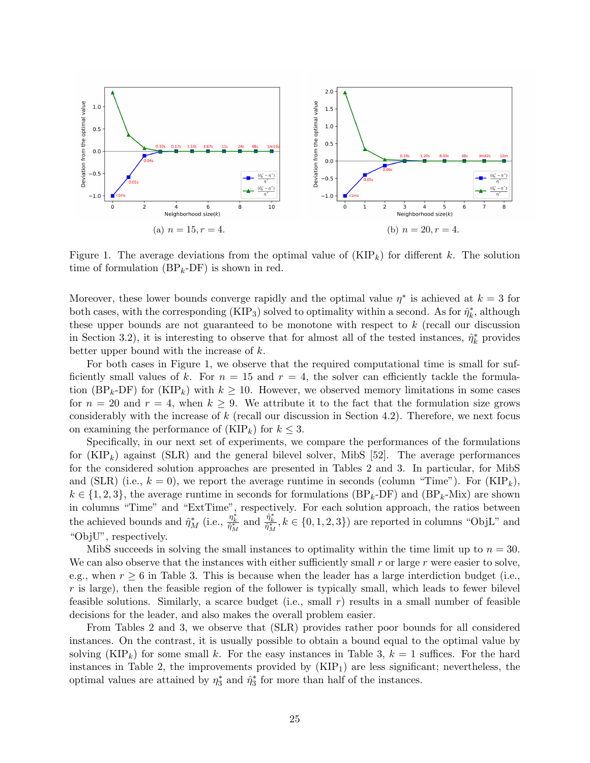

Figure 1. The average deviations from the optimal value of  $(KIP_k)$  for different k. The solution time of formulation  $(BP_k-DF)$  is shown in red.

Moreover, these lower bounds converge rapidly and the optimal value  $\eta^*$  is achieved at  $k = 3$  for both cases, with the corresponding (KIP<sub>3</sub>) solved to optimality within a second. As for  $\hat{\eta}_k^*$ , although these upper bounds are not guaranteed to be monotone with respect to  $k$  (recall our discussion in Section 3.2), it is interesting to observe that for almost all of the tested instances,  $\hat{\eta}_k^*$  provides better upper bound with the increase of k.

For both cases in Figure 1, we observe that the required computational time is small for sufficiently small values of k. For  $n = 15$  and  $r = 4$ , the solver can efficiently tackle the formulation (BP<sub>k</sub>-DF) for (KIP<sub>k</sub>) with  $k \ge 10$ . However, we observed memory limitations in some cases for  $n = 20$  and  $r = 4$ , when  $k \geq 9$ . We attribute it to the fact that the formulation size grows considerably with the increase of  $k$  (recall our discussion in Section 4.2). Therefore, we next focus on examining the performance of  $(KIP_k)$  for  $k \leq 3$ .

Specifically, in our next set of experiments, we compare the performances of the formulations for  $(KIP_k)$  against (SLR) and the general bilevel solver, MibS [52]. The average performances for the considered solution approaches are presented in Tables 2 and 3. In particular, for MibS and (SLR) (i.e.,  $k = 0$ ), we report the average runtime in seconds (column "Time"). For (KIP<sub>k</sub>),  $k \in \{1, 2, 3\}$ , the average runtime in seconds for formulations  $(BP_k-DF)$  and  $(BP_k-Mix)$  are shown in columns "Time" and "ExtTime", respectively. For each solution approach, the ratios between the achieved bounds and  $\hat{\eta}_M^*$  (i.e.,  $\frac{\eta_k^*}{\hat{\eta}_M^*}$ ,  $\hat{\eta}_M^*$ ,  $k \in \{0, 1, 2, 3\}$ ) are reported in columns "ObjL" and "ObjU", respectively.

MibS succeeds in solving the small instances to optimality within the time limit up to  $n = 30$ . We can also observe that the instances with either sufficiently small  $r$  or large  $r$  were easier to solve, e.g., when  $r \geq 6$  in Table 3. This is because when the leader has a large interdiction budget (i.e.,  $r$  is large), then the feasible region of the follower is typically small, which leads to fewer bilevel feasible solutions. Similarly, a scarce budget (i.e., small r) results in a small number of feasible decisions for the leader, and also makes the overall problem easier.

From Tables 2 and 3, we observe that (SLR) provides rather poor bounds for all considered instances. On the contrast, it is usually possible to obtain a bound equal to the optimal value by solving  $(KIP_k)$  for some small k. For the easy instances in Table 3,  $k = 1$  suffices. For the hard instances in Table 2, the improvements provided by  $(KIP<sub>1</sub>)$  are less significant; nevertheless, the optimal values are attained by  $\eta_3^*$  and  $\hat{\eta}_3^*$  for more than half of the instances.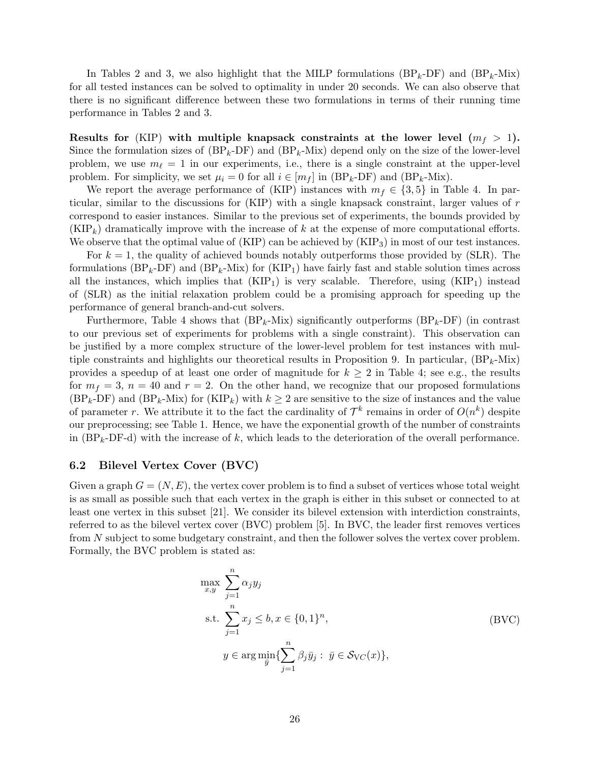In Tables 2 and 3, we also highlight that the MILP formulations  $(BP_k-DF)$  and  $(BP_k-Mix)$ for all tested instances can be solved to optimality in under 20 seconds. We can also observe that there is no significant difference between these two formulations in terms of their running time performance in Tables 2 and 3.

Results for (KIP) with multiple knapsack constraints at the lower level  $(m_f > 1)$ . Since the formulation sizes of  $(BP_k-DF)$  and  $(BP_k-Mix)$  depend only on the size of the lower-level problem, we use  $m_{\ell} = 1$  in our experiments, i.e., there is a single constraint at the upper-level problem. For simplicity, we set  $\mu_i = 0$  for all  $i \in [m_f]$  in  $(BP_k-DF)$  and  $(BP_k-Mix)$ .

We report the average performance of (KIP) instances with  $m_f \in \{3, 5\}$  in Table 4. In particular, similar to the discussions for (KIP) with a single knapsack constraint, larger values of r correspond to easier instances. Similar to the previous set of experiments, the bounds provided by  $(KIP_k)$  dramatically improve with the increase of k at the expense of more computational efforts. We observe that the optimal value of  $(KIP)$  can be achieved by  $(KIP_3)$  in most of our test instances.

For  $k = 1$ , the quality of achieved bounds notably outperforms those provided by (SLR). The formulations  $(BP_k-DF)$  and  $(BP_k-Mix)$  for  $(KIP_1)$  have fairly fast and stable solution times across all the instances, which implies that  $(KIP_1)$  is very scalable. Therefore, using  $(KIP_1)$  instead of (SLR) as the initial relaxation problem could be a promising approach for speeding up the performance of general branch-and-cut solvers.

Furthermore, Table 4 shows that  $(BP_k-Mix)$  significantly outperforms  $(BP_k-DF)$  (in contrast to our previous set of experiments for problems with a single constraint). This observation can be justified by a more complex structure of the lower-level problem for test instances with multiple constraints and highlights our theoretical results in Proposition 9. In particular,  $(BP_k-Mix)$ provides a speedup of at least one order of magnitude for  $k \geq 2$  in Table 4; see e.g., the results for  $m_f = 3$ ,  $n = 40$  and  $r = 2$ . On the other hand, we recognize that our proposed formulations  $(BP_k-DF)$  and  $(BP_k-Mix)$  for  $(KIP_k)$  with  $k \geq 2$  are sensitive to the size of instances and the value of parameter r. We attribute it to the fact the cardinality of  $\mathcal{T}^k$  remains in order of  $O(n^k)$  despite our preprocessing; see Table 1. Hence, we have the exponential growth of the number of constraints in  $(BP_k-DF-d)$  with the increase of k, which leads to the deterioration of the overall performance.

#### 6.2 Bilevel Vertex Cover (BVC)

Given a graph  $G = (N, E)$ , the vertex cover problem is to find a subset of vertices whose total weight is as small as possible such that each vertex in the graph is either in this subset or connected to at least one vertex in this subset [21]. We consider its bilevel extension with interdiction constraints, referred to as the bilevel vertex cover (BVC) problem [5]. In BVC, the leader first removes vertices from N subject to some budgetary constraint, and then the follower solves the vertex cover problem. Formally, the BVC problem is stated as:

$$
\max_{x,y} \sum_{j=1}^{n} \alpha_j y_j
$$
\n
$$
\text{s.t. } \sum_{j=1}^{n} x_j \le b, x \in \{0, 1\}^n,
$$
\n
$$
y \in \arg\min_{\bar{y}} \{\sum_{j=1}^{n} \beta_j \bar{y}_j : \bar{y} \in \mathcal{S}_{\text{VC}}(x)\},
$$
\n(BVC)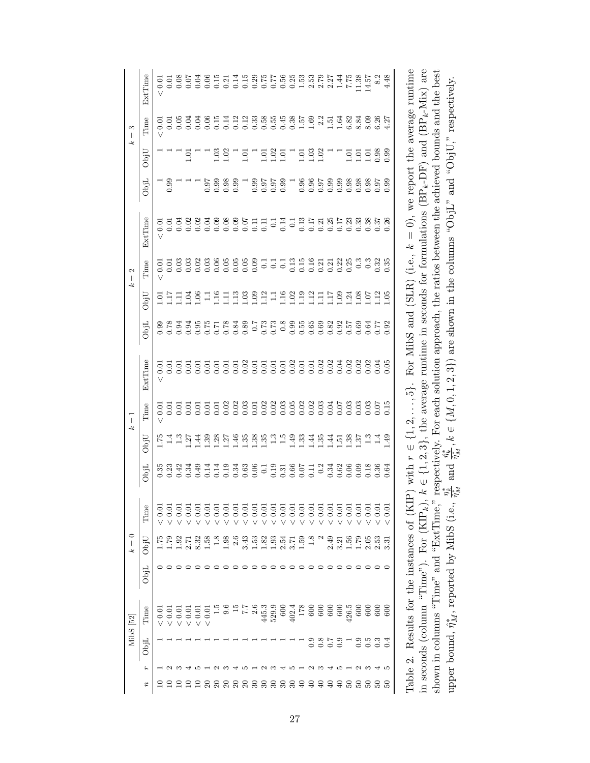|                                        | ExtTime                    | < 0.01     |                 | $\begin{array}{c} 7.08 \\ 0.07 \end{array}$ |                  | 0.04            | 0.06           | 0.15              |                   |              | 0.1188877                                           |      |                   |                     |                                             |                | $0.553$<br>$0.533$<br>$0.533$<br>$0.537$<br>$0.27$             |                            |                                           |                            |               | $17.35$<br>$7.35$<br>$14$<br>$15$<br>$14$ |                                           |                  | 8.2            | 4.48      |                                                                    | $(BP_k$ -Mix) are                                                                             |                                                                                               |                                                                  |
|----------------------------------------|----------------------------|------------|-----------------|---------------------------------------------|------------------|-----------------|----------------|-------------------|-------------------|--------------|-----------------------------------------------------|------|-------------------|---------------------|---------------------------------------------|----------------|----------------------------------------------------------------|----------------------------|-------------------------------------------|----------------------------|---------------|-------------------------------------------|-------------------------------------------|------------------|----------------|-----------|--------------------------------------------------------------------|-----------------------------------------------------------------------------------------------|-----------------------------------------------------------------------------------------------|------------------------------------------------------------------|
|                                        |                            |            |                 |                                             |                  |                 |                |                   |                   |              |                                                     |      |                   |                     |                                             |                |                                                                |                            |                                           |                            |               |                                           |                                           |                  |                |           |                                                                    |                                                                                               |                                                                                               | respectively.                                                    |
| S<br>$\left\  {}\right\ $<br>$\approx$ | Time                       | < 0.01     |                 | 0.05                                        | 0.04             | 0.04            | 0.06           |                   |                   |              | 11121238554<br>000000000                            |      |                   |                     |                                             |                | $\begin{array}{c} 0.38 \\ 1.57 \\ 1.69 \\ 1.51 \\ \end{array}$ |                            |                                           |                            | 1.64          | 6.82                                      | 8.84                                      | 8.09             | 6.26           | 4.27      |                                                                    |                                                                                               |                                                                                               |                                                                  |
|                                        | ObjU                       |            |                 |                                             | 1.01             |                 |                |                   | $\frac{03}{1.02}$ | <sup>-</sup> | 1.01                                                | Γ    |                   | $\frac{1.01}{1.02}$ | 1.01                                        | Π              | 1.01                                                           |                            | $1.03$<br>$1.02$                          |                            |               | $\Xi$                                     | 1.01                                      | 1.01             | 0.98           | 0.99      |                                                                    |                                                                                               |                                                                                               | and " $ObjU$ ,"                                                  |
|                                        | ObjL                       |            | 0.99            |                                             |                  |                 | 0.97           | 0.99              | 0.98              |              | Γ                                                   | 0.99 |                   |                     | 85<br>55<br>50<br>50                        | T              | 0.96                                                           |                            |                                           | 86<br>0.98<br>0.98<br>0.98 |               |                                           |                                           | 0.98             | 0.97           | 0.99      |                                                                    |                                                                                               |                                                                                               |                                                                  |
|                                        | ExtTime                    | ${}< 0.01$ | 0.01            | 0.04                                        | 0.02             | 0.02            | 0.04           | 0.09              | 0.08              |              | $0.09$<br>0.07                                      | 0.11 | $\overline{0.11}$ | $\overline{0}$ .    | 0.14                                        | $\overline{0}$ | 0.13                                                           | 0.17                       |                                           | $\frac{0.21}{0.25}$        |               | $\frac{17}{0.23}$                         | 0.33                                      | 0.38             | 0.37           | 0.26      | For MibS and (SLR) (i.e., $k = 0$ ), we report the average runtime | $\in \{1, 2, 3\}$ , the average runtime in seconds for formulations (BP <sub>k</sub> -DF) and | respectively. For each solution approach, the ratios between the achieved bounds and the best | $"J$ idO"                                                        |
| $\mathbf{\Omega}$<br>$\parallel$       | Time                       | < 0.01     | 0.01            |                                             | 0.03             | 0.02            | 0.03           |                   |                   |              | 8<br>8<br>8<br>8<br>8<br>8<br>8<br>8<br>8<br>8<br>8 |      |                   |                     |                                             |                | 55<br>555<br>555<br>555                                        |                            |                                           | 19<br>0.31<br>0.32<br>0.35 |               |                                           | $\begin{array}{c} 0.3 \\ 0.3 \end{array}$ |                  | 0.32           | 0.35      |                                                                    |                                                                                               |                                                                                               |                                                                  |
| 2                                      | ObjU                       | 5<br>10    | $\overline{11}$ | Ξ                                           | $\vec{S}$        | 0.06            |                | $1.16$<br>$1.11$  |                   |              | 118821119                                           |      |                   |                     |                                             | 1.02           | $\frac{13}{112}$                                               |                            |                                           | $\frac{11}{11}$            | $^{0.1}$      | $\overline{24}$                           | 0.08                                      | $\overline{0}$   | $\frac{12}{2}$ | $-05$     |                                                                    |                                                                                               |                                                                                               |                                                                  |
|                                        | ObjL                       | 0.99       | 0.78            | 0.94                                        | 0.94             | 0.95            | 0.75           | $\frac{67}{17.0}$ |                   | 0.84         | 0.89                                                |      |                   | 57.0<br>67.0<br>7.0 | $\frac{8}{2}$                               | 0.99           | 0.55                                                           | 0.65                       | 0.69                                      | 0.82                       | 0.92          | 0.57                                      | 0.69                                      | 0.64             | 0.77           | 0.92      |                                                                    |                                                                                               |                                                                                               | are shown in the columns                                         |
|                                        | ExtTime                    | 0.01       | 0.01            | 0.01                                        | $\frac{5}{0.01}$ |                 | 0.01           | 0.01              |                   |              |                                                     |      |                   |                     |                                             |                | 558555585588888<br>556555555555555                             |                            |                                           |                            |               |                                           |                                           |                  | 0.04           |           |                                                                    |                                                                                               |                                                                                               | $\frac{\hat{\eta}^*_k}{\hat{\eta}^*_M}$ , $k \in \{M,0,1,2,3\})$ |
| $\parallel$                            | Time                       | 0.01       | 0.01            | 0.01                                        | 0.01             | 0.01            | 0.01           | 0.01              | 0.02              |              | 0.02                                                | 0.01 | 0.02              |                     | $\begin{array}{c} 0.02 \\ 0.03 \end{array}$ | 0.05           | 0.02                                                           | $0.03$<br>$0.03$<br>$0.04$ |                                           |                            | 0.07          | 0.03                                      | 0.03                                      | 0.03             | 0.07           | 0.15      | $\frac{1}{5}$                                                      |                                                                                               |                                                                                               |                                                                  |
| 2                                      | ObjU                       | 1.75       |                 | 1.37                                        |                  | $\overline{44}$ | $\frac{39}{2}$ | 2548              |                   |              |                                                     |      | $\frac{38}{1}$    |                     | $\begin{array}{c} 2.5 \\ -1.5 \end{array}$  | 1.49           | 1.33                                                           | 1.44                       | 1.35                                      | $\overline{4}$             | $\frac{1}{2}$ | $\frac{1.35}{37}$                         |                                           | $\mathbb{R}^2$   | $\frac{4}{11}$ | 49        | $\in \{1, 2,$                                                      |                                                                                               |                                                                                               |                                                                  |
|                                        | ObjL                       | 0.35       |                 |                                             | 3343<br>0.34     |                 |                |                   |                   |              |                                                     |      |                   |                     |                                             |                |                                                                |                            |                                           |                            |               |                                           |                                           |                  |                | 0.64      | P) with $r$                                                        |                                                                                               |                                                                                               | and                                                              |
|                                        | Time                       | 0.01       | < 0.01          |                                             |                  | < 0.01          | < 0.01         | < 0.01            | < 0.01            | < 0.01       | < 0.01                                              | 0.01 | 0.01              | < 0.01              | < 0.01                                      | < 0.01         | < 0.01                                                         | < 0.01                     | < 0.01                                    | < 0.01                     | 0.01          | < 0.01                                    | $\frac{0.01}{2}$                          | $\frac{0.01}{2}$ | $\leq 0.01$    | 5<br>0.01 |                                                                    | جح                                                                                            |                                                                                               | $\frac{\eta^*_k}{\hat{\eta}^*_M}$                                |
| $k=0$                                  | ObjU                       | 1.75       | $^{02.1}$       | 1.92                                        | 2.71             | 8.32            | 1.58           | 1.8               | 1.98              | 2.6          | 3.43                                                | 1.53 | 1.82              | 1.93                | 2.54                                        | 3.71           | 1.59                                                           | $\frac{8}{1.8}$            |                                           | 2.49                       | 3.21          | 1.56                                      | 1.79                                      | 2.05             | 2.53           | ಸ         |                                                                    |                                                                                               |                                                                                               |                                                                  |
|                                        | ObjL                       |            |                 |                                             |                  |                 |                |                   |                   |              |                                                     |      |                   |                     |                                             |                |                                                                |                            |                                           |                            |               |                                           |                                           |                  | っ              |           |                                                                    |                                                                                               |                                                                                               |                                                                  |
| MibS [52]                              | Time                       | < 0.01     | ${}< 0.01$      | < 0.01                                      | < 0.01           | < 0.01          | < 0.01         |                   | 9.6               |              | $7\,7$                                              | 2.6  | 445.3             | 529.9               | 600                                         | 402.4          | 178                                                            | 600                        | 600                                       | 600                        | 600           | 426.5                                     | 600                                       | 600              | 600            |           | Table 2. Results for the instances of (KI                          | in seconds (column "Time"). For $(KIP_k)$ ,                                                   | shown in columns "Time" and " $ExtTime$                                                       | upper bound, $\hat{\eta}^*_{M}$ , reported by MibS (i.e.,        |
|                                        | ObjL                       |            |                 |                                             |                  |                 |                |                   |                   |              |                                                     |      |                   |                     |                                             |                |                                                                | 0.9                        | $\begin{array}{c} 0.8 \\ 0.7 \end{array}$ |                            | 0.9           |                                           | 0.9                                       | 0.5              | $\ddot{0}$     |           |                                                                    |                                                                                               |                                                                                               |                                                                  |
|                                        | ٤                          |            |                 |                                             |                  |                 |                |                   |                   |              |                                                     |      |                   |                     |                                             |                |                                                                |                            |                                           |                            |               |                                           |                                           |                  |                |           |                                                                    |                                                                                               |                                                                                               |                                                                  |
|                                        | $\boldsymbol{\mathcal{E}}$ |            |                 |                                             |                  |                 |                |                   | $\mathbb{S}$      | $\mathbb{S}$ | $\approx$                                           | ≅    | Z                 | 30                  | వె                                          | ೫              | ₽                                                              |                            |                                           |                            |               | 50                                        | SO <sub>1</sub>                           | SO <sub>1</sub>  | <u>ន</u>       |           |                                                                    |                                                                                               |                                                                                               |                                                                  |

upper bound,  $\hat{\eta}^*_{M}$ , reported by MibS (i.e.,  $\frac{\eta^*_k}{\hat{\eta}^*_M}$  and  $\frac{\hat{\eta}^*_k}{\hat{\eta}^*_M}$ ,  $k \in \{M, 0, 1, 2, 3\}$ ) are shown in the columns "ObjL" and "ObjU," respectively.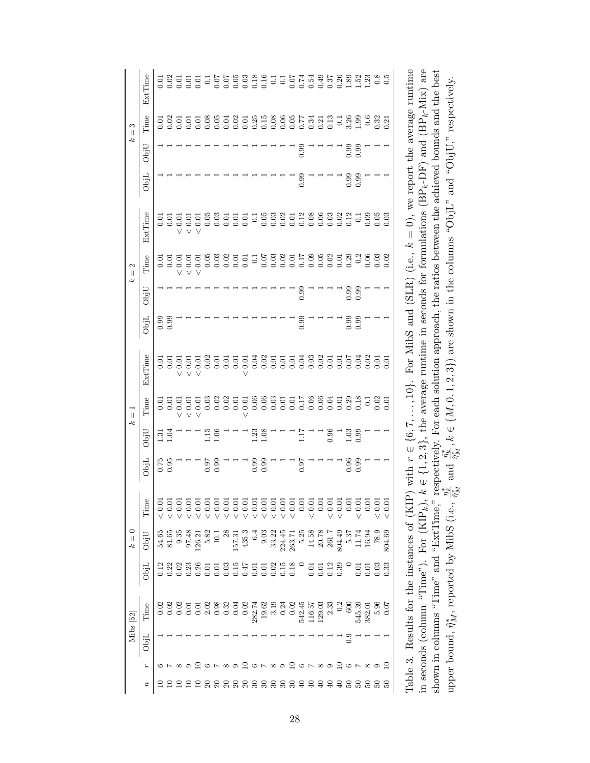|                         | ExtTime               | 0.01     | 0.02  |                   | 555<br>0.01    |                  | $\overline{0}$ .     | 0.07                 |                      |                        |                                                                                                                                                                                                                                                                                                               |                     |         |                                                        |                                             |          |          |                                                     |                    |                                             |        |                      |                      |        |       | $\begin{array}{c} 0.8 \\ 0.5 \end{array}$ |                                                                    |                                                                                                                            |                                                                                               |                                                           |  |
|-------------------------|-----------------------|----------|-------|-------------------|----------------|------------------|----------------------|----------------------|----------------------|------------------------|---------------------------------------------------------------------------------------------------------------------------------------------------------------------------------------------------------------------------------------------------------------------------------------------------------------|---------------------|---------|--------------------------------------------------------|---------------------------------------------|----------|----------|-----------------------------------------------------|--------------------|---------------------------------------------|--------|----------------------|----------------------|--------|-------|-------------------------------------------|--------------------------------------------------------------------|----------------------------------------------------------------------------------------------------------------------------|-----------------------------------------------------------------------------------------------|-----------------------------------------------------------|--|
| $\overline{a}$          | $\operatorname{Time}$ | 0.01     | 0.02  | $\overline{0.01}$ | 0.01           | 0.01             | 0.08                 | 0.05                 |                      |                        | $\begin{array}{c} 77.7 \\ 0.01 \\ 0.01 \\ 0.01 \\ 0.01 \\ 0.01 \\ 0.01 \\ 0.01 \\ 0.01 \\ 0.01 \\ 0.01 \\ 0.01 \\ 0.01 \\ 0.01 \\ 0.01 \\ 0.01 \\ 0.01 \\ 0.01 \\ 0.01 \\ 0.01 \\ 0.01 \\ 0.01 \\ 0.01 \\ 0.01 \\ 0.01 \\ 0.01 \\ 0.01 \\ 0.01 \\ 0.01 \\ 0.01 \\ 0.01 \\ 0.01 \\ 0.01 \\ 0.01 \\ 0.01 \\ 0.$ |                     |         |                                                        |                                             |          |          | $\begin{array}{c} 0.34 \\ 0.21 \\ 0.13 \end{array}$ |                    |                                             |        | $\frac{13.36}{1.99}$ |                      | 0.6    | 0.32  | 0.21                                      |                                                                    |                                                                                                                            |                                                                                               |                                                           |  |
| يمه                     | ObjU                  |          |       |                   |                |                  |                      |                      |                      |                        |                                                                                                                                                                                                                                                                                                               |                     |         |                                                        |                                             |          | 0.99     |                                                     |                    |                                             |        | 0.99                 | 0.99                 |        |       |                                           |                                                                    |                                                                                                                            |                                                                                               |                                                           |  |
|                         | ObjL                  |          |       |                   |                |                  |                      |                      |                      |                        |                                                                                                                                                                                                                                                                                                               |                     |         |                                                        |                                             |          | 0.99     |                                                     |                    |                                             |        | 0.99                 | 0.99                 |        |       |                                           |                                                                    |                                                                                                                            |                                                                                               |                                                           |  |
|                         | ExtTime               | 0.01     | 0.01  | $< 0.01$          | $< 0.01$       | $< 0.01\,$       | 0.05                 | 0.03                 | 0.01                 | $0.01\,$               | 0.01                                                                                                                                                                                                                                                                                                          | $\overline{0}$      | 0.05    | 0.03                                                   | 0.02                                        | $0.01\,$ | 0.12     | 8888212<br>000000                                   |                    |                                             |        |                      | $\overline{0}$       | 0.09   | 0.05  | 0.03                                      | For MibS and (SLR) (i.e., $k = 0$ ), we report the average runtime | $k \in \{1, 2, 3\}$ , the average runtime in seconds for formulations (BP <sub>k</sub> -DF) and (BP <sub>k</sub> -Mix) are | respectively. For each solution approach, the ratios between the achieved bounds and the best | are shown in the columns "ObjL" and "ObjU," respectively. |  |
| $\frac{2}{\pi}$         | Time                  | 0.01     | 0.01  | $< 0.01$          | $< 0.01$       | $< 0.01$         | 0.05                 | 0.03                 | 0.02                 | 0.01                   | 0.01                                                                                                                                                                                                                                                                                                          | $\overline{0.1}$    | 0.07    | $\begin{array}{c} 0.03 \\ 0.02 \end{array}$            |                                             | $0.01\,$ | 0.17     | 0.0502                                              |                    |                                             | 0.01   | 0.29                 | $\frac{2}{\sqrt{2}}$ | 0.06   | 0.03  | 0.02                                      |                                                                    |                                                                                                                            |                                                                                               |                                                           |  |
| ېم                      | ObjU                  |          |       |                   |                |                  |                      |                      |                      |                        |                                                                                                                                                                                                                                                                                                               |                     |         |                                                        |                                             |          | 0.99     |                                                     |                    |                                             |        | $0.99$<br>$0.99$     |                      |        |       |                                           |                                                                    |                                                                                                                            |                                                                                               |                                                           |  |
|                         | ObjL                  | 0.99     | 0.99  |                   |                |                  |                      |                      |                      |                        |                                                                                                                                                                                                                                                                                                               |                     |         |                                                        |                                             |          | 0.99     |                                                     |                    |                                             |        | 0.99                 | 0.99                 |        |       |                                           |                                                                    |                                                                                                                            |                                                                                               |                                                           |  |
|                         | ExtTime               | 0.01     | 0.01  | 0.01              | 0.01<br>$\vee$ | 0.01             | 0.02                 | 0.01                 | 0.01                 | 0.01                   | 0.01                                                                                                                                                                                                                                                                                                          | 0.04                | 0.02    | 0.01                                                   | 0.01                                        | 0.01     | 0.04     | 0.03                                                | 0.02               | 0.01                                        | 0.01   | 0.07                 | 0.04                 | 0.02   | 0.01  | 0.01                                      |                                                                    |                                                                                                                            |                                                                                               | $\frac{\eta^*_k}{\hat{\eta}^*_M}, k\in\{M,0,1,2,3\})$     |  |
| $\overline{\mathbb{I}}$ | Time                  | 0.01     | 0.01  | 0.01              | 0.01           | 0.01             | 0.03                 | 0.02                 | 0.02                 |                        |                                                                                                                                                                                                                                                                                                               |                     |         |                                                        |                                             |          |          |                                                     |                    |                                             |        |                      |                      |        | 0.02  | 0.01                                      |                                                                    |                                                                                                                            |                                                                                               |                                                           |  |
| يمه                     | ObjU                  | 1.31     | 1.04  |                   |                |                  | 1.15                 | 1.06                 |                      |                        |                                                                                                                                                                                                                                                                                                               | $\frac{1.23}{1.08}$ |         |                                                        |                                             |          | 1.17     |                                                     |                    | 0.96                                        |        | 1.03                 | 0.99                 |        |       |                                           |                                                                    |                                                                                                                            |                                                                                               |                                                           |  |
|                         | ObjL                  | $0.75\,$ | 0.95  |                   |                |                  | 16.0                 | 0.99                 |                      |                        |                                                                                                                                                                                                                                                                                                               | $0.99$<br>$0.99$    |         |                                                        |                                             |          | 0.97     |                                                     |                    |                                             |        | $0.96$<br>$0.99$     |                      |        |       |                                           | P) with $r \in \{6, 7, , 10\}$ .                                   |                                                                                                                            |                                                                                               | and                                                       |  |
|                         | Time                  | < 0.0    | < 0.0 | < 0.0             | < 0.0          | < 0.0            | $\frac{0.0}{\times}$ | $\frac{0.0}{\times}$ | $\frac{0.0}{\times}$ | $\frac{0.0}{\sqrt{2}}$ | < 0.0                                                                                                                                                                                                                                                                                                         | $< 0.0$             | $< 0.0$ | < 0.0                                                  | $< 0.0$                                     | < 0.0    | 0.01     | < 0.0                                               | 0.0                | < 0.0                                       | < 0.0  | 0.0                  | < 0.0                | 0.0    | < 0.0 | 0.0                                       |                                                                    |                                                                                                                            |                                                                                               | $\frac{r^*_k}{\hat{r}^*_M}$                               |  |
| $= 0$<br>خک             | ObjU                  | 54.65    | 81.65 | 9.35              | 97.48          | 126.21           | 5.82                 | $\overline{10}$      |                      | 157.31                 | 435.3                                                                                                                                                                                                                                                                                                         | 6.4                 | 9.03    | 33.22                                                  | 224.45                                      | 263.71   | $5.25$   | 14.58                                               | $20.78$<br>$261.7$ |                                             | 804.49 | $5.37\,$             | 11.74                | 16.94  | 78.9  | 804.69                                    |                                                                    |                                                                                                                            | and "ExtTime,                                                                                 |                                                           |  |
|                         | ObjL                  |          | 0.22  | 0.02              | 0.23           | 0.26             | $\overline{0.01}$    | 0.01                 | 0.03                 |                        | $0.15$<br>0.47                                                                                                                                                                                                                                                                                                |                     | 0.01    | 0.02                                                   | $\begin{array}{c} 0.15 \\ 0.18 \end{array}$ |          |          | 0.01                                                | 0.01               | $\begin{array}{c} 0.12 \\ 0.39 \end{array}$ |        |                      | 0.01                 | 0.01   | 0.03  | 0.33                                      |                                                                    |                                                                                                                            |                                                                                               |                                                           |  |
| Mibs [52]               | Time                  | 0.02     | 0.02  | 0.02              | 0.0            | $\overline{0.0}$ | 2.02                 | 0.98                 | 0.32                 | 0.04                   | 0.02                                                                                                                                                                                                                                                                                                          |                     |         | $\begin{array}{c} 282.74 \\ 19.62 \\ 3.19 \end{array}$ | 0.24                                        | 0.02     | 542.45   | 116.57                                              | 129.03             | 2.33                                        | 0.2    | 600                  | 545.39               | 382.01 | 5.96  | 0.07                                      | Table 3. Results for the instances of (KI)                         | in seconds (column "Time"). For $(KIP_k)$ ,                                                                                | shown in columns "Time"                                                                       | upper bound, $\hat{\eta}_{M}^*$ , reported by MibS (i.e., |  |
|                         | ObjL                  |          |       |                   |                |                  |                      |                      |                      |                        |                                                                                                                                                                                                                                                                                                               |                     |         |                                                        |                                             |          |          |                                                     |                    |                                             |        | $\frac{6}{2}$        |                      |        |       |                                           |                                                                    |                                                                                                                            |                                                                                               |                                                           |  |
|                         | r                     |          |       |                   |                |                  |                      |                      | $\infty$             | $\circ$                | $\Xi$                                                                                                                                                                                                                                                                                                         | $\sim$ $\sim$       |         | $\infty$                                               | $\circ$                                     | $\Xi$    | $\sim$ 0 |                                                     |                    |                                             | ≘      |                      |                      |        |       |                                           |                                                                    |                                                                                                                            |                                                                                               |                                                           |  |
|                         | $\boldsymbol{z}$      |          |       |                   |                |                  | $\approx$            | $\mathbb{S}$         | ສ ສ                  |                        | $\mathbb{S}$                                                                                                                                                                                                                                                                                                  | ≅                   | ≅       | ≅                                                      | వె                                          | ೫        | ₹        |                                                     |                    |                                             | €,     | rg                   | S,                   |        |       |                                           |                                                                    |                                                                                                                            |                                                                                               |                                                           |  |

upper bound,  $\hat{\eta}_M^*$ , reported by MibS (i.e.,  $\frac{\eta_k^*}{\hat{\eta}_M^*}$  and  $\frac{\hat{\eta}_k^*}{\hat{\eta}_M^*}$ ,  $k \in \{M, 0, 1, 2, 3\}$ ) are shown in the columns "ObjL" and "ObjU," respectively.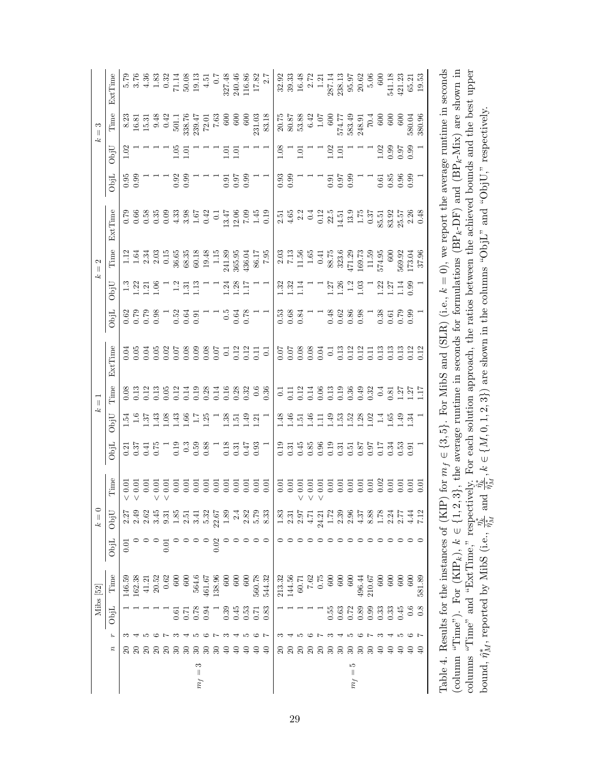|                         | Mibs [52]                                                         |                  | $\circ$<br>$\parallel$                                                                                                                                                                                                                                                                                        |                                                      |                                                                 | چ                                                                                                                                                                                                                                                                                                             | $\parallel$ |                                           |                                                                                                                                                                                                                                |                                          | 2<br>$\parallel$<br>جئہ                                                                                                |         |                     |                                                      | S<br>$\parallel$                                                                                                                                                                                                                                                                                      |                                                                                                                                               |
|-------------------------|-------------------------------------------------------------------|------------------|---------------------------------------------------------------------------------------------------------------------------------------------------------------------------------------------------------------------------------------------------------------------------------------------------------------|------------------------------------------------------|-----------------------------------------------------------------|---------------------------------------------------------------------------------------------------------------------------------------------------------------------------------------------------------------------------------------------------------------------------------------------------------------|-------------|-------------------------------------------|--------------------------------------------------------------------------------------------------------------------------------------------------------------------------------------------------------------------------------|------------------------------------------|------------------------------------------------------------------------------------------------------------------------|---------|---------------------|------------------------------------------------------|-------------------------------------------------------------------------------------------------------------------------------------------------------------------------------------------------------------------------------------------------------------------------------------------------------|-----------------------------------------------------------------------------------------------------------------------------------------------|
| ObjL                    | Time                                                              | JidO             | ObjU                                                                                                                                                                                                                                                                                                          | Time                                                 | ObjL                                                            | ObjU                                                                                                                                                                                                                                                                                                          | Time        | ExtTime                                   | ObjL                                                                                                                                                                                                                           | JbjU                                     | Time                                                                                                                   | ExtTime | ObjL                | JbjU                                                 | Time                                                                                                                                                                                                                                                                                                  | ExtTime                                                                                                                                       |
|                         | 146.59                                                            | 5<br>0.0         | 2.27                                                                                                                                                                                                                                                                                                          | 0.01<br>$\vee$                                       |                                                                 | 1.54                                                                                                                                                                                                                                                                                                          |             | 0.04                                      |                                                                                                                                                                                                                                |                                          |                                                                                                                        |         |                     | 1.02                                                 |                                                                                                                                                                                                                                                                                                       |                                                                                                                                               |
|                         |                                                                   |                  |                                                                                                                                                                                                                                                                                                               | 0.01<br>V                                            | 0.37<br>0.37<br>0.75                                            |                                                                                                                                                                                                                                                                                                               |             |                                           | $0.88$ $-0.84$ $-0.56$ $-0.56$ $-0.56$ $-0.56$ $-0.56$ $-0.56$ $-0.56$ $-0.56$ $-0.56$ $-0.56$ $-0.56$ $-0.56$ $-0.56$ $-0.56$ $-0.56$ $-0.56$ $-0.56$ $-0.56$ $-0.56$ $-0.56$ $-0.56$ $-0.56$ $-0.56$ $-0.56$ $-0.56$ $-0.56$ | $\frac{13}{120}$                         | $113703$<br>$-1.5303$                                                                                                  |         | 5.99<br>0.99        |                                                      | 8.23<br>16.81<br>16.91<br>9.42<br>5.01<br>5.01<br>7.01<br>7.03<br>7.03<br>7.03<br>7.03<br>7.03<br>7.03<br>7.03<br>7.03<br>7.03<br>7.03<br>7.03<br>7.04<br>7.04<br>7.04<br>7.04<br>7.04<br>7.04<br>7.04<br>7.04<br>7.04<br>7.04<br>7.05<br>7.05<br>7.05<br>7.05<br>7.05<br>7.05<br>7.05<br>7.05<br>7.0 | 0.75<br>5.76 % 3.83<br>5.76 % 3.83<br>5.77 % 3.82<br>6.77<br>7.77<br>7.77<br>7.77<br>7.77<br>7.77<br>7.77                                     |
|                         |                                                                   |                  | 9 8 9<br>2 9 9<br>2 9 9                                                                                                                                                                                                                                                                                       | $\frac{0.01}{0.01}$                                  |                                                                 |                                                                                                                                                                                                                                                                                                               |             |                                           |                                                                                                                                                                                                                                |                                          |                                                                                                                        |         |                     |                                                      |                                                                                                                                                                                                                                                                                                       |                                                                                                                                               |
|                         | $\begin{array}{c} 162.38 \\ 41.21 \\ 20.52 \end{array}$           |                  |                                                                                                                                                                                                                                                                                                               | V                                                    |                                                                 |                                                                                                                                                                                                                                                                                                               |             |                                           |                                                                                                                                                                                                                                |                                          |                                                                                                                        |         |                     |                                                      |                                                                                                                                                                                                                                                                                                       |                                                                                                                                               |
|                         | 0.62                                                              | $\overline{0}$ . |                                                                                                                                                                                                                                                                                                               | 0.01<br>$\vee$                                       |                                                                 | $\begin{array}{c} 1.6 \\ 1.37 \\ 1.43 \\ 1.43 \\ 1.54 \\ 1.66 \\ 1.75 \\ 1.31 \\ 1.43 \\ 1.54 \\ 1.66 \\ 1.75 \\ 1.81 \\ 1.33 \\ 1.45 \\ 1.55 \\ 1.67 \\ 1.68 \\ 1.75 \\ 1.83 \\ 1.87 \\ 1.88 \\ 1.89 \\ 1.89 \\ 1.89 \\ 1.89 \\ 1.89 \\ 1.89 \\ 1.89 \\ 1.89 \\ 1.89 \\ 1.89 \\ 1.89 \\ 1.89 \\ 1.89 \\ 1.8$ |             |                                           |                                                                                                                                                                                                                                |                                          | 0.15                                                                                                                   |         |                     |                                                      |                                                                                                                                                                                                                                                                                                       |                                                                                                                                               |
| 0.61                    | 600                                                               |                  |                                                                                                                                                                                                                                                                                                               | 0.01                                                 |                                                                 |                                                                                                                                                                                                                                                                                                               |             |                                           |                                                                                                                                                                                                                                |                                          | 36.65                                                                                                                  |         |                     |                                                      |                                                                                                                                                                                                                                                                                                       |                                                                                                                                               |
| $\overline{C}$          | 600                                                               |                  |                                                                                                                                                                                                                                                                                                               | 0.01                                                 |                                                                 |                                                                                                                                                                                                                                                                                                               |             |                                           |                                                                                                                                                                                                                                |                                          |                                                                                                                        |         | $0.92$<br>0.99      | $1.05$<br>$1.01$                                     |                                                                                                                                                                                                                                                                                                       |                                                                                                                                               |
| 0.78                    | 564.6                                                             |                  |                                                                                                                                                                                                                                                                                                               |                                                      | $\begin{array}{c} 1.9 \\ 0.19 \\ 0.59 \\ 0.68 \end{array}$      |                                                                                                                                                                                                                                                                                                               |             |                                           |                                                                                                                                                                                                                                | $-2.31$<br>$-1.31$<br>$-1.3$             |                                                                                                                        |         |                     |                                                      |                                                                                                                                                                                                                                                                                                       |                                                                                                                                               |
| 0.94                    |                                                                   |                  |                                                                                                                                                                                                                                                                                                               |                                                      |                                                                 |                                                                                                                                                                                                                                                                                                               |             |                                           |                                                                                                                                                                                                                                | $\begin{array}{c} \n\hline\n\end{array}$ |                                                                                                                        |         |                     |                                                      |                                                                                                                                                                                                                                                                                                       |                                                                                                                                               |
|                         | 461.67<br>138.96                                                  |                  |                                                                                                                                                                                                                                                                                                               | 555<br>000                                           |                                                                 | T,                                                                                                                                                                                                                                                                                                            |             |                                           |                                                                                                                                                                                                                                |                                          |                                                                                                                        |         |                     |                                                      |                                                                                                                                                                                                                                                                                                       |                                                                                                                                               |
|                         | 600                                                               |                  |                                                                                                                                                                                                                                                                                                               |                                                      |                                                                 |                                                                                                                                                                                                                                                                                                               |             |                                           |                                                                                                                                                                                                                                |                                          |                                                                                                                        |         |                     |                                                      |                                                                                                                                                                                                                                                                                                       |                                                                                                                                               |
|                         | 600                                                               |                  |                                                                                                                                                                                                                                                                                                               |                                                      |                                                                 | $\frac{33}{1.51}$                                                                                                                                                                                                                                                                                             |             |                                           | $0.5$<br>0.64<br>0.78                                                                                                                                                                                                          | $1.24$<br>$1.28$<br>$1.17$               |                                                                                                                        |         | 5.55<br>0.50        | $\begin{array}{c} 1.01 \\ 1.01 \end{array}$          |                                                                                                                                                                                                                                                                                                       |                                                                                                                                               |
|                         | 600                                                               |                  |                                                                                                                                                                                                                                                                                                               |                                                      |                                                                 |                                                                                                                                                                                                                                                                                                               |             |                                           |                                                                                                                                                                                                                                |                                          |                                                                                                                        |         |                     |                                                      |                                                                                                                                                                                                                                                                                                       |                                                                                                                                               |
| 33<br>0.5<br>0.5<br>0.7 | 560.78                                                            |                  | $\frac{3}{2}$<br>$\frac{3}{2}$<br>$\frac{5}{2}$<br>$\frac{3}{2}$<br>$\frac{3}{2}$<br>$\frac{3}{2}$<br>$\frac{3}{2}$<br>$\frac{3}{2}$                                                                                                                                                                          |                                                      | $\frac{18}{13}$ $\frac{37}{15}$ $\frac{47}{15}$ $\frac{33}{15}$ | $\frac{1}{1}$ $\frac{5}{1}$                                                                                                                                                                                                                                                                                   |             |                                           |                                                                                                                                                                                                                                |                                          |                                                                                                                        |         |                     |                                                      |                                                                                                                                                                                                                                                                                                       |                                                                                                                                               |
| 0.83                    | 544.32                                                            |                  |                                                                                                                                                                                                                                                                                                               |                                                      |                                                                 |                                                                                                                                                                                                                                                                                                               |             |                                           |                                                                                                                                                                                                                                |                                          | $\begin{array}{r} 68.35 \\ 60.18 \\ 60.14 \\ 1.15 \\ 1.15 \\ 241.39 \\ 365.95 \\ 36.17 \\ 7.95 \\ 7.95 \\ \end{array}$ |         |                     |                                                      | $\frac{231.03}{83.18}$                                                                                                                                                                                                                                                                                |                                                                                                                                               |
|                         | 213.32                                                            |                  |                                                                                                                                                                                                                                                                                                               | 0.01                                                 |                                                                 | $^{48}$                                                                                                                                                                                                                                                                                                       |             | 0.07                                      |                                                                                                                                                                                                                                |                                          |                                                                                                                        |         |                     |                                                      |                                                                                                                                                                                                                                                                                                       |                                                                                                                                               |
|                         |                                                                   |                  |                                                                                                                                                                                                                                                                                                               |                                                      |                                                                 |                                                                                                                                                                                                                                                                                                               |             |                                           |                                                                                                                                                                                                                                |                                          | $2.03$<br>$7.13$                                                                                                       |         | 33<br>0.93          |                                                      |                                                                                                                                                                                                                                                                                                       |                                                                                                                                               |
|                         | $\begin{array}{c} 144.56 \\ 60.71 \\ 7.62 \\ 7.62 \\ \end{array}$ |                  | $\frac{33}{1} \frac{5}{2} \frac{5}{4}$                                                                                                                                                                                                                                                                        | $\begin{array}{c} 0.01 \\ 0.01 \end{array}$<br>V V V |                                                                 | $\frac{46}{15}$ $\frac{46}{15}$                                                                                                                                                                                                                                                                               |             | 500<br>0.08<br>0.00                       | 53<br>0.83<br>0.94                                                                                                                                                                                                             | 33<br>132<br>11                          | $\begin{array}{c} 11.56 \\ 1.65 \\ 0.41 \end{array}$                                                                   |         |                     | $\frac{28}{11}$ $\frac{1}{11}$                       | $20.75$<br>$80.87$<br>$53.88$<br>$6.42$<br>$1.07$<br>$1.07$                                                                                                                                                                                                                                           |                                                                                                                                               |
|                         |                                                                   |                  |                                                                                                                                                                                                                                                                                                               | 0.01                                                 |                                                                 |                                                                                                                                                                                                                                                                                                               |             |                                           |                                                                                                                                                                                                                                | Ξ                                        |                                                                                                                        |         |                     |                                                      |                                                                                                                                                                                                                                                                                                       |                                                                                                                                               |
|                         |                                                                   |                  |                                                                                                                                                                                                                                                                                                               |                                                      |                                                                 |                                                                                                                                                                                                                                                                                                               |             |                                           |                                                                                                                                                                                                                                | $\overline{a}$                           |                                                                                                                        |         |                     | $\Box$                                               |                                                                                                                                                                                                                                                                                                       |                                                                                                                                               |
| 0.55                    | 600                                                               |                  | $\begin{array}{l} 21.72 \\ 1.72 \\ 1.39 \\ 2.39 \\ 2.53 \\ 2.77 \\ 2.77 \\ 2.77 \\ 2.77 \\ 2.77 \\ 2.77 \\ 2.77 \\ 2.77 \\ 2.77 \\ 2.77 \\ 2.77 \\ 2.77 \\ 2.77 \\ 2.77 \\ 2.77 \\ 2.77 \\ 2.77 \\ 2.77 \\ 2.77 \\ 2.77 \\ 2.77 \\ 2.77 \\ 2.77 \\ 2.77 \\ 2.77 \\ 2.77 \\ 2.77 \\ 2.77 \\ 2.77 \\ 2.77 \\ 2$ | 5555585555<br>5555555555                             |                                                                 | 1.4888814693                                                                                                                                                                                                                                                                                                  |             |                                           |                                                                                                                                                                                                                                | $\frac{1.27}{1.26}$                      | 88.75<br>323.6                                                                                                         |         |                     | $1.02$<br>$1.01$                                     |                                                                                                                                                                                                                                                                                                       | $\begin{array}{l} 32.93 \\ 33.93 \\ 39.32 \\ 12.11 \\ 1.21 \\ 1.32 \\ 2.87 \\ 1.4 \\ 2.87 \\ 2.87 \\ 2.89 \\ 59.5 \\ 60 \\ 60 \\ \end{array}$ |
|                         | 600<br>0.63                                                       |                  |                                                                                                                                                                                                                                                                                                               |                                                      |                                                                 |                                                                                                                                                                                                                                                                                                               |             |                                           |                                                                                                                                                                                                                                |                                          |                                                                                                                        |         | 5.5<br>5.5<br>5.9   |                                                      | 574.77                                                                                                                                                                                                                                                                                                |                                                                                                                                               |
|                         | 600<br>0.72                                                       |                  |                                                                                                                                                                                                                                                                                                               |                                                      |                                                                 |                                                                                                                                                                                                                                                                                                               |             |                                           | $0.628$<br>0.0.86                                                                                                                                                                                                              |                                          | 471.29                                                                                                                 |         |                     |                                                      |                                                                                                                                                                                                                                                                                                       |                                                                                                                                               |
|                         | 496.44<br>0.89                                                    |                  |                                                                                                                                                                                                                                                                                                               |                                                      |                                                                 |                                                                                                                                                                                                                                                                                                               |             |                                           |                                                                                                                                                                                                                                |                                          | $\frac{169.73}{11.59}$<br>574.95<br>574.95                                                                             |         |                     | $  -$                                                |                                                                                                                                                                                                                                                                                                       |                                                                                                                                               |
|                         | 210.67                                                            |                  |                                                                                                                                                                                                                                                                                                               |                                                      |                                                                 |                                                                                                                                                                                                                                                                                                               |             |                                           | Γ                                                                                                                                                                                                                              | $\overline{a}$                           |                                                                                                                        |         |                     |                                                      |                                                                                                                                                                                                                                                                                                       |                                                                                                                                               |
|                         | 600                                                               |                  |                                                                                                                                                                                                                                                                                                               |                                                      |                                                                 |                                                                                                                                                                                                                                                                                                               |             |                                           |                                                                                                                                                                                                                                |                                          |                                                                                                                        |         |                     |                                                      |                                                                                                                                                                                                                                                                                                       |                                                                                                                                               |
| 83<br>833<br>000        | 600                                                               | oooo             |                                                                                                                                                                                                                                                                                                               |                                                      |                                                                 |                                                                                                                                                                                                                                                                                                               |             | 5<br>5 3 3 4 5 5 5 5 6<br>5 5 5 5 5 5 5 5 |                                                                                                                                                                                                                                | $2251$<br>$-125$<br>$-15$<br>$-15$       |                                                                                                                        |         | 5.8<br>0.85<br>0.96 | $\begin{array}{c} 29.80 \\ 0.90 \\ 0.00 \end{array}$ | $583.49248.9170.4600600600$                                                                                                                                                                                                                                                                           | $\begin{array}{c} 541.18 \\ 421.23 \\ 65.21 \\ 19.53 \end{array}$                                                                             |
| 0.45                    | 600                                                               |                  |                                                                                                                                                                                                                                                                                                               |                                                      |                                                                 |                                                                                                                                                                                                                                                                                                               |             |                                           |                                                                                                                                                                                                                                |                                          |                                                                                                                        |         |                     |                                                      |                                                                                                                                                                                                                                                                                                       |                                                                                                                                               |
| $\frac{6}{10}$          | 600                                                               |                  | 4.44                                                                                                                                                                                                                                                                                                          |                                                      |                                                                 |                                                                                                                                                                                                                                                                                                               |             | $\frac{0.12}{0.12}$                       |                                                                                                                                                                                                                                |                                          | 569.92<br>173.04<br>37.96                                                                                              |         | 0.99                |                                                      | 580.04                                                                                                                                                                                                                                                                                                |                                                                                                                                               |
| 0.8                     | 581.89                                                            |                  |                                                                                                                                                                                                                                                                                                               |                                                      |                                                                 |                                                                                                                                                                                                                                                                                                               |             |                                           |                                                                                                                                                                                                                                |                                          |                                                                                                                        |         |                     |                                                      | 380.96                                                                                                                                                                                                                                                                                                |                                                                                                                                               |

(column "Time"). For (KIP<sub>k</sub>),  $k \in \{1, 2, 3\}$ , the average runtime in seconds for formulations (BP<sub>k</sub>-DF) and (BP<sub>k</sub>-Mix) are shown in columns "Time" and "ExtTime," respectively. For each solution approach, the ratios b Table 4. Results for the instances of (KIP) for  $m_f \in \{3, 5\}$ . For MibS and (SLR) (i.e.,  $k = 0$ ), we report the average runtime in seconds  $\binom{m}{k}$ ,  $\binom{m}{k}$ ,  $\binom{m}{k}$ ,  $\binom{m}{k}$ ,  $\binom{m}{k}$ ,  $\binom{m}{k}$ ,  $\binom{m}{k}$ (column "Time"). For (KIP<sub>k</sub>),  $k \in \{1, 2, 3\}$ , the average runtime in seconds for formulations (BP<sub>k</sub>-DF) and (BP<sub>k</sub>-Mix) are shown in interval in the shown in the shown in the shown in the shown in the shown in the sho columns "Time" and "ExtTime," respectively. For each solution approach, the ratios between the achieved bounds and the best upper bound,  $\hat{\eta}_M^*$ , reported by MibS (i.e.,  $\frac{\eta_k^*}{\hat{\eta}_M^*}$  and  $\frac{\hat{\eta}_k^*}{\hat{\eta}_M^*}$ ,  $k \in \{M, 0, 1, 2, 3\}$ ) are shown in the columns "ObjL" and "ObjU," respectively.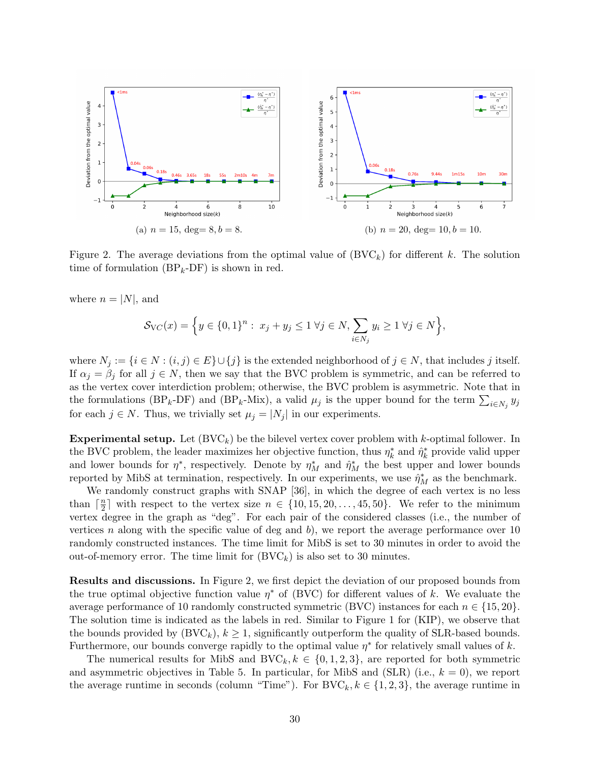

Figure 2. The average deviations from the optimal value of  $(BVC_k)$  for different k. The solution time of formulation  $(BP_k-DF)$  is shown in red.

where  $n = |N|$ , and

$$
\mathcal{S}_{\text{VC}}(x) = \Big\{ y \in \{0, 1\}^n : \ x_j + y_j \le 1 \ \forall j \in N, \sum_{i \in N_j} y_i \ge 1 \ \forall j \in N \Big\},\
$$

where  $N_j := \{i \in N : (i, j) \in E\} \cup \{j\}$  is the extended neighborhood of  $j \in N$ , that includes j itself. If  $\alpha_j = \beta_j$  for all  $j \in N$ , then we say that the BVC problem is symmetric, and can be referred to as the vertex cover interdiction problem; otherwise, the BVC problem is asymmetric. Note that in the formulations (BP<sub>k</sub>-DF) and (BP<sub>k</sub>-Mix), a valid  $\mu_j$  is the upper bound for the term  $\sum_{i\in N_j} y_j$ for each  $j \in N$ . Thus, we trivially set  $\mu_j = |N_j|$  in our experiments.

**Experimental setup.** Let  $(BVC_k)$  be the bilevel vertex cover problem with k-optimal follower. In the BVC problem, the leader maximizes her objective function, thus  $\eta_k^*$  and  $\hat{\eta}_k^*$  provide valid upper and lower bounds for  $\eta^*$ , respectively. Denote by  $\eta_M^*$  and  $\hat{\eta}_M^*$  the best upper and lower bounds reported by MibS at termination, respectively. In our experiments, we use  $\hat{\eta}_M^*$  as the benchmark.

We randomly construct graphs with SNAP [36], in which the degree of each vertex is no less than  $\lceil \frac{n}{2} \rceil$  $\frac{n}{2}$  with respect to the vertex size  $n \in \{10, 15, 20, \ldots, 45, 50\}$ . We refer to the minimum vertex degree in the graph as "deg". For each pair of the considered classes (i.e., the number of vertices n along with the specific value of deg and  $b$ ), we report the average performance over 10 randomly constructed instances. The time limit for MibS is set to 30 minutes in order to avoid the out-of-memory error. The time limit for  $(BVC_k)$  is also set to 30 minutes.

Results and discussions. In Figure 2, we first depict the deviation of our proposed bounds from the true optimal objective function value  $\eta^*$  of (BVC) for different values of k. We evaluate the average performance of 10 randomly constructed symmetric (BVC) instances for each  $n \in \{15, 20\}$ . The solution time is indicated as the labels in red. Similar to Figure 1 for (KIP), we observe that the bounds provided by  $(BVC_k)$ ,  $k \geq 1$ , significantly outperform the quality of SLR-based bounds. Furthermore, our bounds converge rapidly to the optimal value  $\eta^*$  for relatively small values of k.

The numerical results for MibS and  $BVC_k, k \in \{0, 1, 2, 3\}$ , are reported for both symmetric and asymmetric objectives in Table 5. In particular, for MibS and (SLR) (i.e.,  $k = 0$ ), we report the average runtime in seconds (column "Time"). For  $BVC_k, k \in \{1, 2, 3\}$ , the average runtime in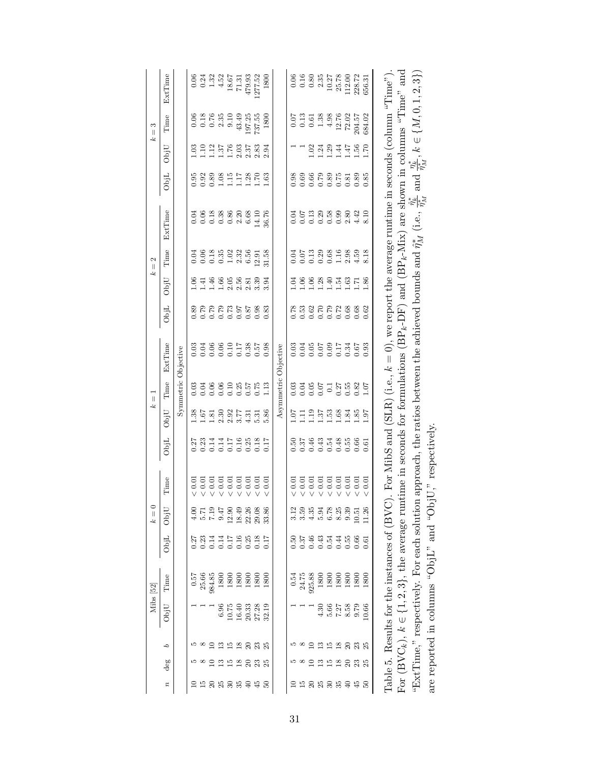|                  |                         |                | Mibs [52]      |                                                                |                        | $\boldsymbol{k}=\boldsymbol{0}$ |                                                        |                                        | ż,               | $\overline{\mathbb{I}}$ |                                                                                                 |                          | Ŀ                          | $\mathbf{\Omega}$<br>$\vert\vert$                                                                                                                                                                                                                                                                             |                                         |                                                 |                          | S<br>$\vert\vert$<br>ېم |                                                                                      |
|------------------|-------------------------|----------------|----------------|----------------------------------------------------------------|------------------------|---------------------------------|--------------------------------------------------------|----------------------------------------|------------------|-------------------------|-------------------------------------------------------------------------------------------------|--------------------------|----------------------------|---------------------------------------------------------------------------------------------------------------------------------------------------------------------------------------------------------------------------------------------------------------------------------------------------------------|-----------------------------------------|-------------------------------------------------|--------------------------|-------------------------|--------------------------------------------------------------------------------------|
| $\boldsymbol{n}$ | deg                     | P              | ObjU           | Time                                                           | ObjL                   | ObjU                            | Time                                                   | ObjL                                   | ObjU             | Time                    | ExtTime                                                                                         | ObjL                     | ObjU                       | Time                                                                                                                                                                                                                                                                                                          | ExtTime                                 | ObjL                                            | ObjU                     | Time                    | ExtTime                                                                              |
|                  |                         |                |                |                                                                |                        |                                 |                                                        |                                        |                  |                         | Symmetric Objective                                                                             |                          |                            |                                                                                                                                                                                                                                                                                                               |                                         |                                                 |                          |                         |                                                                                      |
|                  |                         |                |                | 0.57                                                           | 0.27                   | 4.00                            |                                                        | 0.27                                   | 1.38             |                         |                                                                                                 | 0.89                     | 0.06                       | 0.04                                                                                                                                                                                                                                                                                                          |                                         | 0.95                                            | 1.03                     | 0.06                    | 0.06                                                                                 |
|                  |                         |                |                | 25.66                                                          | 0.23                   |                                 |                                                        |                                        |                  |                         |                                                                                                 |                          | 1.41                       |                                                                                                                                                                                                                                                                                                               |                                         | 0.92                                            |                          | 0.18                    | 0.24                                                                                 |
|                  |                         |                |                | 984.85                                                         | 0.14                   |                                 |                                                        |                                        |                  |                         |                                                                                                 |                          | 1.46                       |                                                                                                                                                                                                                                                                                                               |                                         | 0.89                                            |                          |                         |                                                                                      |
| R                | ≌                       |                | 6.96           | 1800                                                           |                        | $7.19$<br>7.19<br>7.19          | 3 3 3 3 3 3 3<br>0 0 0 0 0 0 0<br>V V V V V V          | 2311159825<br>00115162826<br>000000000 | 5788577          |                         |                                                                                                 | 161<br>611<br>611<br>611 |                            | $\begin{array}{c} 0.08 \\ 0.01 \\ 0.01 \\ 0.01 \\ 0.01 \\ 0.01 \\ 0.01 \\ 0.01 \\ 0.01 \\ 0.01 \\ 0.01 \\ 0.01 \\ 0.01 \\ 0.01 \\ 0.01 \\ 0.01 \\ 0.01 \\ 0.01 \\ 0.01 \\ 0.01 \\ 0.01 \\ 0.01 \\ 0.01 \\ 0.01 \\ 0.01 \\ 0.01 \\ 0.01 \\ 0.01 \\ 0.01 \\ 0.01 \\ 0.01 \\ 0.01 \\ 0.01 \\ 0.01 \\ 0.01 \\ 0.$ | 3<br>3 3 3 3 3 3 3 3<br>3 3 3 3 3 3 4 6 |                                                 | $11.5885$<br>$11.718835$ | $0.76$<br>2.35          | $\begin{array}{c} 1.32 \\ 4.52 \\ 1.8 \ 67 \\ 1.31 \end{array}$                      |
| $\frac{8}{3}$    | ≌                       |                | 10.75          | 1800                                                           | 4116<br>0.116<br>0.000 | $12.90\,$                       |                                                        |                                        |                  |                         |                                                                                                 |                          | $1.66$<br>$2.56$<br>$2.56$ |                                                                                                                                                                                                                                                                                                               |                                         | $1.128$<br>$1.178$                              |                          | 0.10                    |                                                                                      |
| ಜ                | $\frac{\infty}{\infty}$ |                | 16.40          | 1800                                                           |                        | 18.49                           |                                                        |                                        |                  |                         |                                                                                                 |                          |                            |                                                                                                                                                                                                                                                                                                               |                                         |                                                 |                          | 43.49                   |                                                                                      |
| ş                |                         |                | 20.33          | 1800                                                           |                        | 22.26                           |                                                        |                                        |                  |                         |                                                                                                 | 0.87                     | 2.81                       |                                                                                                                                                                                                                                                                                                               |                                         |                                                 |                          | 197.25                  | 479.93                                                                               |
|                  | 23                      |                | 27.28          | 1800                                                           |                        | 29.08                           | < 0.01                                                 |                                        | 5.31             |                         |                                                                                                 | 0.98                     | 3.39                       | 12.91                                                                                                                                                                                                                                                                                                         | 14.10                                   | $\overline{02}$                                 | 2.83                     | 737.55                  | 277.52                                                                               |
| S                |                         |                | 32.19          | 1800                                                           | 0.17                   | 33.86                           | $\frac{0.01}{2}$                                       |                                        | 5.86             | 1.13                    | 0.98                                                                                            | 0.83                     | 3.94                       | 31.58                                                                                                                                                                                                                                                                                                         | 36.76                                   | 1.63                                            | 2.94                     | 1800                    | 1800                                                                                 |
|                  |                         |                |                |                                                                |                        |                                 |                                                        |                                        |                  |                         | Asymmetric Objective                                                                            |                          |                            |                                                                                                                                                                                                                                                                                                               |                                         |                                                 |                          |                         |                                                                                      |
|                  |                         |                |                | 0.54                                                           | 0.50                   |                                 |                                                        | 0.50                                   | 10.1             | 0.03                    | 0.03                                                                                            |                          | 1.04                       |                                                                                                                                                                                                                                                                                                               | 0.04                                    | 0.98                                            |                          | 0.07                    |                                                                                      |
|                  |                         |                |                | 24.75                                                          | 0.37                   | $\frac{3.12}{3.59}$             |                                                        | 0.37                                   | Ξ                |                         |                                                                                                 | 0.53                     | 1.06                       |                                                                                                                                                                                                                                                                                                               |                                         | 0.69                                            |                          | 0.13                    | $\begin{array}{c} 0.06 \\ 0.16 \end{array}$                                          |
|                  |                         |                |                | 925.88                                                         | 0.46                   | 4.35                            | $\begin{array}{c} 0.01 \\ 0.01 \\ 0.01 \\ \end{array}$ |                                        | 1.19             |                         |                                                                                                 |                          |                            |                                                                                                                                                                                                                                                                                                               |                                         | 0.66                                            | 1.02                     | 0.61                    |                                                                                      |
| 25               |                         |                | 4.30           | 1800                                                           | 0.54                   | 5.94<br>6.78<br>8.25            | $<0.01$ $<0.01$                                        | 9.43<br>0.54<br>0.5                    |                  |                         |                                                                                                 | 83<br>82723<br>838       | 1.28<br>1.41<br>1.54       | $0.1388980$<br>$0.00001880$<br>$0.000184$                                                                                                                                                                                                                                                                     | $0.738980$<br>$0.0000000$               | 0.79                                            |                          | 1.38                    | $\begin{array}{c} 0.80 \\ 2.35 \\ 10.27 \\ 25.78 \\ 112.00 \\ 112.00 \\ \end{array}$ |
| వె               | 15                      |                | 5.66           | 1800                                                           |                        |                                 |                                                        |                                        | $1.37$<br>$1.53$ |                         |                                                                                                 |                          |                            |                                                                                                                                                                                                                                                                                                               |                                         |                                                 | $1.24$<br>$1.29$         | 4.98                    |                                                                                      |
| ని               | $\frac{\infty}{1}$      | ≌              | $7.27$<br>8.58 | 1800                                                           |                        |                                 | < 0.01                                                 |                                        |                  |                         |                                                                                                 |                          |                            |                                                                                                                                                                                                                                                                                                               |                                         | 8<br>0.5<br>0.5<br>0.5                          |                          | 12.76                   |                                                                                      |
| a                |                         |                |                | 1800                                                           | 0.55                   | 9.39                            | $0.01$<br>$0.01$                                       | $0.48$<br>$0.55$                       | $rac{8}{3}$      |                         |                                                                                                 |                          | $\frac{1.63}{1.71}$        |                                                                                                                                                                                                                                                                                                               |                                         |                                                 | $1.44$<br>$1.47$         | 72.02                   |                                                                                      |
|                  | 23                      | $\mathbb{S}^2$ | 9.79           | 1800                                                           | 0.66                   | 10.51                           |                                                        | 0.66                                   | 1.85             | 0.82                    |                                                                                                 |                          |                            |                                                                                                                                                                                                                                                                                                               | 4.42                                    | 0.89                                            | 1.56                     | 204.57                  |                                                                                      |
|                  |                         |                | 10.66          | 1800                                                           | 0.61                   | 11.26                           | 0.01                                                   | 0.61                                   | 65               | 1.07                    | 0.93                                                                                            | 0.62                     | 1.86                       | 8.18                                                                                                                                                                                                                                                                                                          | 8.10                                    | 0.85                                            | 02.1                     | 684.02                  | 656.31                                                                               |
|                  |                         |                |                | Table 5. Results for the instances of (BVC)                    |                        |                                 |                                                        |                                        |                  |                         | . For MibS and (SLR) (i.e., $k = 0$ ), we report the average runtime in seconds (column "Time") |                          |                            |                                                                                                                                                                                                                                                                                                               |                                         |                                                 |                          |                         |                                                                                      |
|                  |                         |                |                |                                                                |                        |                                 |                                                        |                                        |                  |                         |                                                                                                 |                          |                            |                                                                                                                                                                                                                                                                                                               |                                         | shown in columns "Time"                         |                          |                         |                                                                                      |
|                  |                         |                |                | For (BVC <sub>k</sub> ), $k \in \{1, 2, 3\}$ , the average run |                        |                                 |                                                        |                                        |                  |                         | time in seconds for formulations $(BP_k-DF)$                                                    |                          |                            |                                                                                                                                                                                                                                                                                                               | and $(BP_k-Nfix)$ are                   |                                                 |                          |                         | $\mathop{\rm and}\nolimits$                                                          |
|                  |                         |                |                | "ExtTime," respectively. For each solution                     |                        |                                 |                                                        |                                        |                  |                         | approach, the ratios between the achieved bounds and $\hat{\eta}_M^*$ (i.e.,                    |                          |                            |                                                                                                                                                                                                                                                                                                               |                                         | $\mathop{\rm and}\nolimits$<br>$\hat{\eta}^*_k$ |                          |                         | $\frac{\eta^*_k}{\hat{\eta}^*_{M}}, k\in\{M,0,1,2,3\})$                              |
|                  |                         |                |                | are reported in columns " $ObjL"$ and " $Obj$                  |                        |                                 | jU," respectively.                                     |                                        |                  |                         |                                                                                                 |                          |                            |                                                                                                                                                                                                                                                                                                               |                                         |                                                 |                          |                         |                                                                                      |
|                  |                         |                |                |                                                                |                        |                                 |                                                        |                                        |                  |                         |                                                                                                 |                          |                            |                                                                                                                                                                                                                                                                                                               |                                         |                                                 |                          |                         |                                                                                      |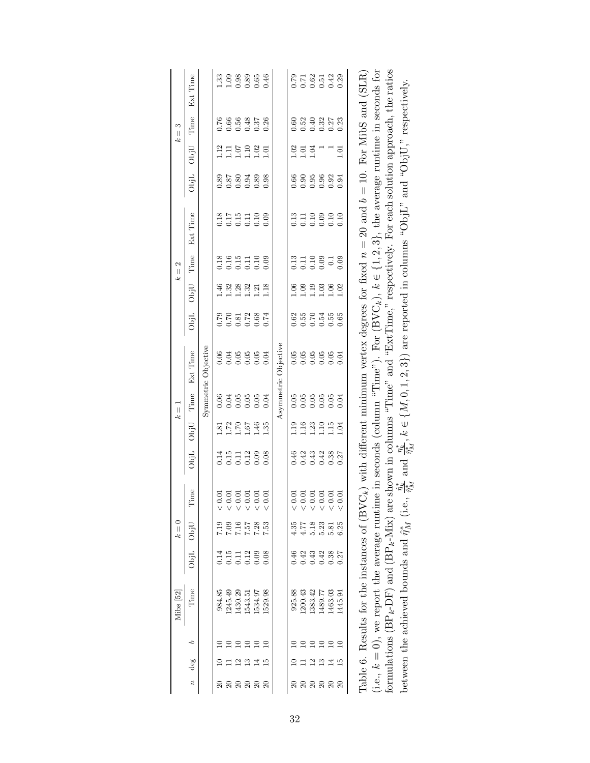| $0.78742$<br>$0.000000$<br>33<br>233354<br>110000<br>66<br>65435<br>00000<br>53<br>53353<br>00000<br>0.76<br>0.60<br>115985<br>115985<br>$1.01$<br>$1.04$<br>1.01<br>02<br>0.66<br>8<br>8<br>8<br>8<br>8<br>8<br>8<br>8<br>8<br>8<br>8<br>8<br>0.89<br>8<br>211110<br>000000<br>n 119819<br>000000<br>18<br>195119<br>000000<br>11100100<br>11100100<br>00000000<br>1.46<br>32<br>1323<br>11112<br>1.02<br>0.06<br>0.79<br>$\begin{array}{c} 0.62 \\ 0.55 \end{array}$<br>$0.55$<br>$0.55$<br>0.65<br>Asymmetric Objective<br>Symmetric Objective<br>$0.056$<br>$0.056$<br>0.06<br>88888<br>00000<br>0.04<br>0.04<br>888888<br>666666<br>$1.16$<br>$1.23$<br>$1.72$<br>$1.70$<br>1.46<br>1.35<br>1.19<br>$\frac{1.10}{1.15}$<br>1.67<br>1.04<br>$\overline{3}$ .<br>1111288<br>00000<br>0.46<br>1<br>1<br>1<br>1<br>1<br>1<br>1<br>1<br>1<br>1<br>1<br>1<br>1<br>1<br><u> - - - - - - - - -</u><br>$5.18$<br>88<br>2525<br>2527<br>4.35<br>$4.77$<br>5.23<br>7.19<br>6.25<br>5.81<br>0.46<br>15<br>0.112<br>0.000<br>식 <del>역</del> 원<br>미 이 식<br>0.38<br>0.27<br>0.14<br>529.98<br>925.88<br>984.85<br>245.49<br>1430.29<br>1534.97<br>.200.43<br>1383.42<br>1489.77<br>1463.03<br>1445.94<br>1543.51<br>d<br>≘<br>$\Xi$ | Mibs [52]                                              |      | $k=0$ |                                         |             | جح   | $\overline{\mathbb{I}}$ |                                                                                                                      |      |      | $=$ 2<br>Ł. |          |      |      | S<br>$\mathop{\rm II}$<br>Ł. |          |
|---------------------------------------------------------------------------------------------------------------------------------------------------------------------------------------------------------------------------------------------------------------------------------------------------------------------------------------------------------------------------------------------------------------------------------------------------------------------------------------------------------------------------------------------------------------------------------------------------------------------------------------------------------------------------------------------------------------------------------------------------------------------------------------------------------------------------------------------------------------------------------------------------------------------------------------------------------------------------------------------------------------------------------------------------------------------------------------------------------------------------------------------------------------------------------------------------------------------------|--------------------------------------------------------|------|-------|-----------------------------------------|-------------|------|-------------------------|----------------------------------------------------------------------------------------------------------------------|------|------|-------------|----------|------|------|------------------------------|----------|
|                                                                                                                                                                                                                                                                                                                                                                                                                                                                                                                                                                                                                                                                                                                                                                                                                                                                                                                                                                                                                                                                                                                                                                                                                           | Time                                                   | ObjL | ObjU  | Time                                    | $\rm{Obj}L$ | ObjU | Time                    | Ext Time                                                                                                             | ObjL | ObjU | Time        | Ext Time | ObjL | ObjU | Time                         | Ext Time |
|                                                                                                                                                                                                                                                                                                                                                                                                                                                                                                                                                                                                                                                                                                                                                                                                                                                                                                                                                                                                                                                                                                                                                                                                                           |                                                        |      |       |                                         |             |      |                         |                                                                                                                      |      |      |             |          |      |      |                              |          |
|                                                                                                                                                                                                                                                                                                                                                                                                                                                                                                                                                                                                                                                                                                                                                                                                                                                                                                                                                                                                                                                                                                                                                                                                                           |                                                        |      |       |                                         |             |      |                         |                                                                                                                      |      |      |             |          |      |      |                              |          |
|                                                                                                                                                                                                                                                                                                                                                                                                                                                                                                                                                                                                                                                                                                                                                                                                                                                                                                                                                                                                                                                                                                                                                                                                                           |                                                        |      |       |                                         |             |      |                         |                                                                                                                      |      |      |             |          |      |      |                              |          |
|                                                                                                                                                                                                                                                                                                                                                                                                                                                                                                                                                                                                                                                                                                                                                                                                                                                                                                                                                                                                                                                                                                                                                                                                                           |                                                        |      |       |                                         |             |      |                         |                                                                                                                      |      |      |             |          |      |      |                              |          |
|                                                                                                                                                                                                                                                                                                                                                                                                                                                                                                                                                                                                                                                                                                                                                                                                                                                                                                                                                                                                                                                                                                                                                                                                                           |                                                        |      |       |                                         |             |      |                         |                                                                                                                      |      |      |             |          |      |      |                              |          |
|                                                                                                                                                                                                                                                                                                                                                                                                                                                                                                                                                                                                                                                                                                                                                                                                                                                                                                                                                                                                                                                                                                                                                                                                                           |                                                        |      |       |                                         |             |      |                         |                                                                                                                      |      |      |             |          |      |      |                              |          |
|                                                                                                                                                                                                                                                                                                                                                                                                                                                                                                                                                                                                                                                                                                                                                                                                                                                                                                                                                                                                                                                                                                                                                                                                                           |                                                        |      |       |                                         |             |      |                         |                                                                                                                      |      |      |             |          |      |      |                              |          |
|                                                                                                                                                                                                                                                                                                                                                                                                                                                                                                                                                                                                                                                                                                                                                                                                                                                                                                                                                                                                                                                                                                                                                                                                                           |                                                        |      |       |                                         |             |      |                         |                                                                                                                      |      |      |             |          |      |      |                              |          |
|                                                                                                                                                                                                                                                                                                                                                                                                                                                                                                                                                                                                                                                                                                                                                                                                                                                                                                                                                                                                                                                                                                                                                                                                                           |                                                        |      |       |                                         |             |      |                         |                                                                                                                      |      |      |             |          |      |      |                              |          |
|                                                                                                                                                                                                                                                                                                                                                                                                                                                                                                                                                                                                                                                                                                                                                                                                                                                                                                                                                                                                                                                                                                                                                                                                                           |                                                        |      |       |                                         |             |      |                         |                                                                                                                      |      |      |             |          |      |      |                              |          |
|                                                                                                                                                                                                                                                                                                                                                                                                                                                                                                                                                                                                                                                                                                                                                                                                                                                                                                                                                                                                                                                                                                                                                                                                                           |                                                        |      |       |                                         |             |      |                         |                                                                                                                      |      |      |             |          |      |      |                              |          |
|                                                                                                                                                                                                                                                                                                                                                                                                                                                                                                                                                                                                                                                                                                                                                                                                                                                                                                                                                                                                                                                                                                                                                                                                                           |                                                        |      |       |                                         |             |      |                         |                                                                                                                      |      |      |             |          |      |      |                              |          |
|                                                                                                                                                                                                                                                                                                                                                                                                                                                                                                                                                                                                                                                                                                                                                                                                                                                                                                                                                                                                                                                                                                                                                                                                                           |                                                        |      |       |                                         |             |      |                         |                                                                                                                      |      |      |             |          |      |      |                              |          |
|                                                                                                                                                                                                                                                                                                                                                                                                                                                                                                                                                                                                                                                                                                                                                                                                                                                                                                                                                                                                                                                                                                                                                                                                                           |                                                        |      |       |                                         |             |      |                         |                                                                                                                      |      |      |             |          |      |      |                              |          |
|                                                                                                                                                                                                                                                                                                                                                                                                                                                                                                                                                                                                                                                                                                                                                                                                                                                                                                                                                                                                                                                                                                                                                                                                                           | between the achieved bounds and $\hat{\eta}_M^*$ (i.e. |      |       | $\frac{\hat{\eta}_k^*}{\hat{\eta}_M^*}$ |             |      |                         | and $\frac{\eta_k^k}{\eta_M^k}$ , $k \in \{M, 0, 1, 2, 3\}$ are reported in columns "ObjL" and "ObjU," respectively. |      |      |             |          |      |      |                              |          |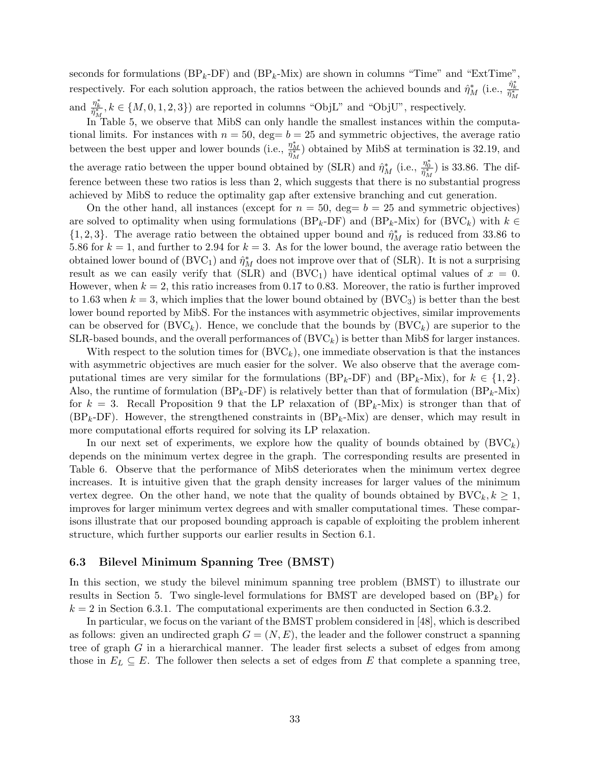seconds for formulations  $(BP_k-DF)$  and  $(BP_k-Mix)$  are shown in columns "Time" and "ExtTime", respectively. For each solution approach, the ratios between the achieved bounds and  $\hat{\eta}_M^*$  (i.e.,  $\frac{\hat{\eta}_k^*}{\hat{\eta}_M^*}$ and  $\frac{\eta_k^*}{\hat{\eta}_M^*}$ ,  $k \in \{M, 0, 1, 2, 3\}$  are reported in columns "ObjL" and "ObjU", respectively.

In Table 5, we observe that MibS can only handle the smallest instances within the computational limits. For instances with  $n = 50$ , deg=  $b = 25$  and symmetric objectives, the average ratio between the best upper and lower bounds (i.e.,  $\frac{\eta_M^*}{\hat{\eta}_M^*}$ ) obtained by MibS at termination is 32.19, and the average ratio between the upper bound obtained by (SLR) and  $\hat{\eta}_M^*$  (i.e.,  $\frac{\eta_0^*}{\hat{\eta}_M^*}$ ) is 33.86. The difference between these two ratios is less than 2, which suggests that there is no substantial progress achieved by MibS to reduce the optimality gap after extensive branching and cut generation.

On the other hand, all instances (except for  $n = 50$ , deg=  $b = 25$  and symmetric objectives) are solved to optimality when using formulations (BP<sub>k</sub>-DF) and (BP<sub>k</sub>-Mix) for (BVC<sub>k</sub>) with  $k \in$  $\{1,2,3\}$ . The average ratio between the obtained upper bound and  $\hat{\eta}_M^*$  is reduced from 33.86 to 5.86 for  $k = 1$ , and further to 2.94 for  $k = 3$ . As for the lower bound, the average ratio between the obtained lower bound of  $(BVC_1)$  and  $\hat{\eta}_M^*$  does not improve over that of (SLR). It is not a surprising result as we can easily verify that (SLR) and  $(BVC_1)$  have identical optimal values of  $x = 0$ . However, when  $k = 2$ , this ratio increases from 0.17 to 0.83. Moreover, the ratio is further improved to 1.63 when  $k = 3$ , which implies that the lower bound obtained by  $(BVC<sub>3</sub>)$  is better than the best lower bound reported by MibS. For the instances with asymmetric objectives, similar improvements can be observed for  $(BVC_k)$ . Hence, we conclude that the bounds by  $(BVC_k)$  are superior to the SLR-based bounds, and the overall performances of  $(BVC_k)$  is better than MibS for larger instances.

With respect to the solution times for  $(BVC<sub>k</sub>)$ , one immediate observation is that the instances with asymmetric objectives are much easier for the solver. We also observe that the average computational times are very similar for the formulations  $(BP_k-DF)$  and  $(BP_k-Mix)$ , for  $k \in \{1,2\}$ . Also, the runtime of formulation (BP<sub>k</sub>-DF) is relatively better than that of formulation (BP<sub>k</sub>-Mix) for  $k = 3$ . Recall Proposition 9 that the LP relaxation of  $(BP_k-Mix)$  is stronger than that of  $(BP_k-DF)$ . However, the strengthened constraints in  $(BP_k-Mix)$  are denser, which may result in more computational efforts required for solving its LP relaxation.

In our next set of experiments, we explore how the quality of bounds obtained by  $(BVC<sub>k</sub>)$ depends on the minimum vertex degree in the graph. The corresponding results are presented in Table 6. Observe that the performance of MibS deteriorates when the minimum vertex degree increases. It is intuitive given that the graph density increases for larger values of the minimum vertex degree. On the other hand, we note that the quality of bounds obtained by  $BVC_k, k \geq 1$ , improves for larger minimum vertex degrees and with smaller computational times. These comparisons illustrate that our proposed bounding approach is capable of exploiting the problem inherent structure, which further supports our earlier results in Section 6.1.

# 6.3 Bilevel Minimum Spanning Tree (BMST)

In this section, we study the bilevel minimum spanning tree problem (BMST) to illustrate our results in Section 5. Two single-level formulations for BMST are developed based on  $(BP_k)$  for  $k = 2$  in Section 6.3.1. The computational experiments are then conducted in Section 6.3.2.

In particular, we focus on the variant of the BMST problem considered in [48], which is described as follows: given an undirected graph  $G = (N, E)$ , the leader and the follower construct a spanning tree of graph G in a hierarchical manner. The leader first selects a subset of edges from among those in  $E_L \subseteq E$ . The follower then selects a set of edges from E that complete a spanning tree,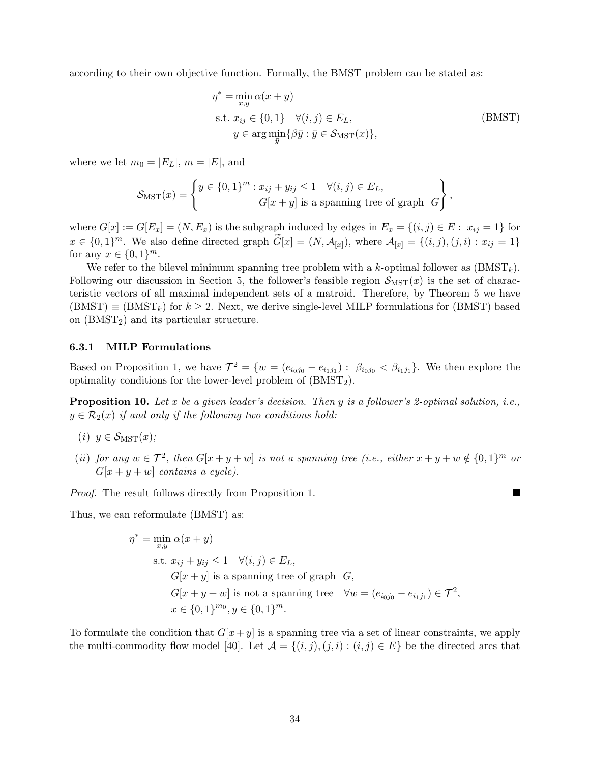according to their own objective function. Formally, the BMST problem can be stated as:

$$
\eta^* = \min_{x,y} \alpha(x+y)
$$
  
s.t.  $x_{ij} \in \{0,1\} \quad \forall (i,j) \in E_L$ ,  

$$
y \in \arg \min_{\overline{y}} \{\beta \overline{y} : \overline{y} \in \mathcal{S}_{\text{MST}}(x)\},
$$
 (BMST)

where we let  $m_0 = |E_L|$ ,  $m = |E|$ , and

$$
\mathcal{S}_{\text{MST}}(x) = \left\{ \begin{aligned} y \in \{0, 1\}^m : x_{ij} + y_{ij} \le 1 & \forall (i, j) \in E_L, \\ G[x + y] \text{ is a spanning tree of graph } G \end{aligned} \right\},
$$

where  $G[x] := G[E_x] = (N, E_x)$  is the subgraph induced by edges in  $E_x = \{(i, j) \in E : x_{ij} = 1\}$  for  $x \in \{0,1\}^m$ . We also define directed graph  $\widetilde{G}[x] = (N, \mathcal{A}_{[x]})$ , where  $\mathcal{A}_{[x]} = \{(i, j), (j, i) : x_{ij} = 1\}$ for any  $x \in \{0, 1\}^m$ .

We refer to the bilevel minimum spanning tree problem with a k-optimal follower as  $(BMST_k)$ . Following our discussion in Section 5, the follower's feasible region  $S_{\text{MST}}(x)$  is the set of characteristic vectors of all maximal independent sets of a matroid. Therefore, by Theorem 5 we have  $(BMST) \equiv (BMST_k)$  for  $k \geq 2$ . Next, we derive single-level MILP formulations for (BMST) based on  $(BMST<sub>2</sub>)$  and its particular structure.

#### 6.3.1 MILP Formulations

Based on Proposition 1, we have  $\mathcal{T}^2 = \{w = (e_{i_0j_0} - e_{i_1j_1}) : \beta_{i_0j_0} < \beta_{i_1j_1}\}\.$  We then explore the optimality conditions for the lower-level problem of  $(BMST<sub>2</sub>)$ .

**Proposition 10.** Let  $x$  be a given leader's decision. Then  $y$  is a follower's 2-optimal solution, i.e.,  $y \in \mathcal{R}_2(x)$  if and only if the following two conditions hold:

- (i)  $y \in \mathcal{S}_{\text{MST}}(x)$ ;
- (ii) for any  $w \in \mathcal{T}^2$ , then  $G[x+y+w]$  is not a spanning tree (i.e., either  $x+y+w \notin \{0,1\}^m$  or  $G[x + y + w]$  contains a cycle).

Proof. The result follows directly from Proposition 1.

Thus, we can reformulate (BMST) as:

$$
\eta^* = \min_{x,y} \alpha(x+y)
$$
  
s.t.  $x_{ij} + y_{ij} \le 1 \quad \forall (i,j) \in E_L$ ,  
 $G[x+y]$  is a spanning tree of graph  $G$ ,  
 $G[x+y+w]$  is not a spanning tree  $\forall w = (e_{i_0j_0} - e_{i_1j_1}) \in \mathcal{T}^2$ ,  
 $x \in \{0,1\}^{m_0}, y \in \{0,1\}^m$ .

To formulate the condition that  $G[x + y]$  is a spanning tree via a set of linear constraints, we apply the multi-commodity flow model [40]. Let  $\mathcal{A} = \{(i, j), (j, i) : (i, j) \in E\}$  be the directed arcs that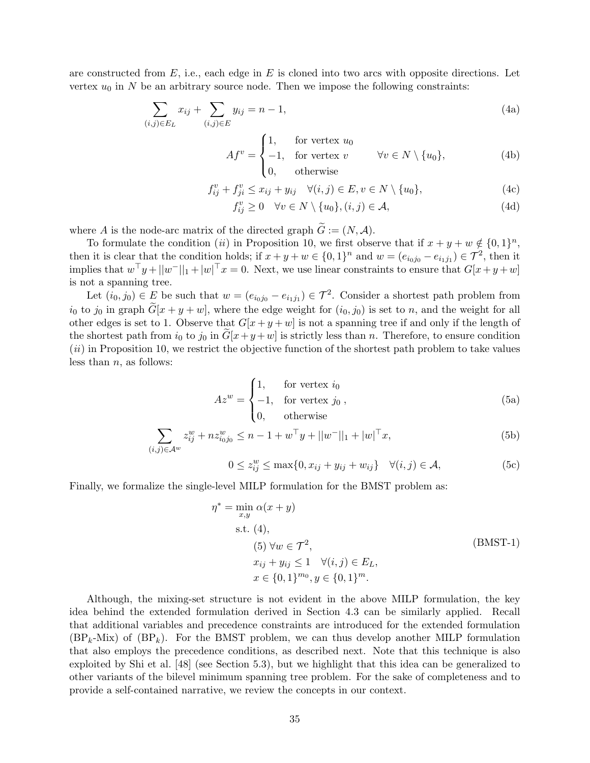are constructed from  $E$ , i.e., each edge in  $E$  is cloned into two arcs with opposite directions. Let vertex  $u_0$  in N be an arbitrary source node. Then we impose the following constraints:

$$
\sum_{(i,j)\in E_L} x_{ij} + \sum_{(i,j)\in E} y_{ij} = n - 1,\tag{4a}
$$

$$
Af^{v} = \begin{cases} 1, & \text{for vertex } u_{0} \\ -1, & \text{for vertex } v \\ 0, & \text{otherwise} \end{cases} \qquad \forall v \in N \setminus \{u_{0}\},
$$
 (4b)

$$
f_{ij}^v + f_{ji}^v \le x_{ij} + y_{ij} \quad \forall (i, j) \in E, v \in N \setminus \{u_0\},\tag{4c}
$$

$$
f_{ij}^v \ge 0 \quad \forall v \in N \setminus \{u_0\}, (i,j) \in \mathcal{A}, \tag{4d}
$$

where A is the node-arc matrix of the directed graph  $\widetilde{G} := (N, \mathcal{A})$ .

To formulate the condition (ii) in Proposition 10, we first observe that if  $x + y + w \notin \{0, 1\}^n$ , then it is clear that the condition holds; if  $x + y + w \in \{0, 1\}^n$  and  $w = (e_{i_0j_0} - e_{i_1j_1}) \in \mathcal{T}^2$ , then it implies that  $w^{\top}y + ||w^-||_1 + |w|^{\top}x = 0$ . Next, we use linear constraints to ensure that  $G[x + y + w]$ is not a spanning tree.

Let  $(i_0, j_0) \in E$  be such that  $w = (e_{i_0j_0} - e_{i_1j_1}) \in \mathcal{T}^2$ . Consider a shortest path problem from  $i_0$  to  $j_0$  in graph  $\widetilde{G}[x+y+w]$ , where the edge weight for  $(i_0, j_0)$  is set to n, and the weight for all other edges is set to 1. Observe that  $G[x + y + w]$  is not a spanning tree if and only if the length of the shortest path from  $i_0$  to  $j_0$  in  $G[x+y+w]$  is strictly less than n. Therefore, to ensure condition  $(ii)$  in Proposition 10, we restrict the objective function of the shortest path problem to take values less than  $n$ , as follows:

$$
Az^{w} = \begin{cases} 1, & \text{for vertex } i_0 \\ -1, & \text{for vertex } j_0, \\ 0, & \text{otherwise} \end{cases}
$$
 (5a)

$$
\sum_{(i,j)\in\mathcal{A}^w} z_{ij}^w + nz_{i_0j_0}^w \le n - 1 + w^\top y + ||w^-||_1 + |w|^\top x,\tag{5b}
$$

$$
0 \le z_{ij}^w \le \max\{0, x_{ij} + y_{ij} + w_{ij}\} \quad \forall (i, j) \in \mathcal{A},
$$
\n
$$
(5c)
$$

Finally, we formalize the single-level MILP formulation for the BMST problem as:

$$
\eta^* = \min_{x,y} \alpha(x+y)
$$
  
s.t. (4),  
(5)  $\forall w \in \mathcal{T}^2$ ,  

$$
x_{ij} + y_{ij} \le 1 \quad \forall (i,j) \in E_L,
$$
  

$$
x \in \{0,1\}^{m_0}, y \in \{0,1\}^m.
$$
 (BMST-1)

Although, the mixing-set structure is not evident in the above MILP formulation, the key idea behind the extended formulation derived in Section 4.3 can be similarly applied. Recall that additional variables and precedence constraints are introduced for the extended formulation  $(BP_k-Mix)$  of  $(BP_k)$ . For the BMST problem, we can thus develop another MILP formulation that also employs the precedence conditions, as described next. Note that this technique is also exploited by Shi et al. [48] (see Section 5.3), but we highlight that this idea can be generalized to other variants of the bilevel minimum spanning tree problem. For the sake of completeness and to provide a self-contained narrative, we review the concepts in our context.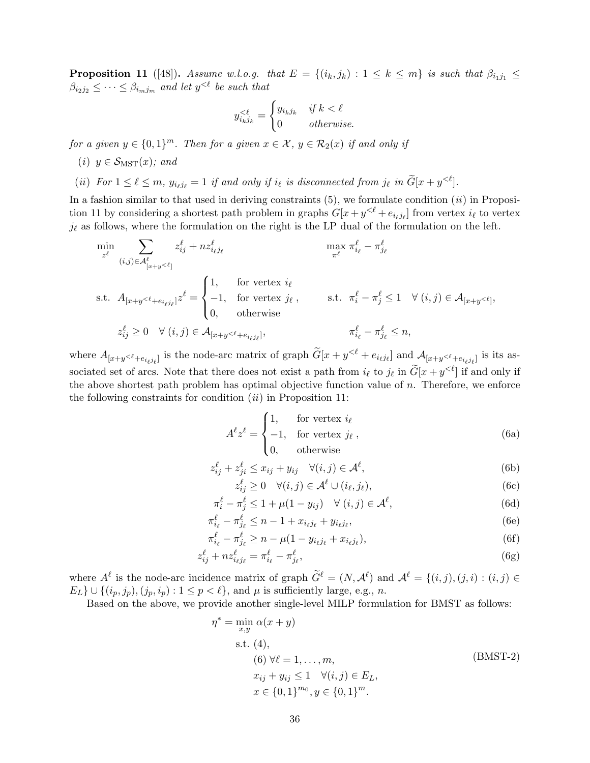**Proposition 11** ([48]). Assume w.l.o.g. that  $E = \{(i_k, j_k) : 1 \leq k \leq m\}$  is such that  $\beta_{i_1 j_1} \leq$  $\beta_{i_2j_2} \leq \cdots \leq \beta_{i_mj_m}$  and let  $y^{\leq \ell}$  be such that

$$
y_{i_k j_k}^{\leq \ell} = \begin{cases} y_{i_k j_k} & \text{if } k < \ell \\ 0 & \text{otherwise.} \end{cases}
$$

for a given  $y \in \{0,1\}^m$ . Then for a given  $x \in \mathcal{X}$ ,  $y \in \mathcal{R}_2(x)$  if and only if

- (i)  $y \in \mathcal{S}_{\text{MST}}(x)$ ; and
- (ii) For  $1 \leq \ell \leq m$ ,  $y_{i_\ell j_\ell} = 1$  if and only if  $i_\ell$  is disconnected from  $j_\ell$  in  $\widetilde{G}[x + y^{\leq \ell}]$ .

In a fashion similar to that used in deriving constraints  $(5)$ , we formulate condition  $(ii)$  in Proposition 11 by considering a shortest path problem in graphs  $G[x + y<sup>{\ell} + e_{i_\ell j_\ell}]</sup>$  from vertex  $i_\ell$  to vertex  $j_{\ell}$  as follows, where the formulation on the right is the LP dual of the formulation on the left.

$$
\min_{z^{\ell}} \sum_{(i,j)\in\mathcal{A}^{\ell}_{[x+y<\ell]}} z^{\ell}_{ij} + nz^{\ell}_{i\ell j\ell} \qquad \qquad \max_{\pi^{\ell}} \pi^{\ell}_{i_{\ell}} - \pi^{\ell}_{j_{\ell}}
$$
\n
$$
\text{s.t. } A_{[x+y<\ell+e_{i_{\ell}j_{\ell}}]} z^{\ell} = \begin{cases} 1, & \text{for vertex } i_{\ell} \\ -1, & \text{for vertex } j_{\ell} \end{cases}, \qquad \text{s.t. } \pi^{\ell}_{i} - \pi^{\ell}_{j} \le 1 \quad \forall (i,j) \in \mathcal{A}_{[x+y<\ell]},
$$
\n
$$
z^{\ell}_{ij} \ge 0 \quad \forall (i,j) \in \mathcal{A}_{[x+y<\ell+e_{i_{\ell}j_{\ell}}]}, \qquad \qquad \pi^{\ell}_{i_{\ell}} - \pi^{\ell}_{j_{\ell}} \le n,
$$

where  $A_{[x+y\leq \ell + e_{i_\ell j_\ell}]}$  is the node-arc matrix of graph  $\widetilde{G}[x+y\leq \ell + e_{i_\ell j_\ell}]$  and  $A_{[x+y\leq \ell + e_{i_\ell j_\ell}]}$  is its associated set of arcs. Note that there does not exist a path from  $i_{\ell}$  to  $j_{\ell}$  in  $\widetilde{G}[x + y^{\leq \ell}]$  if and only if the above shortest path problem has optimal objective function value of  $n$ . Therefore, we enforce the following constraints for condition  $(ii)$  in Proposition 11:

$$
A^{\ell} z^{\ell} = \begin{cases} 1, & \text{for vertex } i_{\ell} \\ -1, & \text{for vertex } j_{\ell} \\ 0, & \text{otherwise} \end{cases}
$$
 (6a)

$$
z_{ij}^{\ell} + z_{ji}^{\ell} \le x_{ij} + y_{ij} \quad \forall (i, j) \in \mathcal{A}^{\ell}, \tag{6b}
$$

$$
z_{ij}^{\ell} \ge 0 \quad \forall (i,j) \in \mathcal{A}^{\ell} \cup (i_{\ell}, j_{\ell}), \tag{6c}
$$

$$
\pi_i^{\ell} - \pi_j^{\ell} \le 1 + \mu(1 - y_{ij}) \quad \forall (i, j) \in \mathcal{A}^{\ell},\tag{6d}
$$

$$
\pi_{i_{\ell}}^{\ell} - \pi_{j_{\ell}}^{\ell} \le n - 1 + x_{i_{\ell}j_{\ell}} + y_{i_{\ell}j_{\ell}},\tag{6e}
$$

$$
\pi_{i_{\ell}}^{\ell} - \pi_{j_{\ell}}^{\ell} \ge n - \mu (1 - y_{i_{\ell} j_{\ell}} + x_{i_{\ell} j_{\ell}}),
$$
\n(6f)

$$
z_{ij}^{\ell} + nz_{i_{\ell}j_{\ell}}^{\ell} = \pi_{i_{\ell}}^{\ell} - \pi_{j_{\ell}}^{\ell},\tag{6g}
$$

where  $A^{\ell}$  is the node-arc incidence matrix of graph  $\widetilde{G}^{\ell} = (N, A^{\ell})$  and  $A^{\ell} = \{(i, j), (j, i) : (i, j) \in$  $E_L$   $\cup$   $\{(i_p, j_p), (j_p, i_p) : 1 \leq p < \ell\}$ , and  $\mu$  is sufficiently large, e.g., n.

Based on the above, we provide another single-level MILP formulation for BMST as follows:

$$
\eta^* = \min_{x,y} \alpha(x+y)
$$
  
s.t. (4),  
(6)  $\forall \ell = 1,..., m,$   
 $x_{ij} + y_{ij} \le 1 \quad \forall (i,j) \in E_L,$   
 $x \in \{0,1\}^{m_0}, y \in \{0,1\}^m.$  (BMT-2)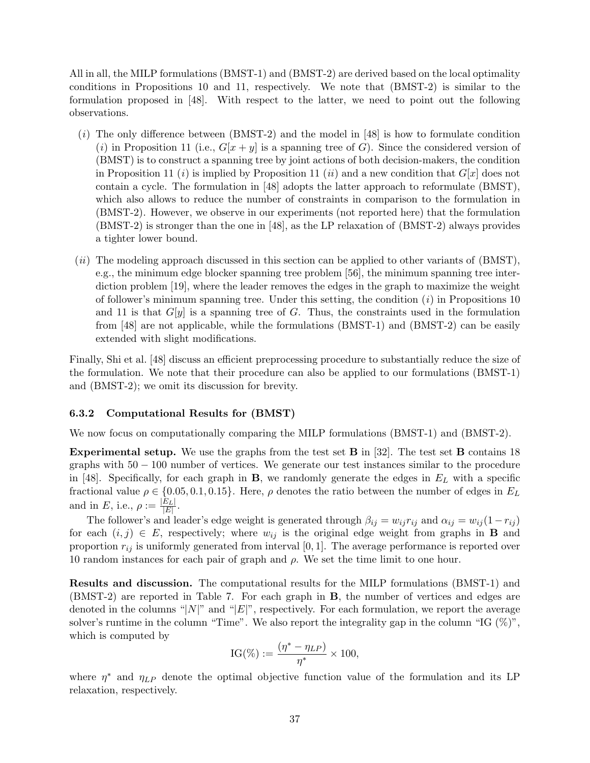All in all, the MILP formulations (BMST-1) and (BMST-2) are derived based on the local optimality conditions in Propositions 10 and 11, respectively. We note that (BMST-2) is similar to the formulation proposed in [48]. With respect to the latter, we need to point out the following observations.

- $(i)$  The only difference between (BMST-2) and the model in [48] is how to formulate condition (i) in Proposition 11 (i.e.,  $G[x + y]$  is a spanning tree of G). Since the considered version of (BMST) is to construct a spanning tree by joint actions of both decision-makers, the condition in Proposition 11 (*i*) is implied by Proposition 11 (*ii*) and a new condition that  $G[x]$  does not contain a cycle. The formulation in [48] adopts the latter approach to reformulate (BMST), which also allows to reduce the number of constraints in comparison to the formulation in (BMST-2). However, we observe in our experiments (not reported here) that the formulation (BMST-2) is stronger than the one in [48], as the LP relaxation of (BMST-2) always provides a tighter lower bound.
- $(ii)$  The modeling approach discussed in this section can be applied to other variants of (BMST), e.g., the minimum edge blocker spanning tree problem [56], the minimum spanning tree interdiction problem [19], where the leader removes the edges in the graph to maximize the weight of follower's minimum spanning tree. Under this setting, the condition  $(i)$  in Propositions 10 and 11 is that  $G[y]$  is a spanning tree of G. Thus, the constraints used in the formulation from [48] are not applicable, while the formulations (BMST-1) and (BMST-2) can be easily extended with slight modifications.

Finally, Shi et al. [48] discuss an efficient preprocessing procedure to substantially reduce the size of the formulation. We note that their procedure can also be applied to our formulations (BMST-1) and (BMST-2); we omit its discussion for brevity.

# 6.3.2 Computational Results for (BMST)

We now focus on computationally comparing the MILP formulations (BMST-1) and (BMST-2).

**Experimental setup.** We use the graphs from the test set  $\bf{B}$  in [32]. The test set  $\bf{B}$  contains 18 graphs with 50 − 100 number of vertices. We generate our test instances similar to the procedure in [48]. Specifically, for each graph in **B**, we randomly generate the edges in  $E_L$  with a specific fractional value  $\rho \in \{0.05, 0.1, 0.15\}$ . Here,  $\rho$  denotes the ratio between the number of edges in  $E_L$ and in E, i.e.,  $\rho := \frac{|E_L|}{|E|}$  $\frac{E_{L\parallel}}{|E|}.$ 

The follower's and leader's edge weight is generated through  $\beta_{ij} = w_{ij} r_{ij}$  and  $\alpha_{ij} = w_{ij} (1 - r_{ij})$ for each  $(i, j) \in E$ , respectively; where  $w_{ij}$  is the original edge weight from graphs in **B** and proportion  $r_{ij}$  is uniformly generated from interval [0, 1]. The average performance is reported over 10 random instances for each pair of graph and  $ρ$ . We set the time limit to one hour.

Results and discussion. The computational results for the MILP formulations (BMST-1) and (BMST-2) are reported in Table 7. For each graph in B, the number of vertices and edges are denoted in the columns "|N|" and "|E|", respectively. For each formulation, we report the average solver's runtime in the column "Time". We also report the integrality gap in the column "IG  $(\%)$ ", which is computed by

$$
IG(\%) := \frac{(\eta^* - \eta_{LP})}{\eta^*} \times 100,
$$

where  $\eta^*$  and  $\eta_{LP}$  denote the optimal objective function value of the formulation and its LP relaxation, respectively.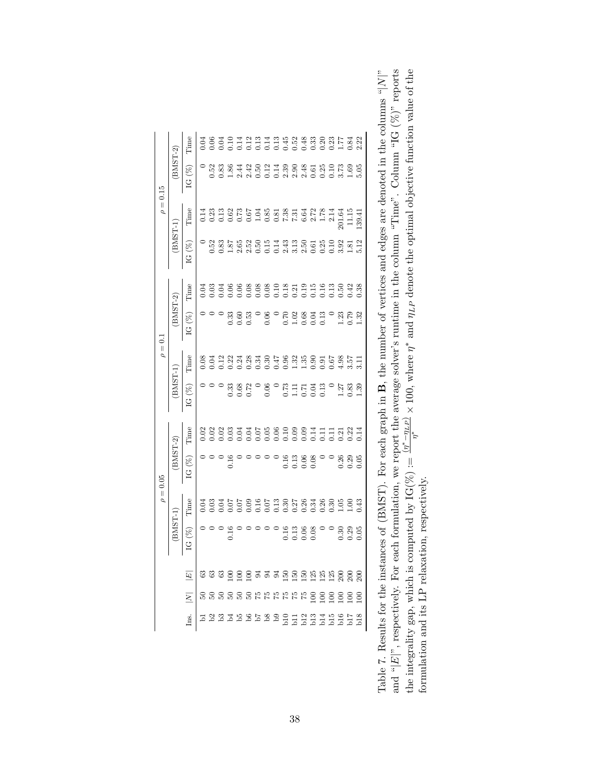| Time<br>0.04<br>$BMST-2)$<br>社 8 일 그 그 일 일 선 일 없 일 일 일 일<br>서 일 일 그 일 일 일 선 일 일 일 일 일 일 일<br>대 이 이 의 일 일 일 일 일 일 일 일 일 일<br>$\frac{52}{0.8}$<br>IG(%<br>2.4<br>$\rho = 0.15$<br>Time<br>0.14<br>BMST-1<br>8.851438582831<br>8.851438582831<br>$\frac{52}{83}$<br>$\frac{87}{20}$<br>$IG($ %<br>Time<br>0.03<br>Э.O4<br>0.06<br>0.06<br>$\tilde{5}$<br>$BMST-2)$<br>0.3<br>0.3<br>0.3<br>0.13<br>.53<br>0.06<br>E<br>0.3<br>0.60<br>ġ<br>$\rho=0.1$ |      |                        |
|----------------------------------------------------------------------------------------------------------------------------------------------------------------------------------------------------------------------------------------------------------------------------------------------------------------------------------------------------------------------------------------------------------------------------------------------------|------|------------------------|
|                                                                                                                                                                                                                                                                                                                                                                                                                                                    |      |                        |
|                                                                                                                                                                                                                                                                                                                                                                                                                                                    |      |                        |
|                                                                                                                                                                                                                                                                                                                                                                                                                                                    |      |                        |
|                                                                                                                                                                                                                                                                                                                                                                                                                                                    |      |                        |
|                                                                                                                                                                                                                                                                                                                                                                                                                                                    |      |                        |
|                                                                                                                                                                                                                                                                                                                                                                                                                                                    |      | $\frac{23}{179}$<br>32 |
| Time<br>0.08<br>3.34<br>$\Xi$<br>0.22<br>0.24                                                                                                                                                                                                                                                                                                                                                                                                      |      |                        |
| (BMST-1<br>$\begin{array}{c} 71 \\ 0.13 \\ 0.0 \end{array}$<br>272<br>0.06<br>0.68<br>$\frac{73}{111}$<br>0.33<br>$\tilde{\mathcal{S}}$<br>$\bar{c}$                                                                                                                                                                                                                                                                                               | 1.27 | 0.83<br>39             |
| Time<br>77777227<br>50(<br>0.07<br>0.06<br>$\tilde{e}$<br>Š                                                                                                                                                                                                                                                                                                                                                                                        |      |                        |
| $BMST-2)$<br>15<br>0.13<br>0.00<br>IG (%                                                                                                                                                                                                                                                                                                                                                                                                           |      |                        |
| $\rho=0.05$<br>Time<br>509509558388<br>000000000000<br>0.04<br>0.04                                                                                                                                                                                                                                                                                                                                                                                |      | $\frac{158}{100}$      |
| $\begin{array}{c} 0.16 \\ 0.13 \end{array}$<br>E<br>0.08<br>Ġ                                                                                                                                                                                                                                                                                                                                                                                      |      |                        |
| $\boxed{E}$                                                                                                                                                                                                                                                                                                                                                                                                                                        |      |                        |
| $\overline{N}$                                                                                                                                                                                                                                                                                                                                                                                                                                     |      |                        |
| Ins.                                                                                                                                                                                                                                                                                                                                                                                                                                               |      |                        |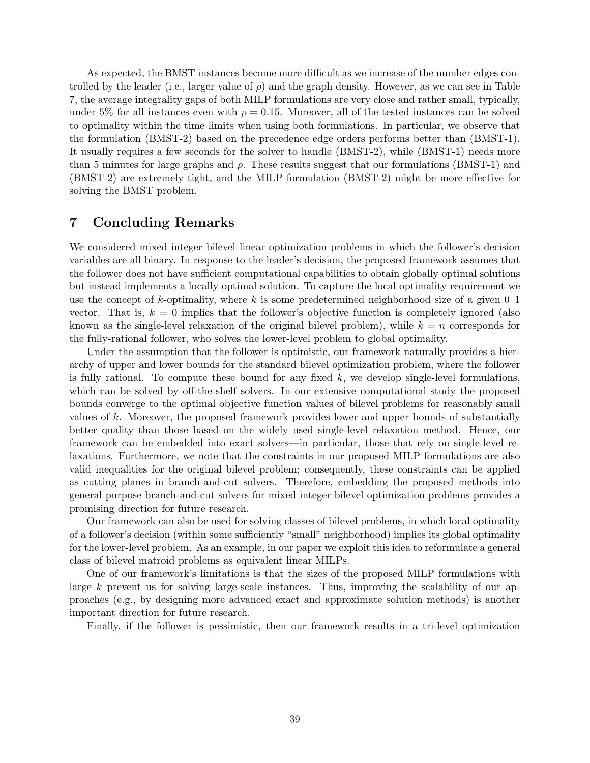As expected, the BMST instances become more difficult as we increase of the number edges controlled by the leader (i.e., larger value of  $\rho$ ) and the graph density. However, as we can see in Table 7, the average integrality gaps of both MILP formulations are very close and rather small, typically, under 5% for all instances even with  $\rho = 0.15$ . Moreover, all of the tested instances can be solved to optimality within the time limits when using both formulations. In particular, we observe that the formulation (BMST-2) based on the precedence edge orders performs better than (BMST-1). It usually requires a few seconds for the solver to handle (BMST-2), while (BMST-1) needs more than 5 minutes for large graphs and  $\rho$ . These results suggest that our formulations (BMST-1) and (BMST-2) are extremely tight, and the MILP formulation (BMST-2) might be more effective for solving the BMST problem.

# 7 Concluding Remarks

We considered mixed integer bilevel linear optimization problems in which the follower's decision variables are all binary. In response to the leader's decision, the proposed framework assumes that the follower does not have sufficient computational capabilities to obtain globally optimal solutions but instead implements a locally optimal solution. To capture the local optimality requirement we use the concept of k-optimality, where k is some predetermined neighborhood size of a given  $0-1$ vector. That is,  $k = 0$  implies that the follower's objective function is completely ignored (also known as the single-level relaxation of the original bilevel problem), while  $k = n$  corresponds for the fully-rational follower, who solves the lower-level problem to global optimality.

Under the assumption that the follower is optimistic, our framework naturally provides a hierarchy of upper and lower bounds for the standard bilevel optimization problem, where the follower is fully rational. To compute these bound for any fixed  $k$ , we develop single-level formulations. which can be solved by off-the-shelf solvers. In our extensive computational study the proposed bounds converge to the optimal objective function values of bilevel problems for reasonably small values of k. Moreover, the proposed framework provides lower and upper bounds of substantially better quality than those based on the widely used single-level relaxation method. Hence, our framework can be embedded into exact solvers—in particular, those that rely on single-level relaxations. Furthermore, we note that the constraints in our proposed MILP formulations are also valid inequalities for the original bilevel problem; consequently, these constraints can be applied as cutting planes in branch-and-cut solvers. Therefore, embedding the proposed methods into general purpose branch-and-cut solvers for mixed integer bilevel optimization problems provides a promising direction for future research.

Our framework can also be used for solving classes of bilevel problems, in which local optimality of a follower's decision (within some sufficiently "small" neighborhood) implies its global optimality for the lower-level problem. As an example, in our paper we exploit this idea to reformulate a general class of bilevel matroid problems as equivalent linear MILPs.

One of our framework's limitations is that the sizes of the proposed MILP formulations with large k prevent us for solving large-scale instances. Thus, improving the scalability of our approaches (e.g., by designing more advanced exact and approximate solution methods) is another important direction for future research.

Finally, if the follower is pessimistic, then our framework results in a tri-level optimization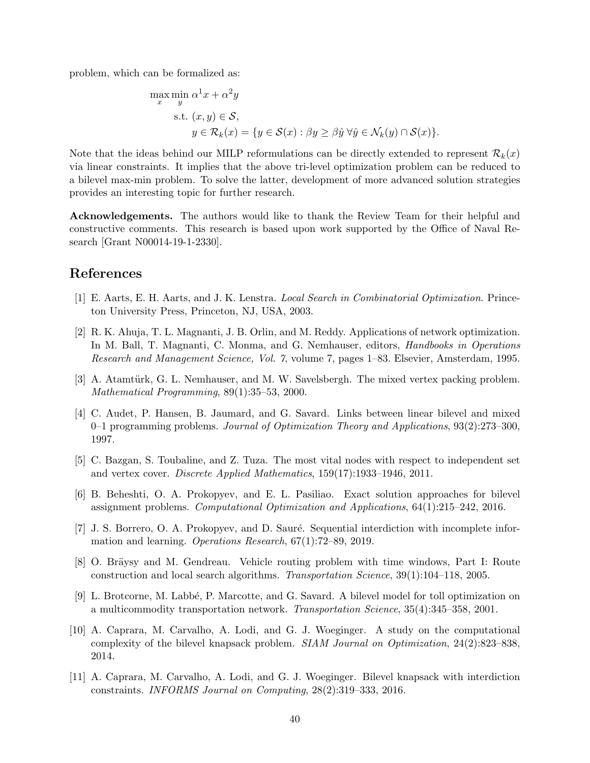problem, which can be formalized as:

$$
\max_{x} \min_{y} \alpha^{1} x + \alpha^{2} y
$$
  
s.t.  $(x, y) \in S$ ,  
 $y \in \mathcal{R}_{k}(x) = \{y \in \mathcal{S}(x) : \beta y \ge \beta \hat{y} \,\forall \hat{y} \in \mathcal{N}_{k}(y) \cap \mathcal{S}(x)\}.$ 

Note that the ideas behind our MILP reformulations can be directly extended to represent  $\mathcal{R}_k(x)$ via linear constraints. It implies that the above tri-level optimization problem can be reduced to a bilevel max-min problem. To solve the latter, development of more advanced solution strategies provides an interesting topic for further research.

Acknowledgements. The authors would like to thank the Review Team for their helpful and constructive comments. This research is based upon work supported by the Office of Naval Research [Grant N00014-19-1-2330].

# References

- [1] E. Aarts, E. H. Aarts, and J. K. Lenstra. Local Search in Combinatorial Optimization. Princeton University Press, Princeton, NJ, USA, 2003.
- [2] R. K. Ahuja, T. L. Magnanti, J. B. Orlin, and M. Reddy. Applications of network optimization. In M. Ball, T. Magnanti, C. Monma, and G. Nemhauser, editors, *Handbooks in Operations* Research and Management Science, Vol. 7, volume 7, pages 1–83. Elsevier, Amsterdam, 1995.
- [3] A. Atamtürk, G. L. Nemhauser, and M. W. Savelsbergh. The mixed vertex packing problem. Mathematical Programming, 89(1):35–53, 2000.
- [4] C. Audet, P. Hansen, B. Jaumard, and G. Savard. Links between linear bilevel and mixed 0–1 programming problems. Journal of Optimization Theory and Applications, 93(2):273–300, 1997.
- [5] C. Bazgan, S. Toubaline, and Z. Tuza. The most vital nodes with respect to independent set and vertex cover. Discrete Applied Mathematics, 159(17):1933–1946, 2011.
- [6] B. Beheshti, O. A. Prokopyev, and E. L. Pasiliao. Exact solution approaches for bilevel assignment problems. Computational Optimization and Applications, 64(1):215–242, 2016.
- [7] J. S. Borrero, O. A. Prokopyev, and D. Sauré. Sequential interdiction with incomplete information and learning. Operations Research, 67(1):72–89, 2019.
- [8] O. Bräysy and M. Gendreau. Vehicle routing problem with time windows, Part I: Route construction and local search algorithms. Transportation Science, 39(1):104–118, 2005.
- [9] L. Brotcorne, M. Labb´e, P. Marcotte, and G. Savard. A bilevel model for toll optimization on a multicommodity transportation network. Transportation Science, 35(4):345–358, 2001.
- [10] A. Caprara, M. Carvalho, A. Lodi, and G. J. Woeginger. A study on the computational complexity of the bilevel knapsack problem. SIAM Journal on Optimization, 24(2):823–838, 2014.
- [11] A. Caprara, M. Carvalho, A. Lodi, and G. J. Woeginger. Bilevel knapsack with interdiction constraints. INFORMS Journal on Computing, 28(2):319–333, 2016.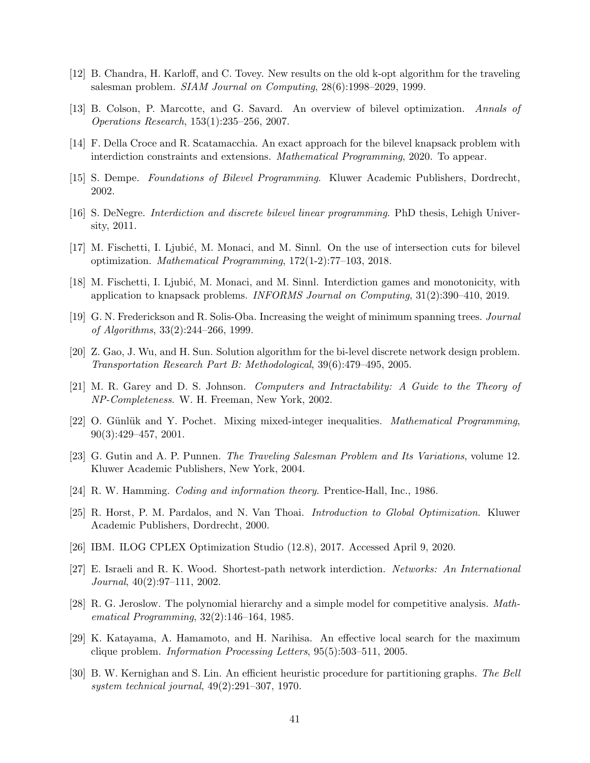- [12] B. Chandra, H. Karloff, and C. Tovey. New results on the old k-opt algorithm for the traveling salesman problem. SIAM Journal on Computing, 28(6):1998–2029, 1999.
- [13] B. Colson, P. Marcotte, and G. Savard. An overview of bilevel optimization. Annals of Operations Research, 153(1):235–256, 2007.
- [14] F. Della Croce and R. Scatamacchia. An exact approach for the bilevel knapsack problem with interdiction constraints and extensions. Mathematical Programming, 2020. To appear.
- [15] S. Dempe. Foundations of Bilevel Programming. Kluwer Academic Publishers, Dordrecht, 2002.
- [16] S. DeNegre. Interdiction and discrete bilevel linear programming. PhD thesis, Lehigh University, 2011.
- [17] M. Fischetti, I. Ljubić, M. Monaci, and M. Sinnl. On the use of intersection cuts for bilevel optimization. Mathematical Programming, 172(1-2):77–103, 2018.
- [18] M. Fischetti, I. Ljubić, M. Monaci, and M. Sinnl. Interdiction games and monotonicity, with application to knapsack problems. INFORMS Journal on Computing, 31(2):390–410, 2019.
- [19] G. N. Frederickson and R. Solis-Oba. Increasing the weight of minimum spanning trees. Journal of Algorithms, 33(2):244–266, 1999.
- [20] Z. Gao, J. Wu, and H. Sun. Solution algorithm for the bi-level discrete network design problem. Transportation Research Part B: Methodological, 39(6):479–495, 2005.
- [21] M. R. Garey and D. S. Johnson. Computers and Intractability: A Guide to the Theory of NP-Completeness. W. H. Freeman, New York, 2002.
- [22] O. Günlük and Y. Pochet. Mixing mixed-integer inequalities. Mathematical Programming, 90(3):429–457, 2001.
- [23] G. Gutin and A. P. Punnen. The Traveling Salesman Problem and Its Variations, volume 12. Kluwer Academic Publishers, New York, 2004.
- [24] R. W. Hamming. Coding and information theory. Prentice-Hall, Inc., 1986.
- [25] R. Horst, P. M. Pardalos, and N. Van Thoai. Introduction to Global Optimization. Kluwer Academic Publishers, Dordrecht, 2000.
- [26] IBM. ILOG CPLEX Optimization Studio (12.8), 2017. Accessed April 9, 2020.
- [27] E. Israeli and R. K. Wood. Shortest-path network interdiction. Networks: An International Journal, 40(2):97–111, 2002.
- [28] R. G. Jeroslow. The polynomial hierarchy and a simple model for competitive analysis. Mathematical Programming, 32(2):146–164, 1985.
- [29] K. Katayama, A. Hamamoto, and H. Narihisa. An effective local search for the maximum clique problem. Information Processing Letters, 95(5):503–511, 2005.
- [30] B. W. Kernighan and S. Lin. An efficient heuristic procedure for partitioning graphs. The Bell system technical journal, 49(2):291–307, 1970.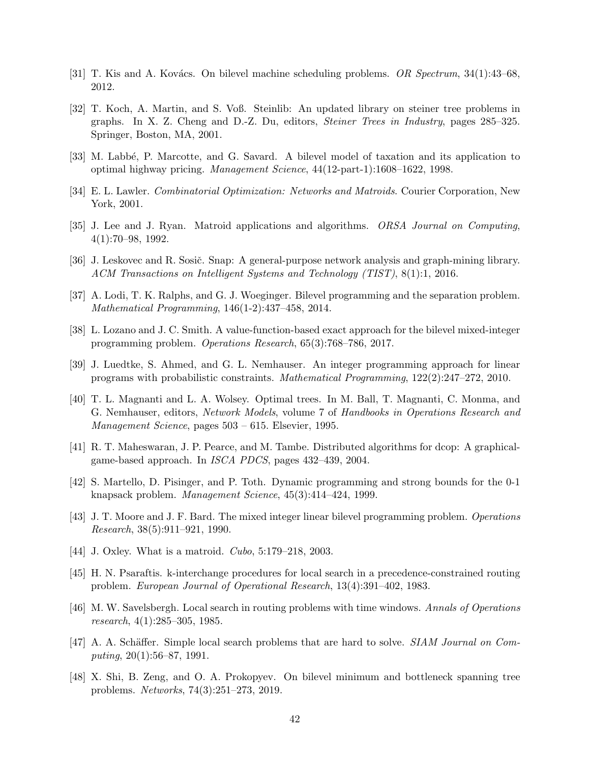- [31] T. Kis and A. Kovács. On bilevel machine scheduling problems. OR Spectrum,  $34(1):43-68$ , 2012.
- [32] T. Koch, A. Martin, and S. Voß. Steinlib: An updated library on steiner tree problems in graphs. In X. Z. Cheng and D.-Z. Du, editors, Steiner Trees in Industry, pages 285–325. Springer, Boston, MA, 2001.
- [33] M. Labb´e, P. Marcotte, and G. Savard. A bilevel model of taxation and its application to optimal highway pricing. Management Science, 44(12-part-1):1608–1622, 1998.
- [34] E. L. Lawler. Combinatorial Optimization: Networks and Matroids. Courier Corporation, New York, 2001.
- [35] J. Lee and J. Ryan. Matroid applications and algorithms. ORSA Journal on Computing, 4(1):70–98, 1992.
- [36] J. Leskovec and R. Sosič. Snap: A general-purpose network analysis and graph-mining library. ACM Transactions on Intelligent Systems and Technology (TIST), 8(1):1, 2016.
- [37] A. Lodi, T. K. Ralphs, and G. J. Woeginger. Bilevel programming and the separation problem. Mathematical Programming, 146(1-2):437–458, 2014.
- [38] L. Lozano and J. C. Smith. A value-function-based exact approach for the bilevel mixed-integer programming problem. Operations Research, 65(3):768–786, 2017.
- [39] J. Luedtke, S. Ahmed, and G. L. Nemhauser. An integer programming approach for linear programs with probabilistic constraints. Mathematical Programming, 122(2):247–272, 2010.
- [40] T. L. Magnanti and L. A. Wolsey. Optimal trees. In M. Ball, T. Magnanti, C. Monma, and G. Nemhauser, editors, Network Models, volume 7 of Handbooks in Operations Research and Management Science, pages 503 – 615. Elsevier, 1995.
- [41] R. T. Maheswaran, J. P. Pearce, and M. Tambe. Distributed algorithms for dcop: A graphicalgame-based approach. In ISCA PDCS, pages 432–439, 2004.
- [42] S. Martello, D. Pisinger, and P. Toth. Dynamic programming and strong bounds for the 0-1 knapsack problem. Management Science, 45(3):414–424, 1999.
- [43] J. T. Moore and J. F. Bard. The mixed integer linear bilevel programming problem. Operations Research, 38(5):911–921, 1990.
- [44] J. Oxley. What is a matroid. Cubo, 5:179–218, 2003.
- [45] H. N. Psaraftis. k-interchange procedures for local search in a precedence-constrained routing problem. European Journal of Operational Research, 13(4):391–402, 1983.
- [46] M. W. Savelsbergh. Local search in routing problems with time windows. Annals of Operations research, 4(1):285–305, 1985.
- [47] A. A. Schäffer. Simple local search problems that are hard to solve. *SIAM Journal on Com*puting, 20(1):56–87, 1991.
- [48] X. Shi, B. Zeng, and O. A. Prokopyev. On bilevel minimum and bottleneck spanning tree problems. Networks, 74(3):251–273, 2019.